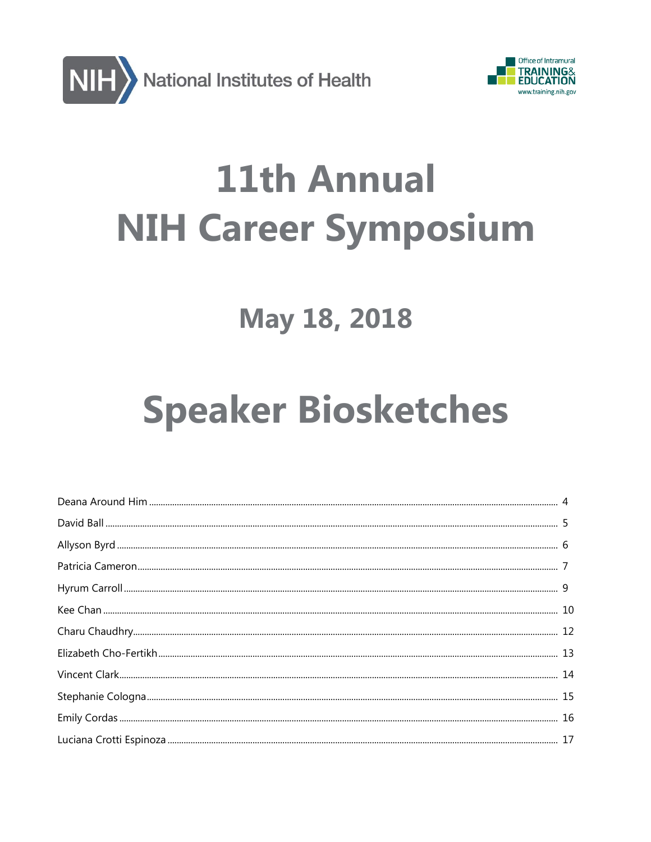



# **11th Annual NIH Career Symposium**

# May 18, 2018

# **Speaker Biosketches**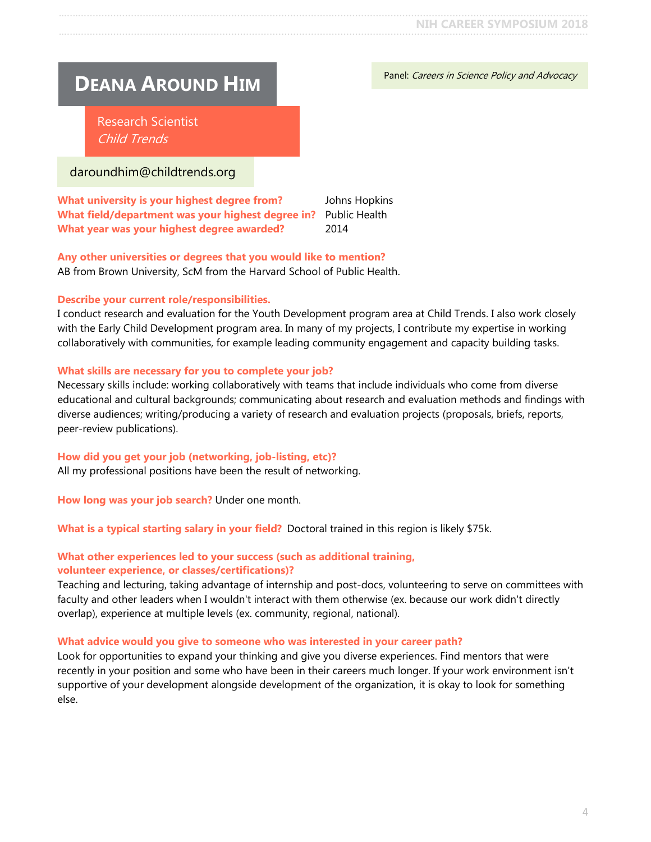Panel: Careers in Science Policy and Advocacy

# <span id="page-3-0"></span>**DEANA AROUND HIM**

Research Scientist Child Trends

daroundhim@childtrends.org

**What university is your highest degree from?** Johns Hopkins **What field/department was your highest degree in?** Public Health **What year was your highest degree awarded?** 2014

**Any other universities or degrees that you would like to mention?**  AB from Brown University, ScM from the Harvard School of Public Health.

# **Describe your current role/responsibilities.**

I conduct research and evaluation for the Youth Development program area at Child Trends. I also work closely with the Early Child Development program area. In many of my projects, I contribute my expertise in working collaboratively with communities, for example leading community engagement and capacity building tasks.

# **What skills are necessary for you to complete your job?**

Necessary skills include: working collaboratively with teams that include individuals who come from diverse educational and cultural backgrounds; communicating about research and evaluation methods and findings with diverse audiences; writing/producing a variety of research and evaluation projects (proposals, briefs, reports, peer-review publications).

# **How did you get your job (networking, job-listing, etc)?**

All my professional positions have been the result of networking.

**How long was your job search?** Under one month.

**What is a typical starting salary in your field?** Doctoral trained in this region is likely \$75k.

# **What other experiences led to your success (such as additional training, volunteer experience, or classes/certifications)?**

Teaching and lecturing, taking advantage of internship and post-docs, volunteering to serve on committees with faculty and other leaders when I wouldn't interact with them otherwise (ex. because our work didn't directly overlap), experience at multiple levels (ex. community, regional, national).

# **What advice would you give to someone who was interested in your career path?**

Look for opportunities to expand your thinking and give you diverse experiences. Find mentors that were recently in your position and some who have been in their careers much longer. If your work environment isn't supportive of your development alongside development of the organization, it is okay to look for something else.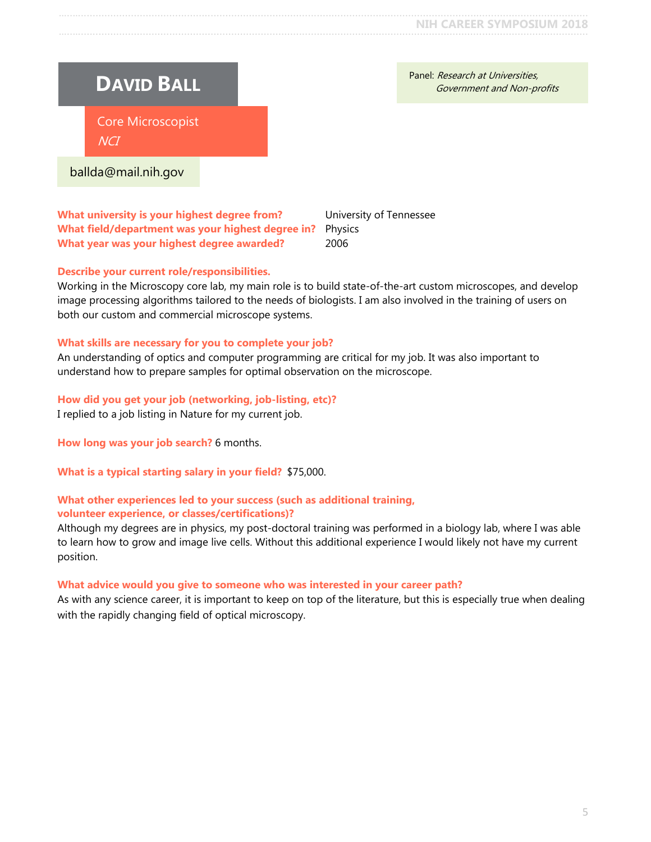Government and Non-profits

Panel: Research at Universities,

# <span id="page-4-0"></span>**DAVID BALL**

Core Microscopist **NCI** 

ballda@mail.nih.gov

**What university is your highest degree from?** University of Tennessee **What field/department was your highest degree in?** Physics **What year was your highest degree awarded?** 2006

# **Describe your current role/responsibilities.**

Working in the Microscopy core lab, my main role is to build state-of-the-art custom microscopes, and develop image processing algorithms tailored to the needs of biologists. I am also involved in the training of users on both our custom and commercial microscope systems.

# **What skills are necessary for you to complete your job?**

An understanding of optics and computer programming are critical for my job. It was also important to understand how to prepare samples for optimal observation on the microscope.

**How did you get your job (networking, job-listing, etc)?**

I replied to a job listing in Nature for my current job.

**How long was your job search?** 6 months.

**What is a typical starting salary in your field?** \$75,000.

# **What other experiences led to your success (such as additional training, volunteer experience, or classes/certifications)?**

Although my degrees are in physics, my post-doctoral training was performed in a biology lab, where I was able to learn how to grow and image live cells. Without this additional experience I would likely not have my current position.

# **What advice would you give to someone who was interested in your career path?**

As with any science career, it is important to keep on top of the literature, but this is especially true when dealing with the rapidly changing field of optical microscopy.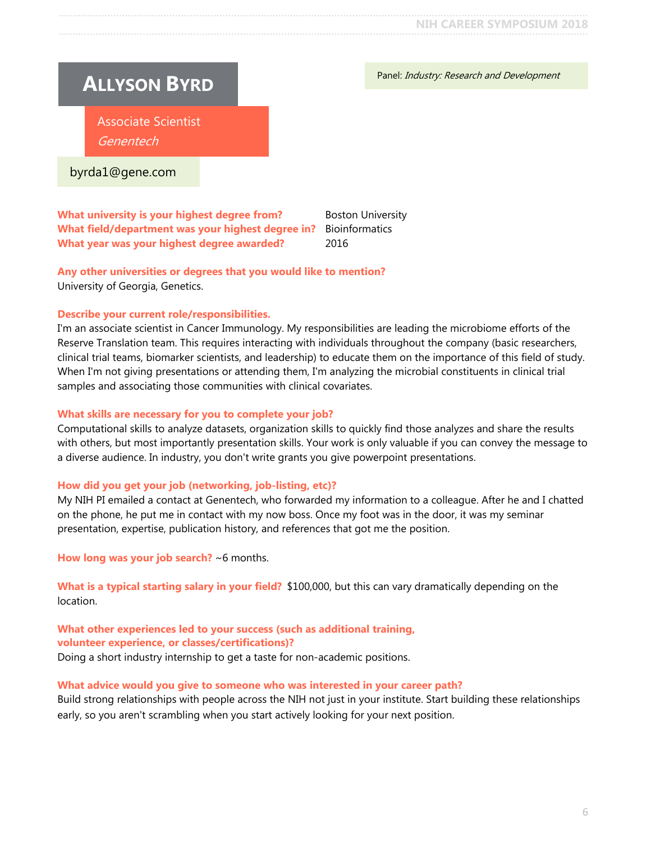Panel: Industry: Research and Development

# **ALLYSON BYRD**

<span id="page-5-0"></span>Associate Scientist Genentech

byrda1@gene.com

**What university is your highest degree from?** Boston University **What field/department was your highest degree in?** Bioinformatics **What year was your highest degree awarded?** 2016

**Any other universities or degrees that you would like to mention?**  University of Georgia, Genetics.

#### **Describe your current role/responsibilities.**

I'm an associate scientist in Cancer Immunology. My responsibilities are leading the microbiome efforts of the Reserve Translation team. This requires interacting with individuals throughout the company (basic researchers, clinical trial teams, biomarker scientists, and leadership) to educate them on the importance of this field of study. When I'm not giving presentations or attending them, I'm analyzing the microbial constituents in clinical trial samples and associating those communities with clinical covariates.

#### **What skills are necessary for you to complete your job?**

Computational skills to analyze datasets, organization skills to quickly find those analyzes and share the results with others, but most importantly presentation skills. Your work is only valuable if you can convey the message to a diverse audience. In industry, you don't write grants you give powerpoint presentations.

# **How did you get your job (networking, job-listing, etc)?**

My NIH PI emailed a contact at Genentech, who forwarded my information to a colleague. After he and I chatted on the phone, he put me in contact with my now boss. Once my foot was in the door, it was my seminar presentation, expertise, publication history, and references that got me the position.

**How long was your job search?** ~6 months.

**What is a typical starting salary in your field?** \$100,000, but this can vary dramatically depending on the location.

# **What other experiences led to your success (such as additional training, volunteer experience, or classes/certifications)?**

Doing a short industry internship to get a taste for non-academic positions.

# **What advice would you give to someone who was interested in your career path?**

Build strong relationships with people across the NIH not just in your institute. Start building these relationships early, so you aren't scrambling when you start actively looking for your next position.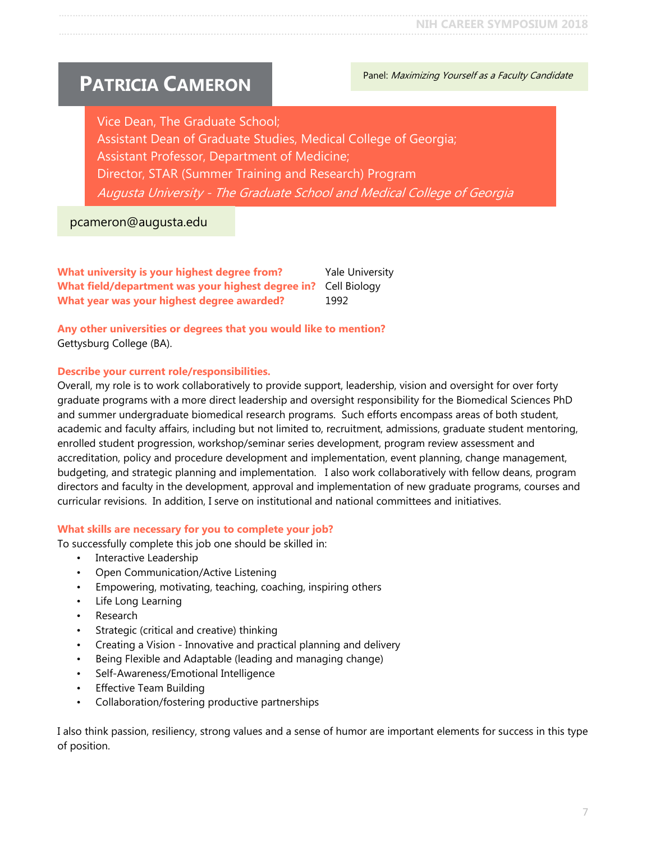# **PATRICIA CAMERON**

Panel: Maximizing Yourself as a Faculty Candidate

<span id="page-6-0"></span>Vice Dean, The Graduate School; Assistant Dean of Graduate Studies, Medical College of Georgia; Assistant Professor, Department of Medicine; Director, STAR (Summer Training and Research) Program Augusta University - The Graduate School and Medical College of Georgia

pcameron@augusta.edu

**What university is your highest degree from?** Yale University **What field/department was your highest degree in?** Cell Biology **What year was your highest degree awarded?** 1992

**Any other universities or degrees that you would like to mention?**  Gettysburg College (BA).

# **Describe your current role/responsibilities.**

Overall, my role is to work collaboratively to provide support, leadership, vision and oversight for over forty graduate programs with a more direct leadership and oversight responsibility for the Biomedical Sciences PhD and summer undergraduate biomedical research programs. Such efforts encompass areas of both student, academic and faculty affairs, including but not limited to, recruitment, admissions, graduate student mentoring, enrolled student progression, workshop/seminar series development, program review assessment and accreditation, policy and procedure development and implementation, event planning, change management, budgeting, and strategic planning and implementation. I also work collaboratively with fellow deans, program directors and faculty in the development, approval and implementation of new graduate programs, courses and curricular revisions. In addition, I serve on institutional and national committees and initiatives.

# **What skills are necessary for you to complete your job?**

To successfully complete this job one should be skilled in:

- Interactive Leadership
- Open Communication/Active Listening
- Empowering, motivating, teaching, coaching, inspiring others
- Life Long Learning
- Research
- Strategic (critical and creative) thinking
- Creating a Vision Innovative and practical planning and delivery
- Being Flexible and Adaptable (leading and managing change)
- Self-Awareness/Emotional Intelligence
- **Effective Team Building**
- Collaboration/fostering productive partnerships

I also think passion, resiliency, strong values and a sense of humor are important elements for success in this type of position.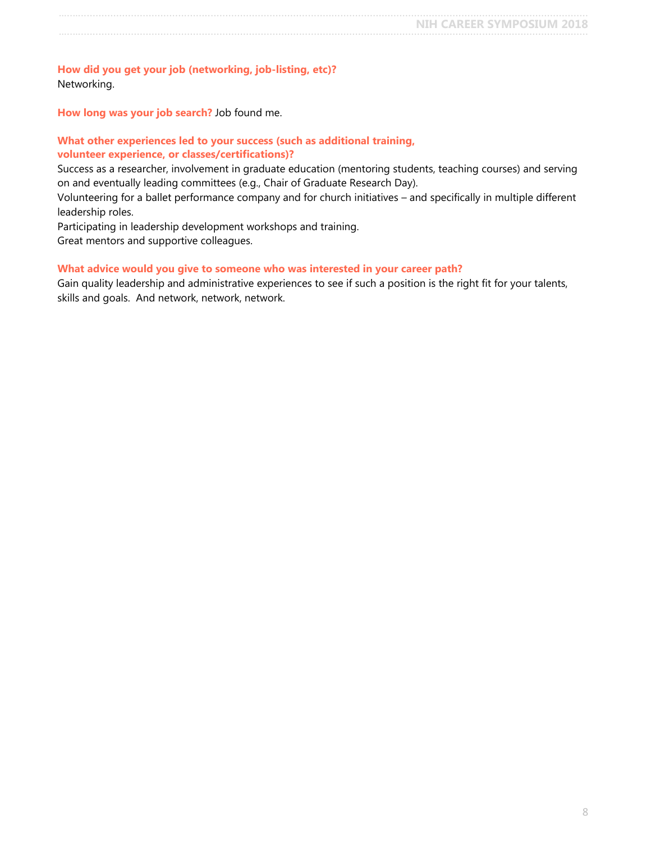# **How did you get your job (networking, job-listing, etc)?** Networking.

**How long was your job search?** Job found me.

# **What other experiences led to your success (such as additional training, volunteer experience, or classes/certifications)?**

Success as a researcher, involvement in graduate education (mentoring students, teaching courses) and serving on and eventually leading committees (e.g., Chair of Graduate Research Day).

Volunteering for a ballet performance company and for church initiatives – and specifically in multiple different leadership roles.

Participating in leadership development workshops and training.

Great mentors and supportive colleagues.

# **What advice would you give to someone who was interested in your career path?**

Gain quality leadership and administrative experiences to see if such a position is the right fit for your talents, skills and goals. And network, network, network.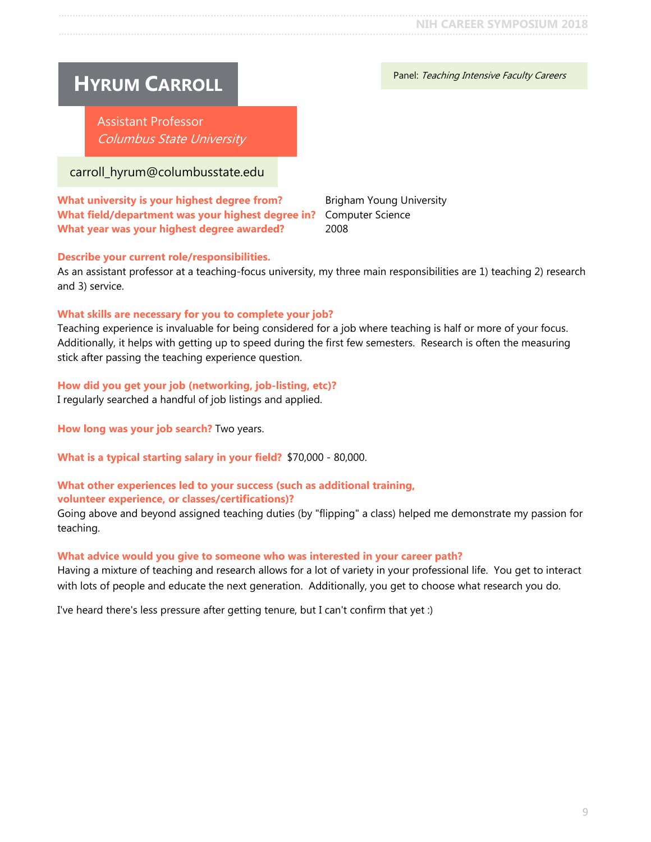Panel: Teaching Intensive Faculty Careers



<span id="page-8-0"></span>Columbus State University

carroll\_hyrum@columbusstate.edu

**What university is your highest degree from?** Brigham Young University **What field/department was your highest degree in?** Computer Science **What year was your highest degree awarded?** 2008

# **Describe your current role/responsibilities.**

As an assistant professor at a teaching-focus university, my three main responsibilities are 1) teaching 2) research and 3) service.

# **What skills are necessary for you to complete your job?**

Teaching experience is invaluable for being considered for a job where teaching is half or more of your focus. Additionally, it helps with getting up to speed during the first few semesters. Research is often the measuring stick after passing the teaching experience question.

# **How did you get your job (networking, job-listing, etc)?**

I regularly searched a handful of job listings and applied.

**How long was your job search?** Two years.

**What is a typical starting salary in your field?** \$70,000 - 80,000.

# **What other experiences led to your success (such as additional training, volunteer experience, or classes/certifications)?**

Going above and beyond assigned teaching duties (by "flipping" a class) helped me demonstrate my passion for teaching.

# **What advice would you give to someone who was interested in your career path?**

Having a mixture of teaching and research allows for a lot of variety in your professional life. You get to interact with lots of people and educate the next generation. Additionally, you get to choose what research you do.

I've heard there's less pressure after getting tenure, but I can't confirm that yet :)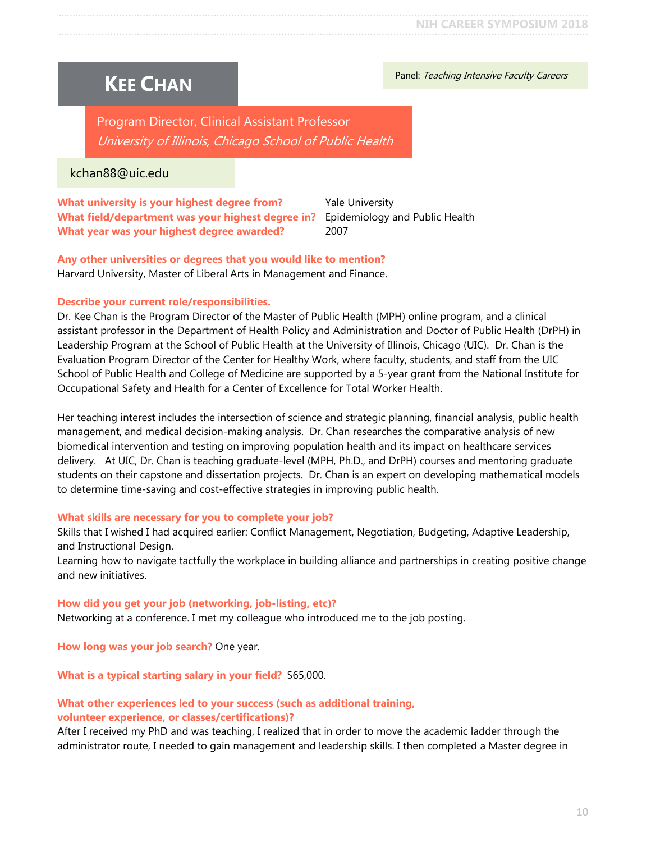# <span id="page-9-0"></span>**KEE CHAN**

#### Panel: Teaching Intensive Faculty Careers

Program Director, Clinical Assistant Professor University of Illinois, Chicago School of Public Health

# kchan88@uic.edu

**What university is your highest degree from?** Yale University **What field/department was your highest degree in?** Epidemiology and Public Health **What year was your highest degree awarded?** 2007

**Any other universities or degrees that you would like to mention?**  Harvard University, Master of Liberal Arts in Management and Finance.

# **Describe your current role/responsibilities.**

Dr. Kee Chan is the Program Director of the Master of Public Health (MPH) online program, and a clinical assistant professor in the Department of Health Policy and Administration and Doctor of Public Health (DrPH) in Leadership Program at the School of Public Health at the University of Illinois, Chicago (UIC). Dr. Chan is the Evaluation Program Director of the Center for Healthy Work, where faculty, students, and staff from the UIC School of Public Health and College of Medicine are supported by a 5-year grant from the National Institute for Occupational Safety and Health for a Center of Excellence for Total Worker Health.

Her teaching interest includes the intersection of science and strategic planning, financial analysis, public health management, and medical decision-making analysis. Dr. Chan researches the comparative analysis of new biomedical intervention and testing on improving population health and its impact on healthcare services delivery. At UIC, Dr. Chan is teaching graduate-level (MPH, Ph.D., and DrPH) courses and mentoring graduate students on their capstone and dissertation projects. Dr. Chan is an expert on developing mathematical models to determine time-saving and cost-effective strategies in improving public health.

# **What skills are necessary for you to complete your job?**

Skills that I wished I had acquired earlier: Conflict Management, Negotiation, Budgeting, Adaptive Leadership, and Instructional Design.

Learning how to navigate tactfully the workplace in building alliance and partnerships in creating positive change and new initiatives.

# **How did you get your job (networking, job-listing, etc)?**

Networking at a conference. I met my colleague who introduced me to the job posting.

**How long was your job search?** One year.

**What is a typical starting salary in your field?** \$65,000.

# **What other experiences led to your success (such as additional training,**

# **volunteer experience, or classes/certifications)?**

After I received my PhD and was teaching, I realized that in order to move the academic ladder through the administrator route, I needed to gain management and leadership skills. I then completed a Master degree in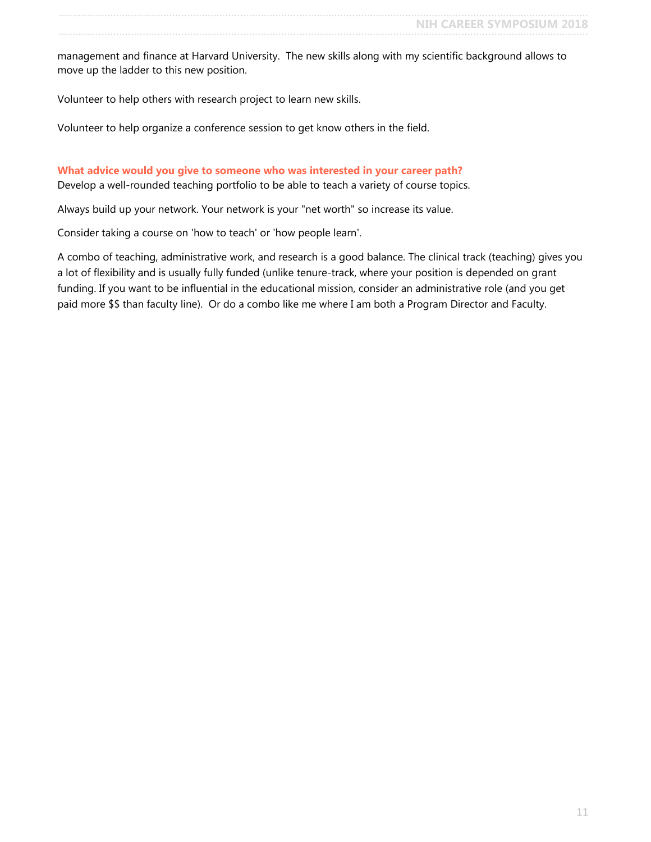management and finance at Harvard University. The new skills along with my scientific background allows to move up the ladder to this new position.

Volunteer to help others with research project to learn new skills.

Volunteer to help organize a conference session to get know others in the field.

# **What advice would you give to someone who was interested in your career path?**

Develop a well-rounded teaching portfolio to be able to teach a variety of course topics.

Always build up your network. Your network is your "net worth" so increase its value.

Consider taking a course on 'how to teach' or 'how people learn'.

A combo of teaching, administrative work, and research is a good balance. The clinical track (teaching) gives you a lot of flexibility and is usually fully funded (unlike tenure-track, where your position is depended on grant funding. If you want to be influential in the educational mission, consider an administrative role (and you get paid more \$\$ than faculty line). Or do a combo like me where I am both a Program Director and Faculty.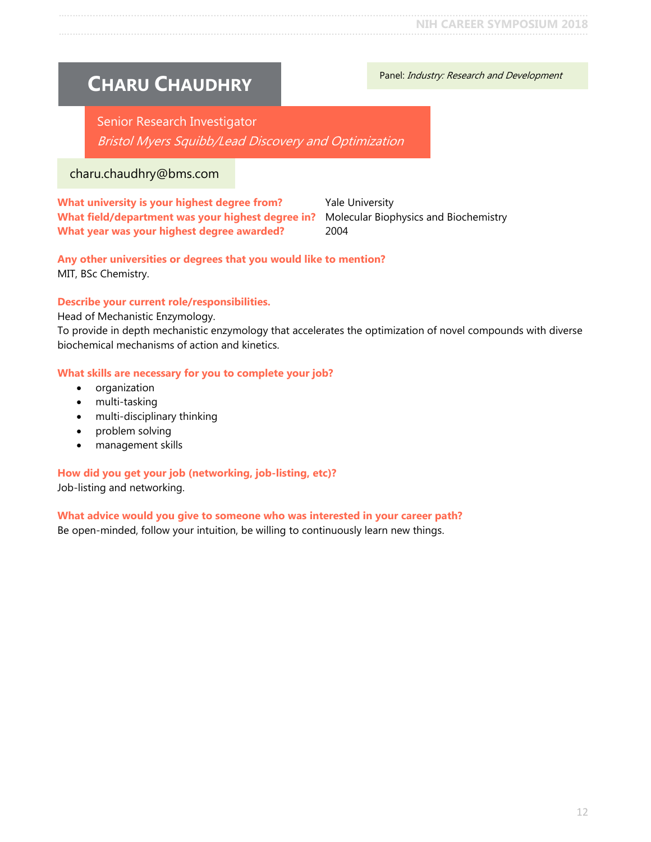Panel: Industry: Research and Development

# <span id="page-11-0"></span>**CHARU CHAUDHRY**

Senior Research Investigator Bristol Myers Squibb/Lead Discovery and Optimization

# charu.chaudhry@bms.com

**What university is your highest degree from?** Yale University **What field/department was your highest degree in?** Molecular Biophysics and Biochemistry **What year was your highest degree awarded?** 2004

**Any other universities or degrees that you would like to mention?**  MIT, BSc Chemistry.

# **Describe your current role/responsibilities.**

# Head of Mechanistic Enzymology.

To provide in depth mechanistic enzymology that accelerates the optimization of novel compounds with diverse biochemical mechanisms of action and kinetics.

# **What skills are necessary for you to complete your job?**

- organization
- multi-tasking
- multi-disciplinary thinking
- problem solving
- management skills

# **How did you get your job (networking, job-listing, etc)?**

Job-listing and networking.

# **What advice would you give to someone who was interested in your career path?**

Be open-minded, follow your intuition, be willing to continuously learn new things.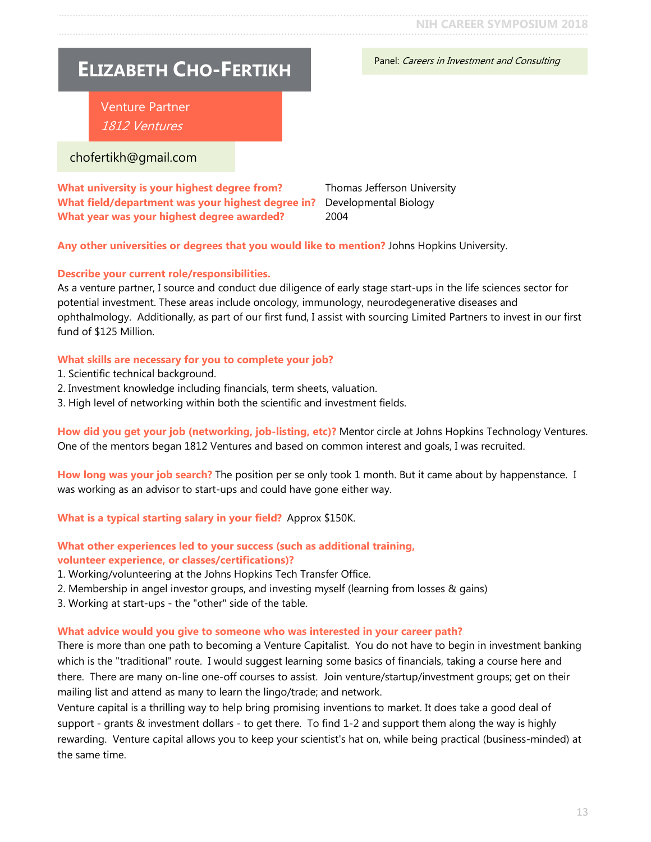Panel: Careers in Investment and Consulting

# **ELIZABETH CHO-FERTIKH**

<span id="page-12-0"></span>Venture Partner 1812 Ventures

# chofertikh@gmail.com

**What university is your highest degree from?** Thomas Jefferson University **What field/department was your highest degree in?** Developmental Biology **What year was your highest degree awarded?** 2004

**Any other universities or degrees that you would like to mention?** Johns Hopkins University.

# **Describe your current role/responsibilities.**

As a venture partner, I source and conduct due diligence of early stage start-ups in the life sciences sector for potential investment. These areas include oncology, immunology, neurodegenerative diseases and ophthalmology. Additionally, as part of our first fund, I assist with sourcing Limited Partners to invest in our first fund of \$125 Million.

# **What skills are necessary for you to complete your job?**

- 1. Scientific technical background.
- 2. Investment knowledge including financials, term sheets, valuation.
- 3. High level of networking within both the scientific and investment fields.

**How did you get your job (networking, job-listing, etc)?** Mentor circle at Johns Hopkins Technology Ventures. One of the mentors began 1812 Ventures and based on common interest and goals, I was recruited.

**How long was your job search?** The position per se only took 1 month. But it came about by happenstance. I was working as an advisor to start-ups and could have gone either way.

# **What is a typical starting salary in your field?** Approx \$150K.

# **What other experiences led to your success (such as additional training, volunteer experience, or classes/certifications)?**

- 1. Working/volunteering at the Johns Hopkins Tech Transfer Office.
- 2. Membership in angel investor groups, and investing myself (learning from losses & gains)

3. Working at start-ups - the "other" side of the table.

#### **What advice would you give to someone who was interested in your career path?**

There is more than one path to becoming a Venture Capitalist. You do not have to begin in investment banking which is the "traditional" route. I would suggest learning some basics of financials, taking a course here and there. There are many on-line one-off courses to assist. Join venture/startup/investment groups; get on their mailing list and attend as many to learn the lingo/trade; and network.

Venture capital is a thrilling way to help bring promising inventions to market. It does take a good deal of support - grants & investment dollars - to get there. To find 1-2 and support them along the way is highly rewarding. Venture capital allows you to keep your scientist's hat on, while being practical (business-minded) at the same time.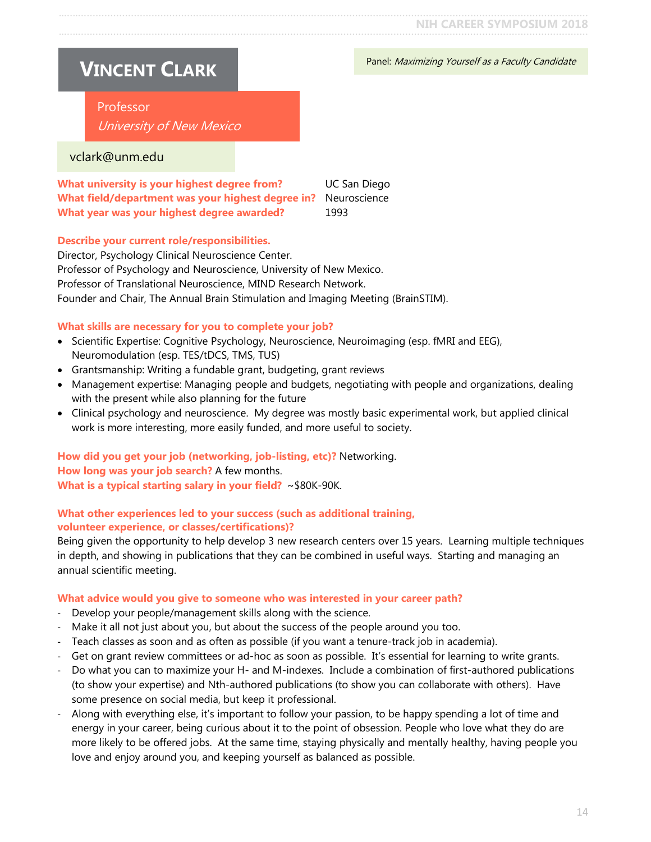#### Panel: Maximizing Yourself as a Faculty Candidate

# <span id="page-13-0"></span>**VINCENT CLARK**

Professor University of New Mexico

# vclark@unm.edu

**What university is your highest degree from?** UC San Diego **What field/department was your highest degree in?** Neuroscience **What year was your highest degree awarded?** 1993

# **Describe your current role/responsibilities.**

Director, Psychology Clinical Neuroscience Center. Professor of Psychology and Neuroscience, University of New Mexico. Professor of Translational Neuroscience, MIND Research Network. Founder and Chair, The Annual Brain Stimulation and Imaging Meeting (BrainSTIM).

# **What skills are necessary for you to complete your job?**

- Scientific Expertise: Cognitive Psychology, Neuroscience, Neuroimaging (esp. fMRI and EEG), Neuromodulation (esp. TES/tDCS, TMS, TUS)
- Grantsmanship: Writing a fundable grant, budgeting, grant reviews
- Management expertise: Managing people and budgets, negotiating with people and organizations, dealing with the present while also planning for the future
- Clinical psychology and neuroscience. My degree was mostly basic experimental work, but applied clinical work is more interesting, more easily funded, and more useful to society.

**How did you get your job (networking, job-listing, etc)?** Networking. **How long was your job search?** A few months. **What is a typical starting salary in your field?** ~\$80K-90K.

# **What other experiences led to your success (such as additional training, volunteer experience, or classes/certifications)?**

Being given the opportunity to help develop 3 new research centers over 15 years. Learning multiple techniques in depth, and showing in publications that they can be combined in useful ways. Starting and managing an annual scientific meeting.

# **What advice would you give to someone who was interested in your career path?**

- Develop your people/management skills along with the science.
- Make it all not just about you, but about the success of the people around you too.
- Teach classes as soon and as often as possible (if you want a tenure-track job in academia).
- Get on grant review committees or ad-hoc as soon as possible. It's essential for learning to write grants.
- Do what you can to maximize your H- and M-indexes. Include a combination of first-authored publications (to show your expertise) and Nth-authored publications (to show you can collaborate with others). Have some presence on social media, but keep it professional.
- Along with everything else, it's important to follow your passion, to be happy spending a lot of time and energy in your career, being curious about it to the point of obsession. People who love what they do are more likely to be offered jobs. At the same time, staying physically and mentally healthy, having people you love and enjoy around you, and keeping yourself as balanced as possible.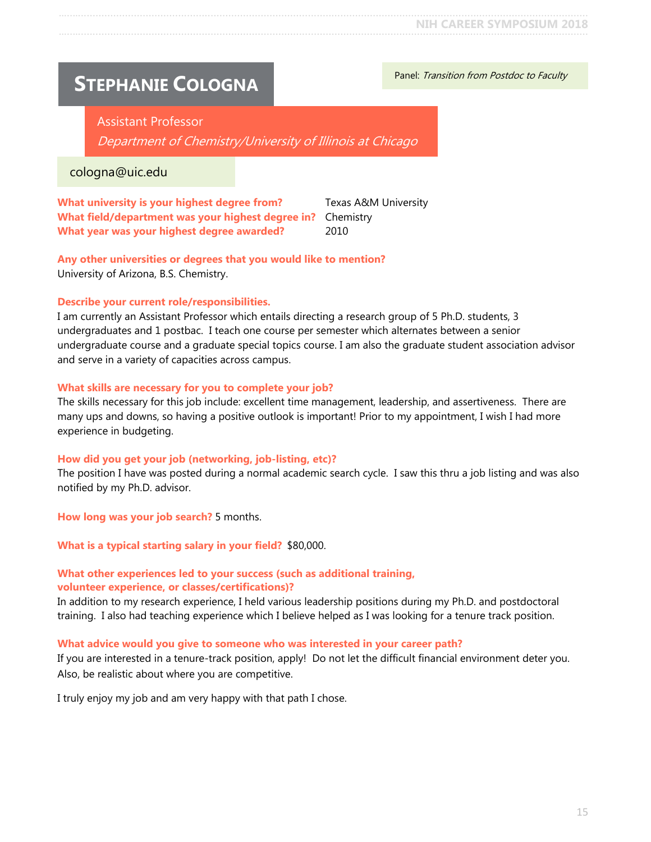Panel: Transition from Postdoc to Faculty

# **STEPHANIE COLOGNA**

# <span id="page-14-0"></span>Assistant Professor

Department of Chemistry/University of Illinois at Chicago

# cologna@uic.edu

**What university is your highest degree from?** Texas A&M University **What field/department was your highest degree in?** Chemistry **What year was your highest degree awarded?** 2010

**Any other universities or degrees that you would like to mention?**  University of Arizona, B.S. Chemistry.

# **Describe your current role/responsibilities.**

I am currently an Assistant Professor which entails directing a research group of 5 Ph.D. students, 3 undergraduates and 1 postbac. I teach one course per semester which alternates between a senior undergraduate course and a graduate special topics course. I am also the graduate student association advisor and serve in a variety of capacities across campus.

# **What skills are necessary for you to complete your job?**

The skills necessary for this job include: excellent time management, leadership, and assertiveness. There are many ups and downs, so having a positive outlook is important! Prior to my appointment, I wish I had more experience in budgeting.

# **How did you get your job (networking, job-listing, etc)?**

The position I have was posted during a normal academic search cycle. I saw this thru a job listing and was also notified by my Ph.D. advisor.

**How long was your job search?** 5 months.

**What is a typical starting salary in your field?** \$80,000.

# **What other experiences led to your success (such as additional training, volunteer experience, or classes/certifications)?**

In addition to my research experience, I held various leadership positions during my Ph.D. and postdoctoral training. I also had teaching experience which I believe helped as I was looking for a tenure track position.

# **What advice would you give to someone who was interested in your career path?**

If you are interested in a tenure-track position, apply! Do not let the difficult financial environment deter you. Also, be realistic about where you are competitive.

I truly enjoy my job and am very happy with that path I chose.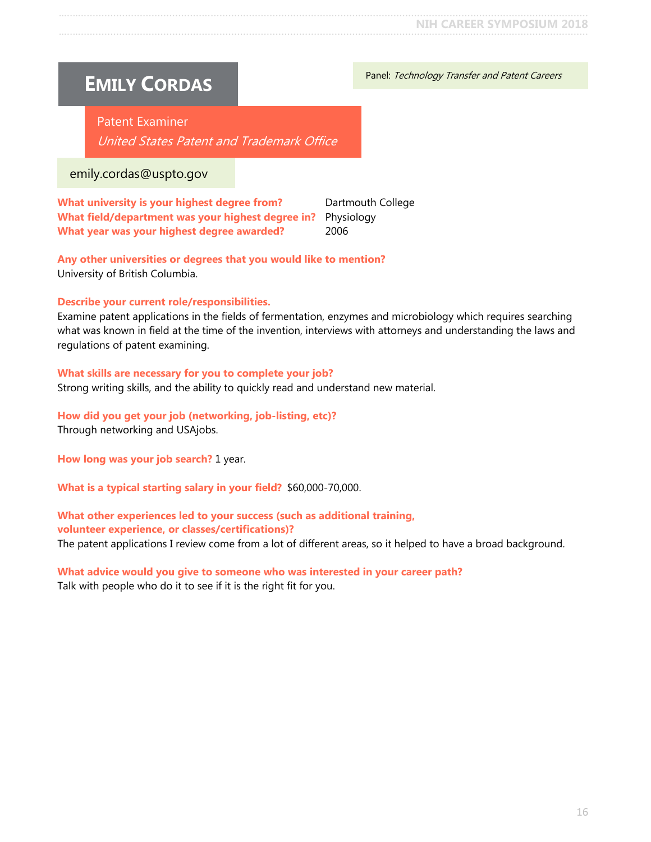# <span id="page-15-0"></span>**EMILY CORDAS**

Panel: Technology Transfer and Patent Careers

Patent Examiner

United States Patent and Trademark Office

# emily.cordas@uspto.gov

**What university is your highest degree from?** Dartmouth College **What field/department was your highest degree in?** Physiology **What year was your highest degree awarded?** 2006

**Any other universities or degrees that you would like to mention?**  University of British Columbia.

# **Describe your current role/responsibilities.**

Examine patent applications in the fields of fermentation, enzymes and microbiology which requires searching what was known in field at the time of the invention, interviews with attorneys and understanding the laws and regulations of patent examining.

# **What skills are necessary for you to complete your job?**

Strong writing skills, and the ability to quickly read and understand new material.

**How did you get your job (networking, job-listing, etc)?** Through networking and USAjobs.

**How long was your job search?** 1 year.

**What is a typical starting salary in your field?** \$60,000-70,000.

# **What other experiences led to your success (such as additional training, volunteer experience, or classes/certifications)?**

The patent applications I review come from a lot of different areas, so it helped to have a broad background.

# **What advice would you give to someone who was interested in your career path?** Talk with people who do it to see if it is the right fit for you.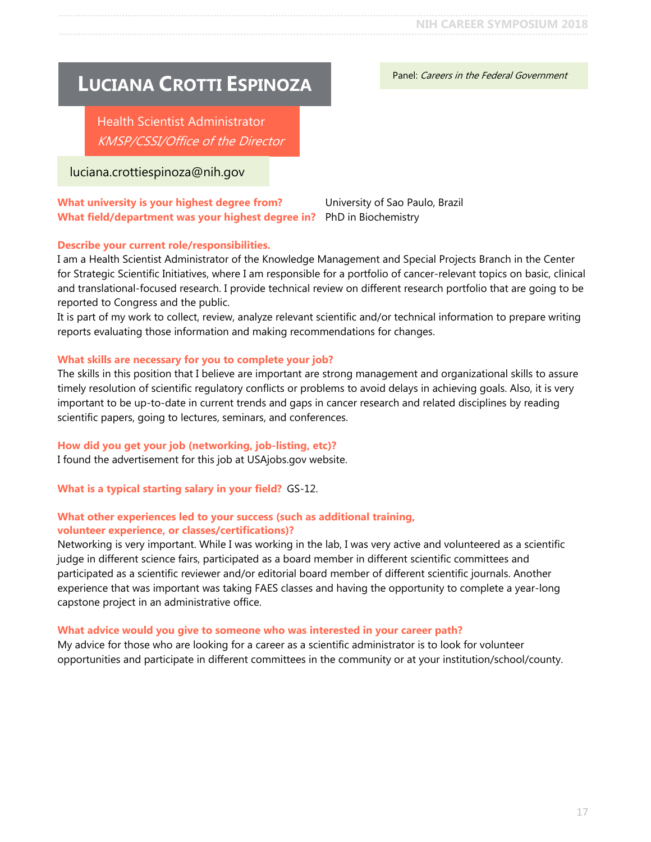**NIH CAREER SYMPOSIUM 2018**

# **LUCIANA CROTTI ESPINOZA**

<span id="page-16-0"></span>Health Scientist Administrator KMSP/CSSI/Office of the Director

luciana.crottiespinoza@nih.gov

**What university is your highest degree from?** University of Sao Paulo, Brazil **What field/department was your highest degree in?** PhD in Biochemistry

# **Describe your current role/responsibilities.**

I am a Health Scientist Administrator of the Knowledge Management and Special Projects Branch in the Center for Strategic Scientific Initiatives, where I am responsible for a portfolio of cancer-relevant topics on basic, clinical and translational-focused research. I provide technical review on different research portfolio that are going to be reported to Congress and the public.

…..…............................................................................................................................................................................

It is part of my work to collect, review, analyze relevant scientific and/or technical information to prepare writing reports evaluating those information and making recommendations for changes.

# **What skills are necessary for you to complete your job?**

The skills in this position that I believe are important are strong management and organizational skills to assure timely resolution of scientific regulatory conflicts or problems to avoid delays in achieving goals. Also, it is very important to be up-to-date in current trends and gaps in cancer research and related disciplines by reading scientific papers, going to lectures, seminars, and conferences.

# **How did you get your job (networking, job-listing, etc)?**

I found the advertisement for this job at USAjobs.gov website.

**What is a typical starting salary in your field?** GS-12.

# **What other experiences led to your success (such as additional training, volunteer experience, or classes/certifications)?**

Networking is very important. While I was working in the lab, I was very active and volunteered as a scientific judge in different science fairs, participated as a board member in different scientific committees and participated as a scientific reviewer and/or editorial board member of different scientific journals. Another experience that was important was taking FAES classes and having the opportunity to complete a year-long capstone project in an administrative office.

# **What advice would you give to someone who was interested in your career path?**

My advice for those who are looking for a career as a scientific administrator is to look for volunteer opportunities and participate in different committees in the community or at your institution/school/county.

Panel: Careers in the Federal Government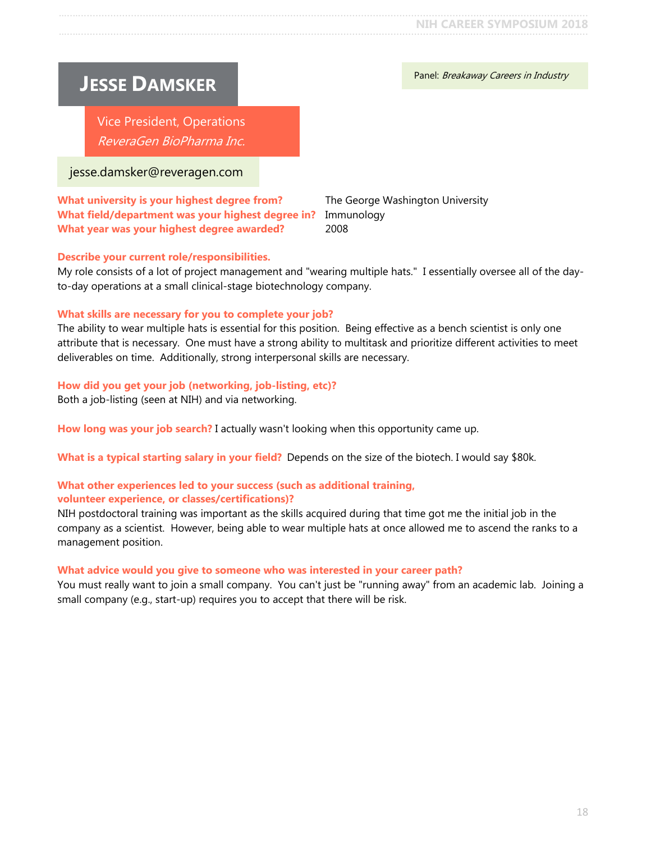Panel: Breakaway Careers in Industry

# **JESSE DAMSKER**

Vice President, Operations ReveraGen BioPharma Inc.

jesse.damsker@reveragen.com

**What university is your highest degree from?** The George Washington University **What field/department was your highest degree in?** Immunology **What year was your highest degree awarded?** 2008

# **Describe your current role/responsibilities.**

My role consists of a lot of project management and "wearing multiple hats." I essentially oversee all of the dayto-day operations at a small clinical-stage biotechnology company.

# **What skills are necessary for you to complete your job?**

The ability to wear multiple hats is essential for this position. Being effective as a bench scientist is only one attribute that is necessary. One must have a strong ability to multitask and prioritize different activities to meet deliverables on time. Additionally, strong interpersonal skills are necessary.

# **How did you get your job (networking, job-listing, etc)?**

Both a job-listing (seen at NIH) and via networking.

**How long was your job search?** I actually wasn't looking when this opportunity came up.

**What is a typical starting salary in your field?** Depends on the size of the biotech. I would say \$80k.

# **What other experiences led to your success (such as additional training, volunteer experience, or classes/certifications)?**

NIH postdoctoral training was important as the skills acquired during that time got me the initial job in the company as a scientist. However, being able to wear multiple hats at once allowed me to ascend the ranks to a management position.

# **What advice would you give to someone who was interested in your career path?**

You must really want to join a small company. You can't just be "running away" from an academic lab. Joining a small company (e.g., start-up) requires you to accept that there will be risk.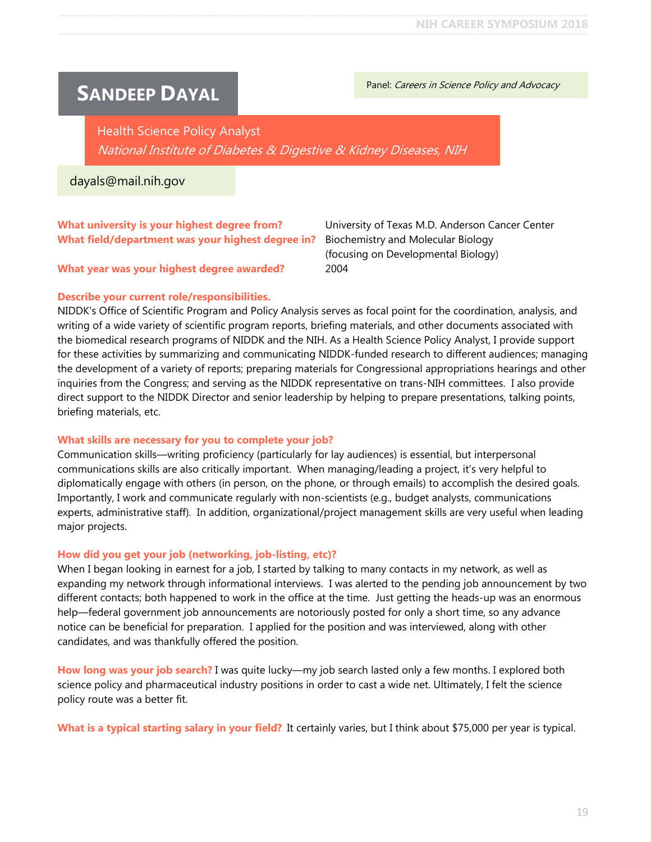# **SANDEEP DAYAL**

Panel: Careers in Science Policy and Advocacy

<span id="page-18-0"></span>Health Science Policy Analyst National Institute of Diabetes & Digestive & Kidney Diseases, NIH

dayals@mail.nih.gov

**What university is your highest degree from?** University of Texas M.D. Anderson Cancer Center **What field/department was your highest degree in?** Biochemistry and Molecular Biology

**What year was your highest degree awarded?** 2004

(focusing on Developmental Biology)

# **Describe your current role/responsibilities.**

NIDDK's Office of Scientific Program and Policy Analysis serves as focal point for the coordination, analysis, and writing of a wide variety of scientific program reports, briefing materials, and other documents associated with the biomedical research programs of NIDDK and the NIH. As a Health Science Policy Analyst, I provide support for these activities by summarizing and communicating NIDDK-funded research to different audiences; managing the development of a variety of reports; preparing materials for Congressional appropriations hearings and other inquiries from the Congress; and serving as the NIDDK representative on trans-NIH committees. I also provide direct support to the NIDDK Director and senior leadership by helping to prepare presentations, talking points, briefing materials, etc.

# **What skills are necessary for you to complete your job?**

Communication skills—writing proficiency (particularly for lay audiences) is essential, but interpersonal communications skills are also critically important. When managing/leading a project, it's very helpful to diplomatically engage with others (in person, on the phone, or through emails) to accomplish the desired goals. Importantly, I work and communicate regularly with non-scientists (e.g., budget analysts, communications experts, administrative staff). In addition, organizational/project management skills are very useful when leading major projects.

# **How did you get your job (networking, job-listing, etc)?**

When I began looking in earnest for a job, I started by talking to many contacts in my network, as well as expanding my network through informational interviews. I was alerted to the pending job announcement by two different contacts; both happened to work in the office at the time. Just getting the heads-up was an enormous help—federal government job announcements are notoriously posted for only a short time, so any advance notice can be beneficial for preparation. I applied for the position and was interviewed, along with other candidates, and was thankfully offered the position.

**How long was your job search?** I was quite lucky—my job search lasted only a few months. I explored both science policy and pharmaceutical industry positions in order to cast a wide net. Ultimately, I felt the science policy route was a better fit.

**What is a typical starting salary in your field?** It certainly varies, but I think about \$75,000 per year is typical.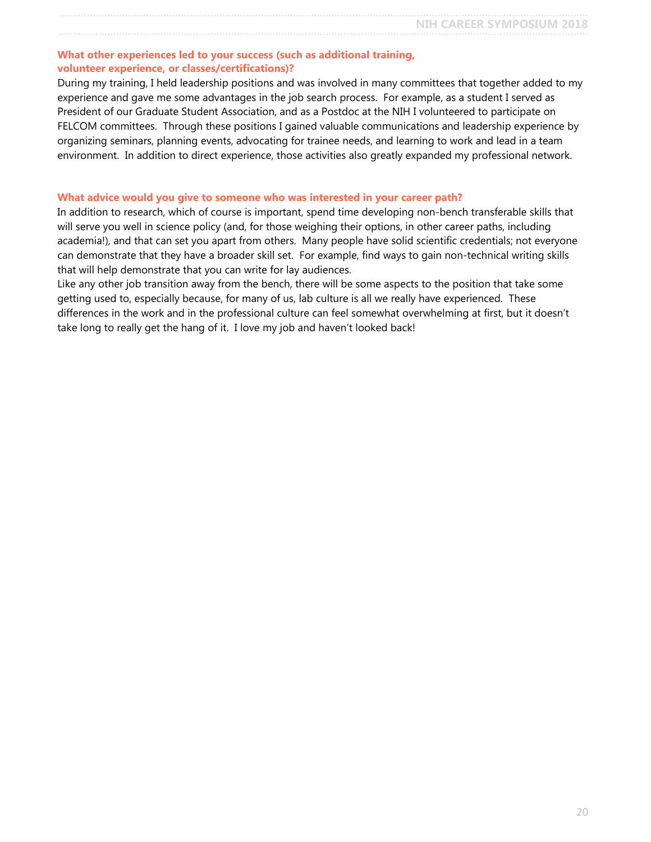# **What other experiences led to your success (such as additional training, volunteer experience, or classes/certifications)?**

During my training, I held leadership positions and was involved in many committees that together added to my experience and gave me some advantages in the job search process. For example, as a student I served as President of our Graduate Student Association, and as a Postdoc at the NIH I volunteered to participate on FELCOM committees. Through these positions I gained valuable communications and leadership experience by organizing seminars, planning events, advocating for trainee needs, and learning to work and lead in a team environment. In addition to direct experience, those activities also greatly expanded my professional network.

### **What advice would you give to someone who was interested in your career path?**

In addition to research, which of course is important, spend time developing non-bench transferable skills that will serve you well in science policy (and, for those weighing their options, in other career paths, including academia!), and that can set you apart from others. Many people have solid scientific credentials; not everyone can demonstrate that they have a broader skill set. For example, find ways to gain non-technical writing skills that will help demonstrate that you can write for lay audiences.

Like any other job transition away from the bench, there will be some aspects to the position that take some getting used to, especially because, for many of us, lab culture is all we really have experienced. These differences in the work and in the professional culture can feel somewhat overwhelming at first, but it doesn't take long to really get the hang of it. I love my job and haven't looked back!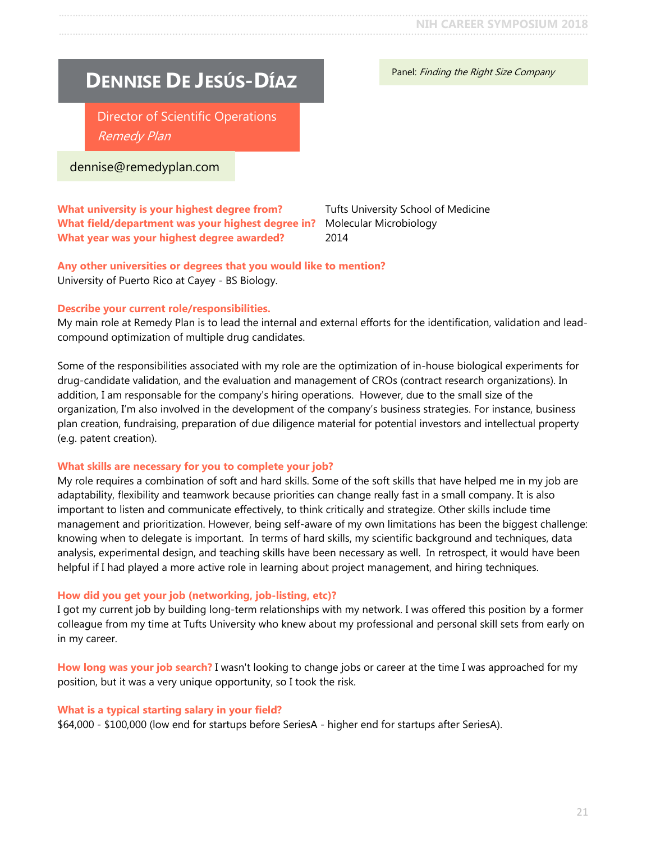# <span id="page-20-0"></span>**DENNISE DE JESÚS-DÍAZ** Panel: Finding the Right Size Company

Director of Scientific Operations Remedy Plan

dennise@remedyplan.com

**What university is your highest degree from?** Tufts University School of Medicine **What field/department was your highest degree in?** Molecular Microbiology **What year was your highest degree awarded?** 2014

**Any other universities or degrees that you would like to mention?**  University of Puerto Rico at Cayey - BS Biology.

# **Describe your current role/responsibilities.**

My main role at Remedy Plan is to lead the internal and external efforts for the identification, validation and leadcompound optimization of multiple drug candidates.

Some of the responsibilities associated with my role are the optimization of in-house biological experiments for drug-candidate validation, and the evaluation and management of CROs (contract research organizations). In addition, I am responsable for the company's hiring operations. However, due to the small size of the organization, I'm also involved in the development of the company's business strategies. For instance, business plan creation, fundraising, preparation of due diligence material for potential investors and intellectual property (e.g. patent creation).

# **What skills are necessary for you to complete your job?**

My role requires a combination of soft and hard skills. Some of the soft skills that have helped me in my job are adaptability, flexibility and teamwork because priorities can change really fast in a small company. It is also important to listen and communicate effectively, to think critically and strategize. Other skills include time management and prioritization. However, being self-aware of my own limitations has been the biggest challenge: knowing when to delegate is important. In terms of hard skills, my scientific background and techniques, data analysis, experimental design, and teaching skills have been necessary as well. In retrospect, it would have been helpful if I had played a more active role in learning about project management, and hiring techniques.

# **How did you get your job (networking, job-listing, etc)?**

I got my current job by building long-term relationships with my network. I was offered this position by a former colleague from my time at Tufts University who knew about my professional and personal skill sets from early on in my career.

**How long was your job search?** I wasn't looking to change jobs or career at the time I was approached for my position, but it was a very unique opportunity, so I took the risk.

# **What is a typical starting salary in your field?**

\$64,000 - \$100,000 (low end for startups before SeriesA - higher end for startups after SeriesA).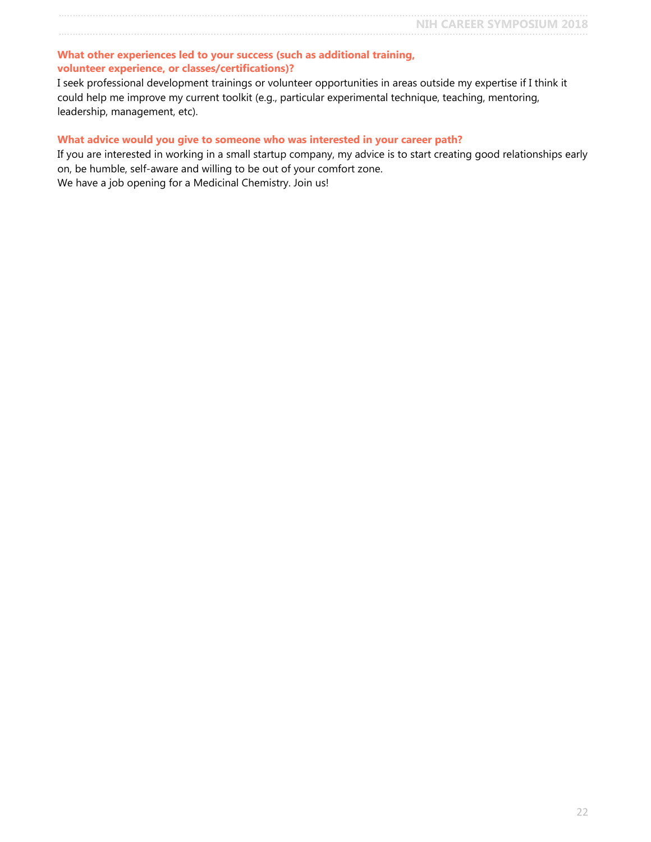# **What other experiences led to your success (such as additional training, volunteer experience, or classes/certifications)?**

I seek professional development trainings or volunteer opportunities in areas outside my expertise if I think it could help me improve my current toolkit (e.g., particular experimental technique, teaching, mentoring, leadership, management, etc).

# **What advice would you give to someone who was interested in your career path?**

If you are interested in working in a small startup company, my advice is to start creating good relationships early on, be humble, self-aware and willing to be out of your comfort zone. We have a job opening for a Medicinal Chemistry. Join us!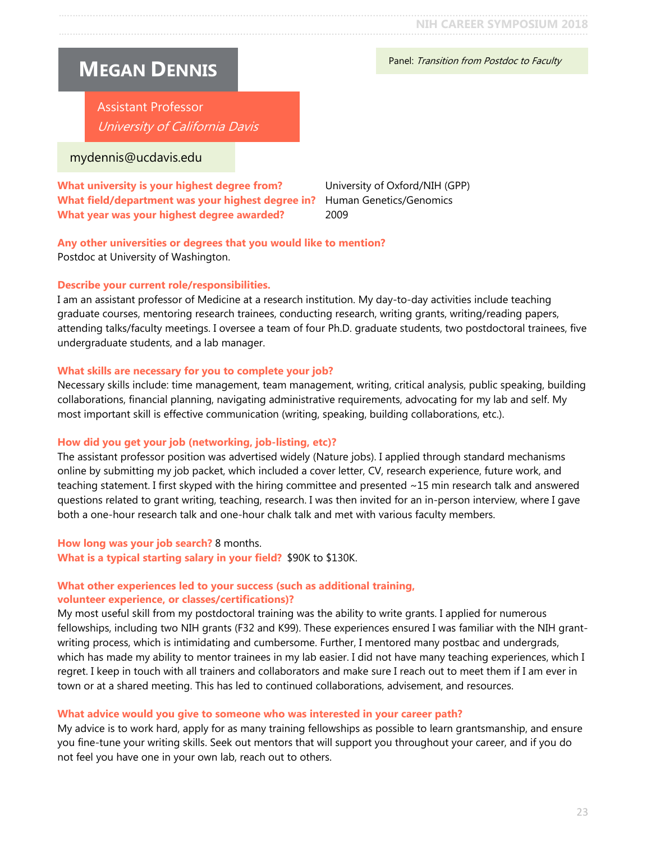#### Panel: Transition from Postdoc to Faculty

# <span id="page-22-0"></span>**MEGAN DENNIS**

Assistant Professor University of California Davis

mydennis@ucdavis.edu

**What university is your highest degree from?** University of Oxford/NIH (GPP) **What field/department was your highest degree in?** Human Genetics/Genomics **What year was your highest degree awarded?** 2009

**Any other universities or degrees that you would like to mention?**  Postdoc at University of Washington.

#### **Describe your current role/responsibilities.**

I am an assistant professor of Medicine at a research institution. My day-to-day activities include teaching graduate courses, mentoring research trainees, conducting research, writing grants, writing/reading papers, attending talks/faculty meetings. I oversee a team of four Ph.D. graduate students, two postdoctoral trainees, five undergraduate students, and a lab manager.

#### **What skills are necessary for you to complete your job?**

Necessary skills include: time management, team management, writing, critical analysis, public speaking, building collaborations, financial planning, navigating administrative requirements, advocating for my lab and self. My most important skill is effective communication (writing, speaking, building collaborations, etc.).

# **How did you get your job (networking, job-listing, etc)?**

The assistant professor position was advertised widely (Nature jobs). I applied through standard mechanisms online by submitting my job packet, which included a cover letter, CV, research experience, future work, and teaching statement. I first skyped with the hiring committee and presented ~15 min research talk and answered questions related to grant writing, teaching, research. I was then invited for an in-person interview, where I gave both a one-hour research talk and one-hour chalk talk and met with various faculty members.

#### **How long was your job search?** 8 months.

**What is a typical starting salary in your field?** \$90K to \$130K.

# **What other experiences led to your success (such as additional training, volunteer experience, or classes/certifications)?**

My most useful skill from my postdoctoral training was the ability to write grants. I applied for numerous fellowships, including two NIH grants (F32 and K99). These experiences ensured I was familiar with the NIH grantwriting process, which is intimidating and cumbersome. Further, I mentored many postbac and undergrads, which has made my ability to mentor trainees in my lab easier. I did not have many teaching experiences, which I regret. I keep in touch with all trainers and collaborators and make sure I reach out to meet them if I am ever in town or at a shared meeting. This has led to continued collaborations, advisement, and resources.

# **What advice would you give to someone who was interested in your career path?**

My advice is to work hard, apply for as many training fellowships as possible to learn grantsmanship, and ensure you fine-tune your writing skills. Seek out mentors that will support you throughout your career, and if you do not feel you have one in your own lab, reach out to others.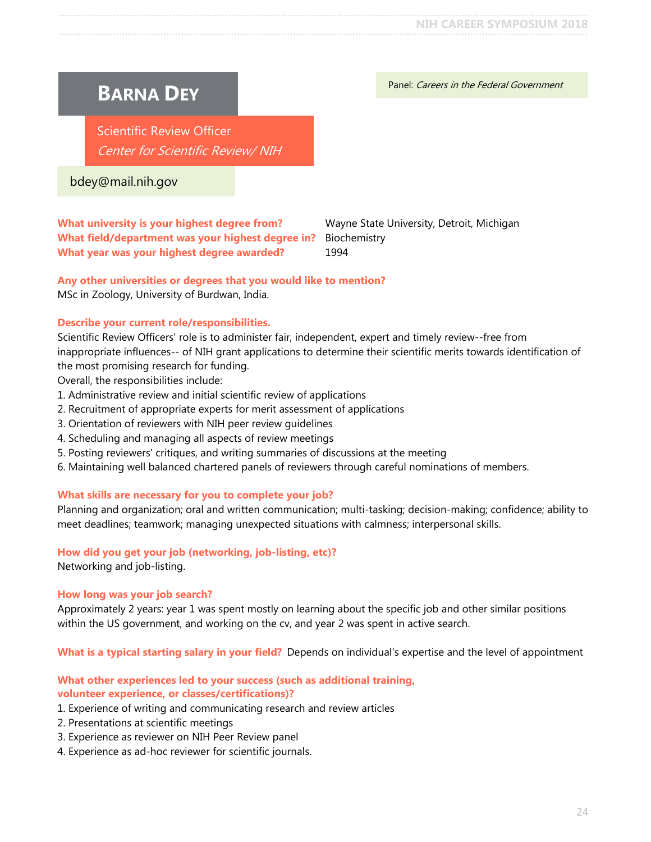Panel: Careers in the Federal Government

# <span id="page-23-0"></span>**BARNA DEY**

Scientific Review Officer Center for Scientific Review/ NIH

bdey@mail.nih.gov

**What university is your highest degree from?** Wayne State University, Detroit, Michigan **What field/department was your highest degree in?** Biochemistry **What year was your highest degree awarded?** 1994

**Any other universities or degrees that you would like to mention?**  MSc in Zoology, University of Burdwan, India.

# **Describe your current role/responsibilities.**

Scientific Review Officers' role is to administer fair, independent, expert and timely review--free from inappropriate influences-- of NIH grant applications to determine their scientific merits towards identification of the most promising research for funding.

Overall, the responsibilities include:

- 1. Administrative review and initial scientific review of applications
- 2. Recruitment of appropriate experts for merit assessment of applications
- 3. Orientation of reviewers with NIH peer review guidelines
- 4. Scheduling and managing all aspects of review meetings
- 5. Posting reviewers' critiques, and writing summaries of discussions at the meeting
- 6. Maintaining well balanced chartered panels of reviewers through careful nominations of members.

# **What skills are necessary for you to complete your job?**

Planning and organization; oral and written communication; multi-tasking; decision-making; confidence; ability to meet deadlines; teamwork; managing unexpected situations with calmness; interpersonal skills.

# **How did you get your job (networking, job-listing, etc)?**

Networking and job-listing.

# **How long was your job search?**

Approximately 2 years: year 1 was spent mostly on learning about the specific job and other similar positions within the US government, and working on the cv, and year 2 was spent in active search.

**What is a typical starting salary in your field?** Depends on individual's expertise and the level of appointment

#### **What other experiences led to your success (such as additional training, volunteer experience, or classes/certifications)?**

- 1. Experience of writing and communicating research and review articles
- 2. Presentations at scientific meetings
- 3. Experience as reviewer on NIH Peer Review panel
- 4. Experience as ad-hoc reviewer for scientific journals.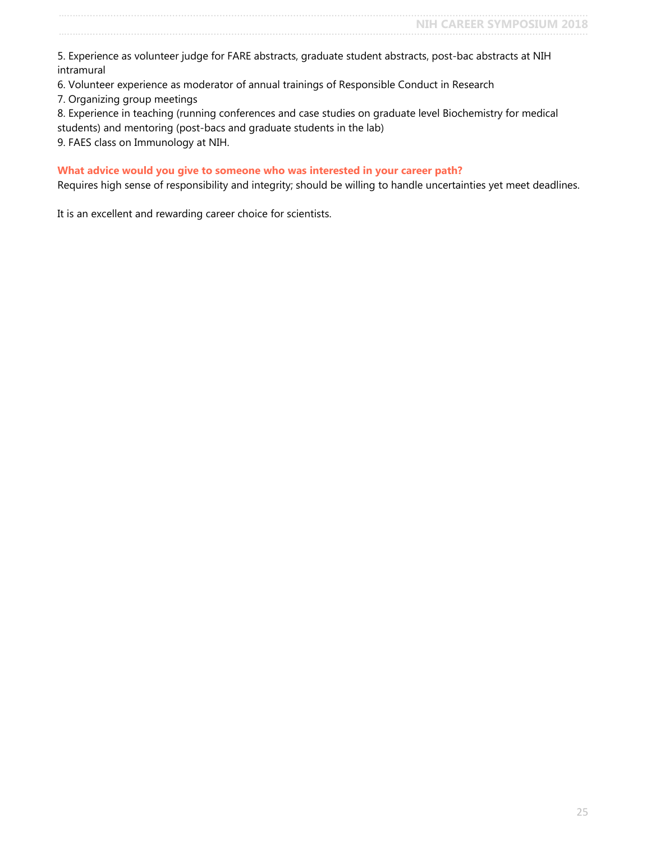5. Experience as volunteer judge for FARE abstracts, graduate student abstracts, post-bac abstracts at NIH intramural

- 6. Volunteer experience as moderator of annual trainings of Responsible Conduct in Research
- 7. Organizing group meetings

8. Experience in teaching (running conferences and case studies on graduate level Biochemistry for medical students) and mentoring (post-bacs and graduate students in the lab)

9. FAES class on Immunology at NIH.

#### **What advice would you give to someone who was interested in your career path?**

Requires high sense of responsibility and integrity; should be willing to handle uncertainties yet meet deadlines.

It is an excellent and rewarding career choice for scientists.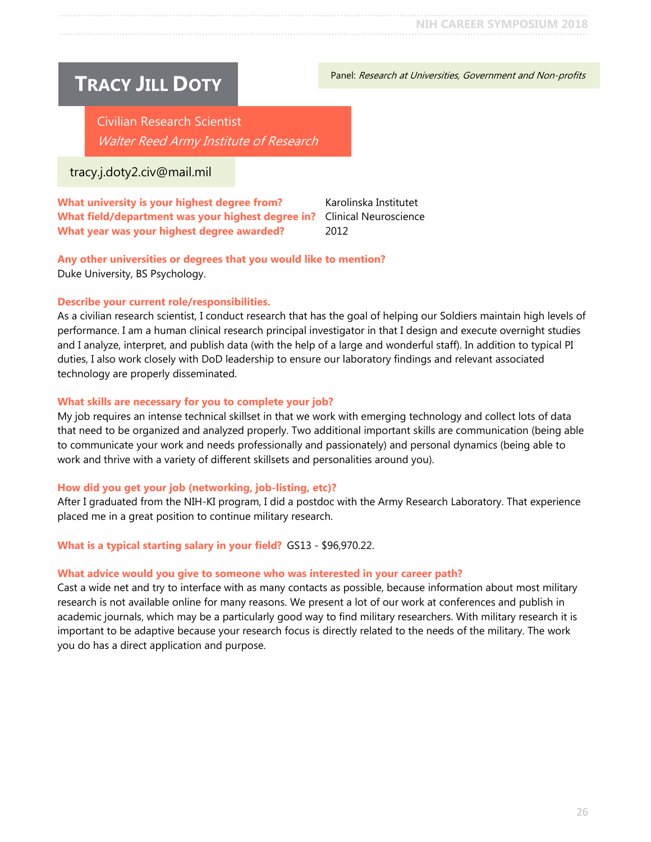# **TRACY JILL DOTY**

Panel: Research at Universities, Government and Non-profits

<span id="page-25-0"></span>Civilian Research Scientist Walter Reed Army Institute of Research

# tracy.j.doty2.civ@mail.mil

**What university is your highest degree from?** Karolinska Institutet **What field/department was your highest degree in?** Clinical Neuroscience **What year was your highest degree awarded?** 2012

**Any other universities or degrees that you would like to mention?**  Duke University, BS Psychology.

# **Describe your current role/responsibilities.**

As a civilian research scientist, I conduct research that has the goal of helping our Soldiers maintain high levels of performance. I am a human clinical research principal investigator in that I design and execute overnight studies and I analyze, interpret, and publish data (with the help of a large and wonderful staff). In addition to typical PI duties, I also work closely with DoD leadership to ensure our laboratory findings and relevant associated technology are properly disseminated.

# **What skills are necessary for you to complete your job?**

My job requires an intense technical skillset in that we work with emerging technology and collect lots of data that need to be organized and analyzed properly. Two additional important skills are communication (being able to communicate your work and needs professionally and passionately) and personal dynamics (being able to work and thrive with a variety of different skillsets and personalities around you).

# **How did you get your job (networking, job-listing, etc)?**

After I graduated from the NIH-KI program, I did a postdoc with the Army Research Laboratory. That experience placed me in a great position to continue military research.

# **What is a typical starting salary in your field?** GS13 - \$96,970.22.

# **What advice would you give to someone who was interested in your career path?**

Cast a wide net and try to interface with as many contacts as possible, because information about most military research is not available online for many reasons. We present a lot of our work at conferences and publish in academic journals, which may be a particularly good way to find military researchers. With military research it is important to be adaptive because your research focus is directly related to the needs of the military. The work you do has a direct application and purpose.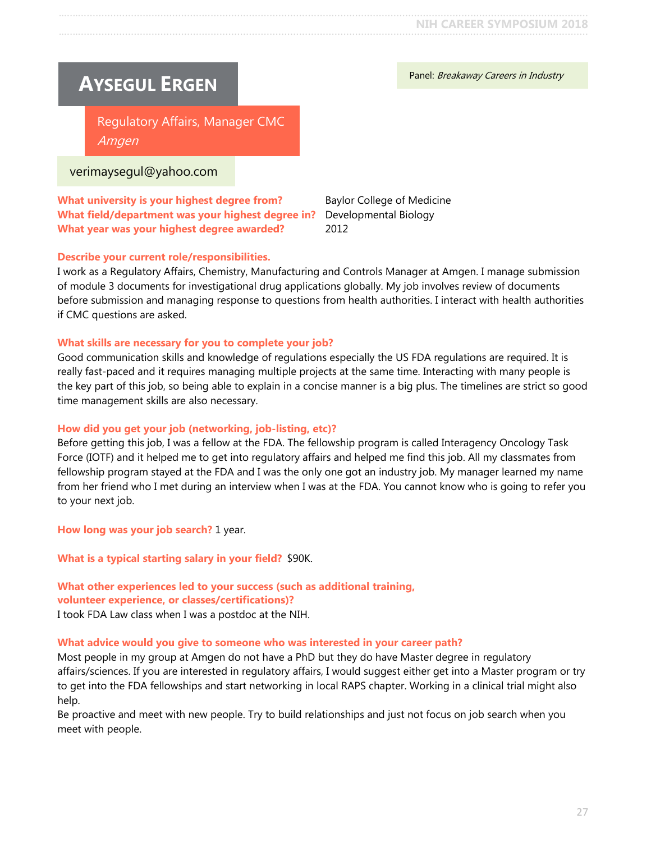#### Panel: Breakaway Careers in Industry

# **AYSEGUL ERGEN**

<span id="page-26-0"></span>Regulatory Affairs, Manager CMC Amgen

verimaysegul@yahoo.com

**What university is your highest degree from?** Baylor College of Medicine **What field/department was your highest degree in?** Developmental Biology **What year was your highest degree awarded?** 2012

#### **Describe your current role/responsibilities.**

I work as a Regulatory Affairs, Chemistry, Manufacturing and Controls Manager at Amgen. I manage submission of module 3 documents for investigational drug applications globally. My job involves review of documents before submission and managing response to questions from health authorities. I interact with health authorities if CMC questions are asked.

#### **What skills are necessary for you to complete your job?**

Good communication skills and knowledge of regulations especially the US FDA regulations are required. It is really fast-paced and it requires managing multiple projects at the same time. Interacting with many people is the key part of this job, so being able to explain in a concise manner is a big plus. The timelines are strict so good time management skills are also necessary.

#### **How did you get your job (networking, job-listing, etc)?**

Before getting this job, I was a fellow at the FDA. The fellowship program is called Interagency Oncology Task Force (IOTF) and it helped me to get into regulatory affairs and helped me find this job. All my classmates from fellowship program stayed at the FDA and I was the only one got an industry job. My manager learned my name from her friend who I met during an interview when I was at the FDA. You cannot know who is going to refer you to your next job.

**How long was your job search?** 1 year.

**What is a typical starting salary in your field?** \$90K.

#### **What other experiences led to your success (such as additional training, volunteer experience, or classes/certifications)?** I took FDA Law class when I was a postdoc at the NIH.

# **What advice would you give to someone who was interested in your career path?**

Most people in my group at Amgen do not have a PhD but they do have Master degree in regulatory affairs/sciences. If you are interested in regulatory affairs, I would suggest either get into a Master program or try to get into the FDA fellowships and start networking in local RAPS chapter. Working in a clinical trial might also help.

Be proactive and meet with new people. Try to build relationships and just not focus on job search when you meet with people.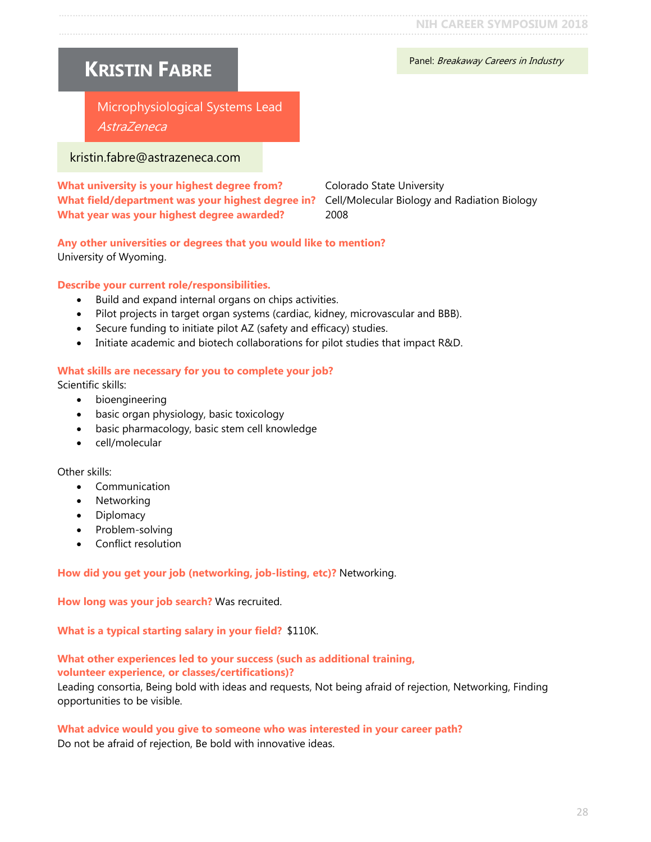#### Panel: Breakaway Careers in Industry

# <span id="page-27-0"></span>**KRISTIN FABRE**

Microphysiological Systems Lead AstraZeneca

kristin.fabre@astrazeneca.com

**What university is your highest degree from?** Colorado State University **What field/department was your highest degree in?** Cell/Molecular Biology and Radiation Biology **What year was your highest degree awarded?** 2008

**Any other universities or degrees that you would like to mention?**  University of Wyoming.

# **Describe your current role/responsibilities.**

- Build and expand internal organs on chips activities.
- Pilot projects in target organ systems (cardiac, kidney, microvascular and BBB).
- Secure funding to initiate pilot AZ (safety and efficacy) studies.
- Initiate academic and biotech collaborations for pilot studies that impact R&D.

#### **What skills are necessary for you to complete your job?**

Scientific skills:

- bioengineering
- basic organ physiology, basic toxicology
- basic pharmacology, basic stem cell knowledge
- cell/molecular

Other skills:

- Communication
- Networking
- Diplomacy
- Problem-solving
- Conflict resolution

**How did you get your job (networking, job-listing, etc)?** Networking.

**How long was your job search?** Was recruited.

**What is a typical starting salary in your field?** \$110K.

# **What other experiences led to your success (such as additional training, volunteer experience, or classes/certifications)?**

Leading consortia, Being bold with ideas and requests, Not being afraid of rejection, Networking, Finding opportunities to be visible.

#### **What advice would you give to someone who was interested in your career path?** Do not be afraid of rejection, Be bold with innovative ideas.

28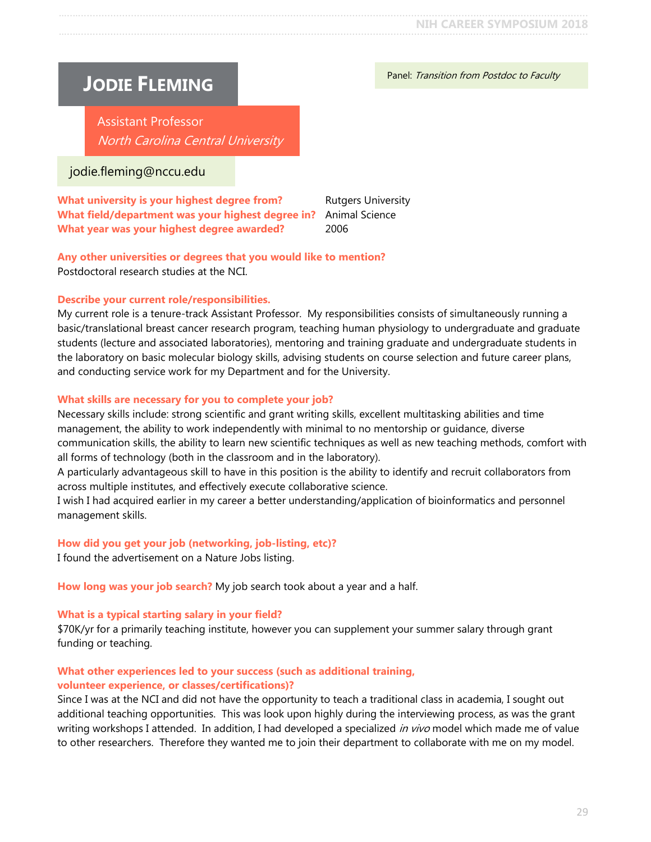#### Panel: Transition from Postdoc to Faculty

# <span id="page-28-0"></span>**JODIE FLEMING**

Assistant Professor North Carolina Central University

jodie.fleming@nccu.edu

**What university is your highest degree from?** Rutgers University **What field/department was your highest degree in?** Animal Science **What year was your highest degree awarded?** 2006

**Any other universities or degrees that you would like to mention?**  Postdoctoral research studies at the NCI.

#### **Describe your current role/responsibilities.**

My current role is a tenure-track Assistant Professor. My responsibilities consists of simultaneously running a basic/translational breast cancer research program, teaching human physiology to undergraduate and graduate students (lecture and associated laboratories), mentoring and training graduate and undergraduate students in the laboratory on basic molecular biology skills, advising students on course selection and future career plans, and conducting service work for my Department and for the University.

# **What skills are necessary for you to complete your job?**

Necessary skills include: strong scientific and grant writing skills, excellent multitasking abilities and time management, the ability to work independently with minimal to no mentorship or guidance, diverse communication skills, the ability to learn new scientific techniques as well as new teaching methods, comfort with all forms of technology (both in the classroom and in the laboratory).

A particularly advantageous skill to have in this position is the ability to identify and recruit collaborators from across multiple institutes, and effectively execute collaborative science.

I wish I had acquired earlier in my career a better understanding/application of bioinformatics and personnel management skills.

# **How did you get your job (networking, job-listing, etc)?**

I found the advertisement on a Nature Jobs listing.

**How long was your job search?** My job search took about a year and a half.

#### **What is a typical starting salary in your field?**

\$70K/yr for a primarily teaching institute, however you can supplement your summer salary through grant funding or teaching.

# **What other experiences led to your success (such as additional training, volunteer experience, or classes/certifications)?**

Since I was at the NCI and did not have the opportunity to teach a traditional class in academia, I sought out additional teaching opportunities. This was look upon highly during the interviewing process, as was the grant writing workshops I attended. In addition, I had developed a specialized in vivo model which made me of value to other researchers. Therefore they wanted me to join their department to collaborate with me on my model.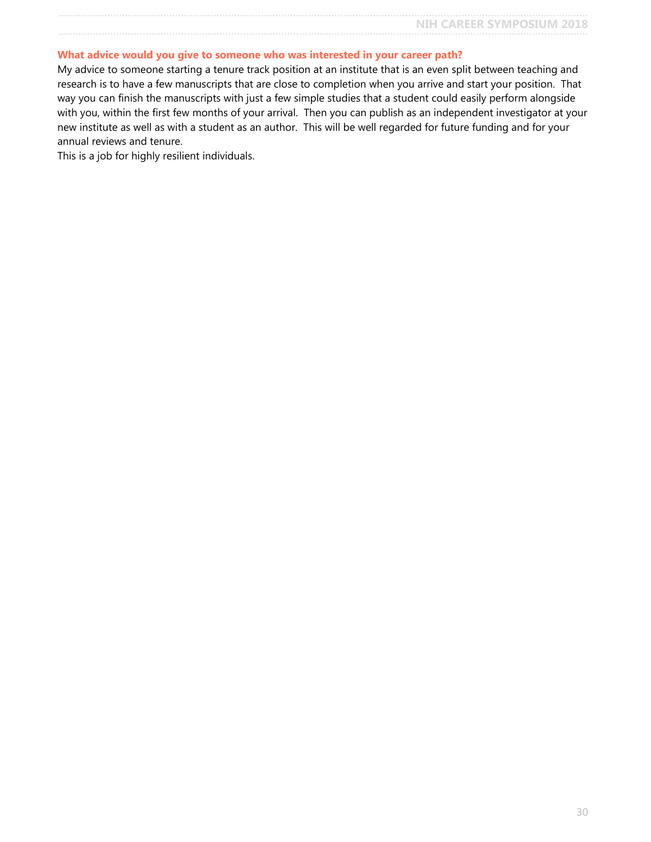# **What advice would you give to someone who was interested in your career path?**

My advice to someone starting a tenure track position at an institute that is an even split between teaching and research is to have a few manuscripts that are close to completion when you arrive and start your position. That way you can finish the manuscripts with just a few simple studies that a student could easily perform alongside with you, within the first few months of your arrival. Then you can publish as an independent investigator at your new institute as well as with a student as an author. This will be well regarded for future funding and for your annual reviews and tenure.

This is a job for highly resilient individuals.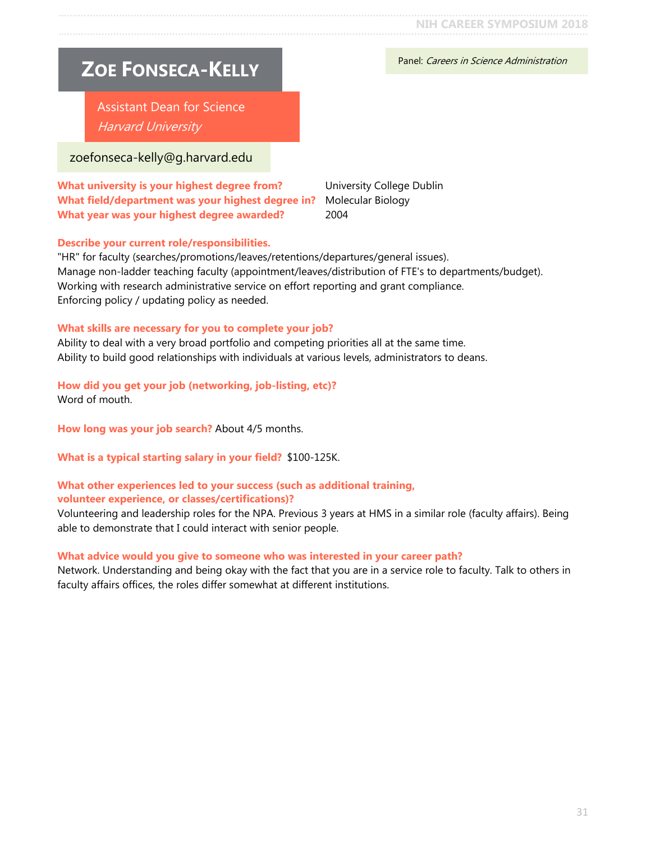Panel: Careers in Science Administration

# <span id="page-30-0"></span>**ZOE FONSECA-KELLY**

Assistant Dean for Science Harvard University

zoefonseca-kelly@g.harvard.edu

**What university is your highest degree from?** University College Dublin **What field/department was your highest degree in?** Molecular Biology **What year was your highest degree awarded?** 2004

# **Describe your current role/responsibilities.**

"HR" for faculty (searches/promotions/leaves/retentions/departures/general issues). Manage non-ladder teaching faculty (appointment/leaves/distribution of FTE's to departments/budget). Working with research administrative service on effort reporting and grant compliance. Enforcing policy / updating policy as needed.

# **What skills are necessary for you to complete your job?**

Ability to deal with a very broad portfolio and competing priorities all at the same time. Ability to build good relationships with individuals at various levels, administrators to deans.

**How did you get your job (networking, job-listing, etc)?** Word of mouth.

**How long was your job search?** About 4/5 months.

**What is a typical starting salary in your field?** \$100-125K.

# **What other experiences led to your success (such as additional training, volunteer experience, or classes/certifications)?**

Volunteering and leadership roles for the NPA. Previous 3 years at HMS in a similar role (faculty affairs). Being able to demonstrate that I could interact with senior people.

# **What advice would you give to someone who was interested in your career path?**

Network. Understanding and being okay with the fact that you are in a service role to faculty. Talk to others in faculty affairs offices, the roles differ somewhat at different institutions.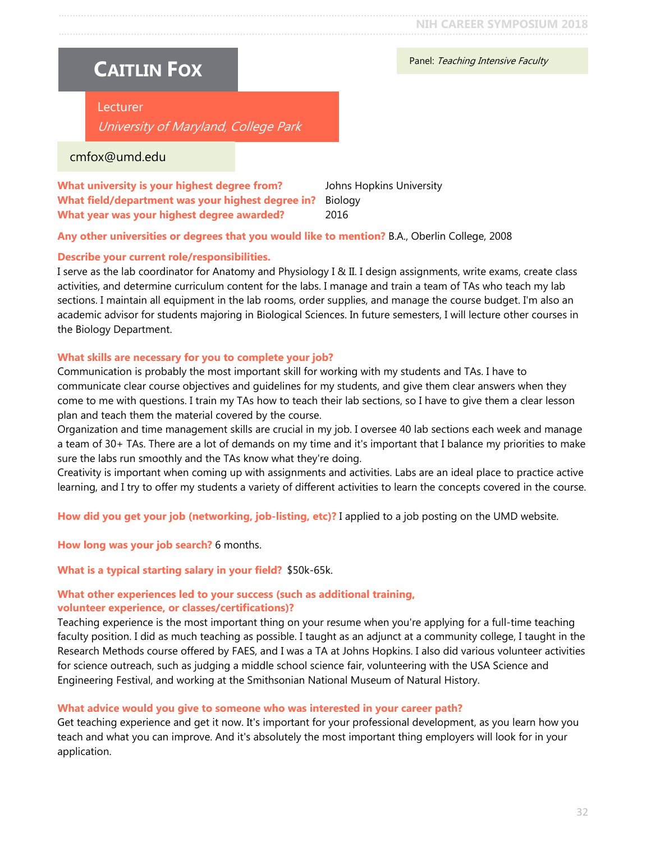Panel: Teaching Intensive Faculty

# <span id="page-31-0"></span>**CAITLIN FOX**

Lecturer University of Maryland, College Park

# cmfox@umd.edu

**What university is your highest degree from?** Johns Hopkins University **What field/department was your highest degree in?** Biology **What year was your highest degree awarded?** 2016

**Any other universities or degrees that you would like to mention?** B.A., Oberlin College, 2008

# **Describe your current role/responsibilities.**

I serve as the lab coordinator for Anatomy and Physiology I & II. I design assignments, write exams, create class activities, and determine curriculum content for the labs. I manage and train a team of TAs who teach my lab sections. I maintain all equipment in the lab rooms, order supplies, and manage the course budget. I'm also an academic advisor for students majoring in Biological Sciences. In future semesters, I will lecture other courses in the Biology Department.

# **What skills are necessary for you to complete your job?**

Communication is probably the most important skill for working with my students and TAs. I have to communicate clear course objectives and guidelines for my students, and give them clear answers when they come to me with questions. I train my TAs how to teach their lab sections, so I have to give them a clear lesson plan and teach them the material covered by the course.

Organization and time management skills are crucial in my job. I oversee 40 lab sections each week and manage a team of 30+ TAs. There are a lot of demands on my time and it's important that I balance my priorities to make sure the labs run smoothly and the TAs know what they're doing.

Creativity is important when coming up with assignments and activities. Labs are an ideal place to practice active learning, and I try to offer my students a variety of different activities to learn the concepts covered in the course.

**How did you get your job (networking, job-listing, etc)?** I applied to a job posting on the UMD website.

**How long was your job search?** 6 months.

**What is a typical starting salary in your field?** \$50k-65k.

# **What other experiences led to your success (such as additional training, volunteer experience, or classes/certifications)?**

Teaching experience is the most important thing on your resume when you're applying for a full-time teaching faculty position. I did as much teaching as possible. I taught as an adjunct at a community college, I taught in the Research Methods course offered by FAES, and I was a TA at Johns Hopkins. I also did various volunteer activities for science outreach, such as judging a middle school science fair, volunteering with the USA Science and Engineering Festival, and working at the Smithsonian National Museum of Natural History.

# **What advice would you give to someone who was interested in your career path?**

Get teaching experience and get it now. It's important for your professional development, as you learn how you teach and what you can improve. And it's absolutely the most important thing employers will look for in your application.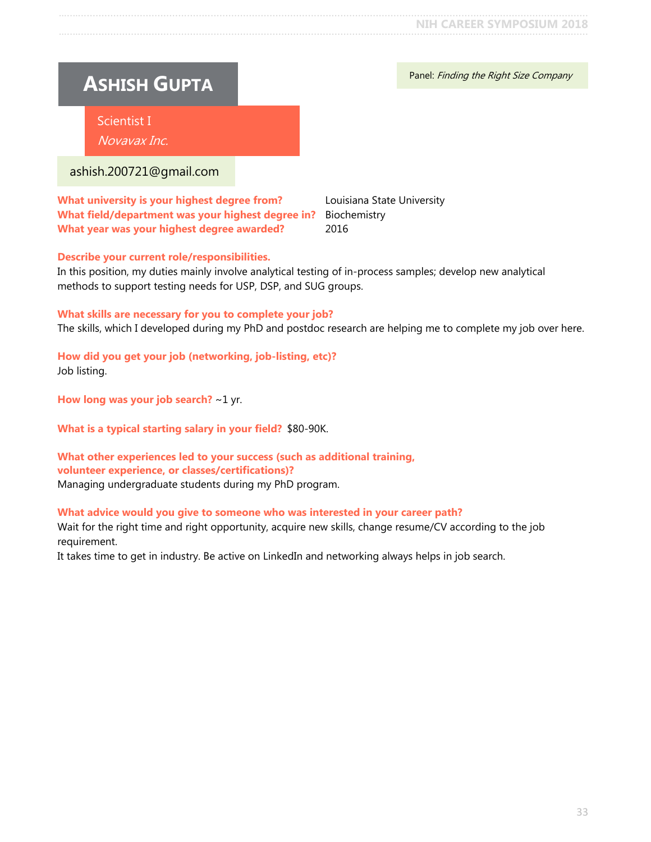Panel: Finding the Right Size Company

# <span id="page-32-0"></span>**ASHISH GUPTA**

Scientist I Novavax Inc.

# ashish.200721@gmail.com

**What university is your highest degree from?** Louisiana State University **What field/department was your highest degree in?** Biochemistry **What year was your highest degree awarded?** 2016

# **Describe your current role/responsibilities.**

In this position, my duties mainly involve analytical testing of in-process samples; develop new analytical methods to support testing needs for USP, DSP, and SUG groups.

# **What skills are necessary for you to complete your job?**

The skills, which I developed during my PhD and postdoc research are helping me to complete my job over here.

# **How did you get your job (networking, job-listing, etc)?** Job listing.

**How long was your job search?** ~1 yr.

**What is a typical starting salary in your field?** \$80-90K.

# **What other experiences led to your success (such as additional training, volunteer experience, or classes/certifications)?**

Managing undergraduate students during my PhD program.

# **What advice would you give to someone who was interested in your career path?**

Wait for the right time and right opportunity, acquire new skills, change resume/CV according to the job requirement.

It takes time to get in industry. Be active on LinkedIn and networking always helps in job search.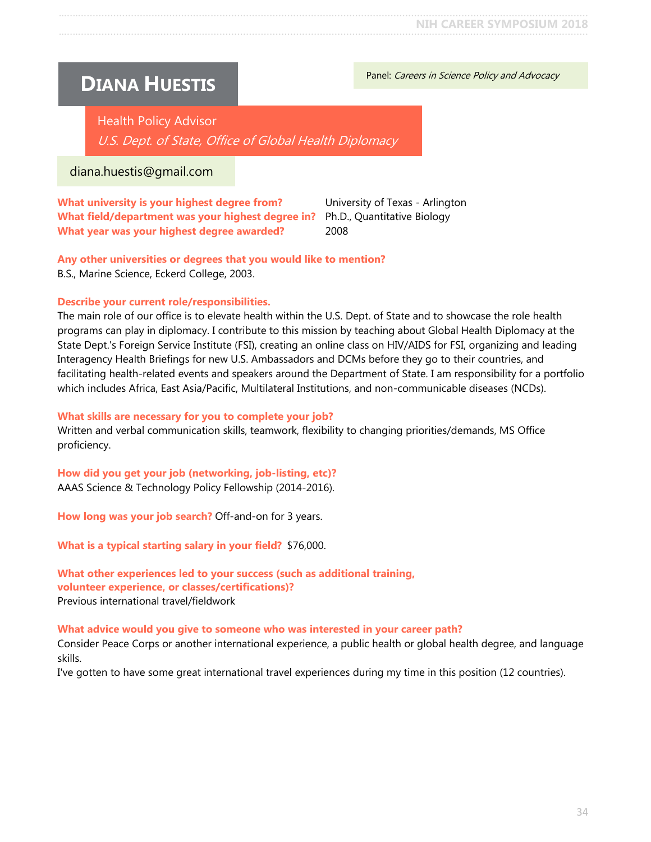# <span id="page-33-0"></span>**DIANA HUESTIS**

Panel: Careers in Science Policy and Advocacy

Health Policy Advisor U.S. Dept. of State, Office of Global Health Diplomacy

# diana.huestis@gmail.com

**What university is your highest degree from?** University of Texas - Arlington **What field/department was your highest degree in?** Ph.D., Quantitative Biology **What year was your highest degree awarded?** 2008

**Any other universities or degrees that you would like to mention?**  B.S., Marine Science, Eckerd College, 2003.

# **Describe your current role/responsibilities.**

The main role of our office is to elevate health within the U.S. Dept. of State and to showcase the role health programs can play in diplomacy. I contribute to this mission by teaching about Global Health Diplomacy at the State Dept.'s Foreign Service Institute (FSI), creating an online class on HIV/AIDS for FSI, organizing and leading Interagency Health Briefings for new U.S. Ambassadors and DCMs before they go to their countries, and facilitating health-related events and speakers around the Department of State. I am responsibility for a portfolio which includes Africa, East Asia/Pacific, Multilateral Institutions, and non-communicable diseases (NCDs).

# **What skills are necessary for you to complete your job?**

Written and verbal communication skills, teamwork, flexibility to changing priorities/demands, MS Office proficiency.

**How did you get your job (networking, job-listing, etc)?** AAAS Science & Technology Policy Fellowship (2014-2016).

**How long was your job search?** Off-and-on for 3 years.

**What is a typical starting salary in your field?** \$76,000.

**What other experiences led to your success (such as additional training, volunteer experience, or classes/certifications)?** Previous international travel/fieldwork

# **What advice would you give to someone who was interested in your career path?**

Consider Peace Corps or another international experience, a public health or global health degree, and language skills.

I've gotten to have some great international travel experiences during my time in this position (12 countries).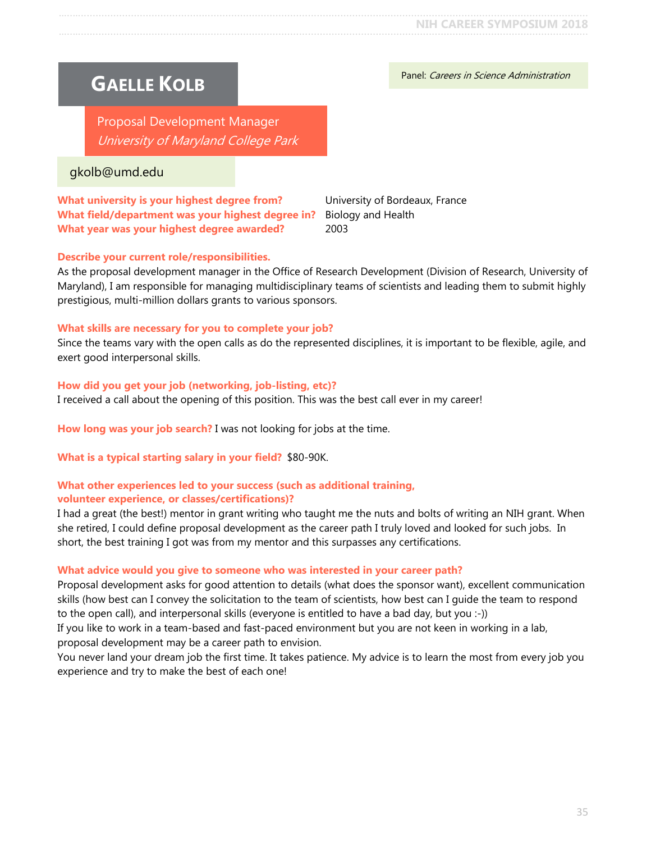Panel: Careers in Science Administration

# <span id="page-34-0"></span>**GAELLE KOLB**

Proposal Development Manager University of Maryland College Park

# gkolb@umd.edu

**What university is your highest degree from?** University of Bordeaux, France **What field/department was your highest degree in?** Biology and Health **What year was your highest degree awarded?** 2003

# **Describe your current role/responsibilities.**

As the proposal development manager in the Office of Research Development (Division of Research, University of Maryland), I am responsible for managing multidisciplinary teams of scientists and leading them to submit highly prestigious, multi-million dollars grants to various sponsors.

# **What skills are necessary for you to complete your job?**

Since the teams vary with the open calls as do the represented disciplines, it is important to be flexible, agile, and exert good interpersonal skills.

# **How did you get your job (networking, job-listing, etc)?**

I received a call about the opening of this position. This was the best call ever in my career!

**How long was your job search?** I was not looking for jobs at the time.

**What is a typical starting salary in your field?** \$80-90K.

# **What other experiences led to your success (such as additional training, volunteer experience, or classes/certifications)?**

I had a great (the best!) mentor in grant writing who taught me the nuts and bolts of writing an NIH grant. When she retired, I could define proposal development as the career path I truly loved and looked for such jobs. In short, the best training I got was from my mentor and this surpasses any certifications.

# **What advice would you give to someone who was interested in your career path?**

Proposal development asks for good attention to details (what does the sponsor want), excellent communication skills (how best can I convey the solicitation to the team of scientists, how best can I guide the team to respond to the open call), and interpersonal skills (everyone is entitled to have a bad day, but you :-))

If you like to work in a team-based and fast-paced environment but you are not keen in working in a lab, proposal development may be a career path to envision.

You never land your dream job the first time. It takes patience. My advice is to learn the most from every job you experience and try to make the best of each one!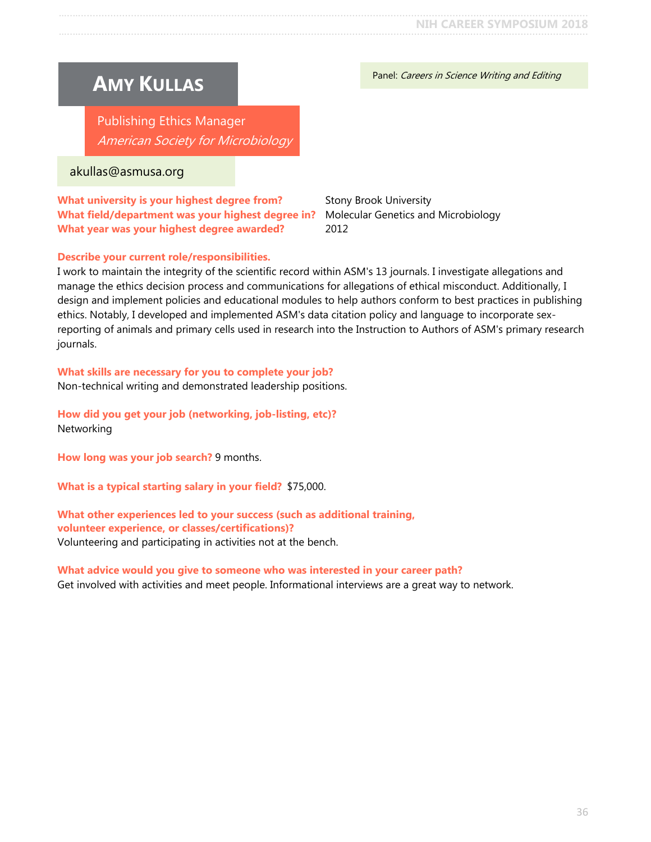Panel: Careers in Science Writing and Editing

# <span id="page-35-0"></span>**AMY KULLAS**

Publishing Ethics Manager American Society for Microbiology

# akullas@asmusa.org

**What university is your highest degree from?** Stony Brook University **What field/department was your highest degree in?** Molecular Genetics and Microbiology **What year was your highest degree awarded?** 2012

# **Describe your current role/responsibilities.**

I work to maintain the integrity of the scientific record within ASM's 13 journals. I investigate allegations and manage the ethics decision process and communications for allegations of ethical misconduct. Additionally, I design and implement policies and educational modules to help authors conform to best practices in publishing ethics. Notably, I developed and implemented ASM's data citation policy and language to incorporate sexreporting of animals and primary cells used in research into the Instruction to Authors of ASM's primary research journals.

**What skills are necessary for you to complete your job?** Non-technical writing and demonstrated leadership positions.

**How did you get your job (networking, job-listing, etc)?** Networking

**How long was your job search?** 9 months.

**What is a typical starting salary in your field?** \$75,000.

**What other experiences led to your success (such as additional training, volunteer experience, or classes/certifications)?** Volunteering and participating in activities not at the bench.

# **What advice would you give to someone who was interested in your career path?**

Get involved with activities and meet people. Informational interviews are a great way to network.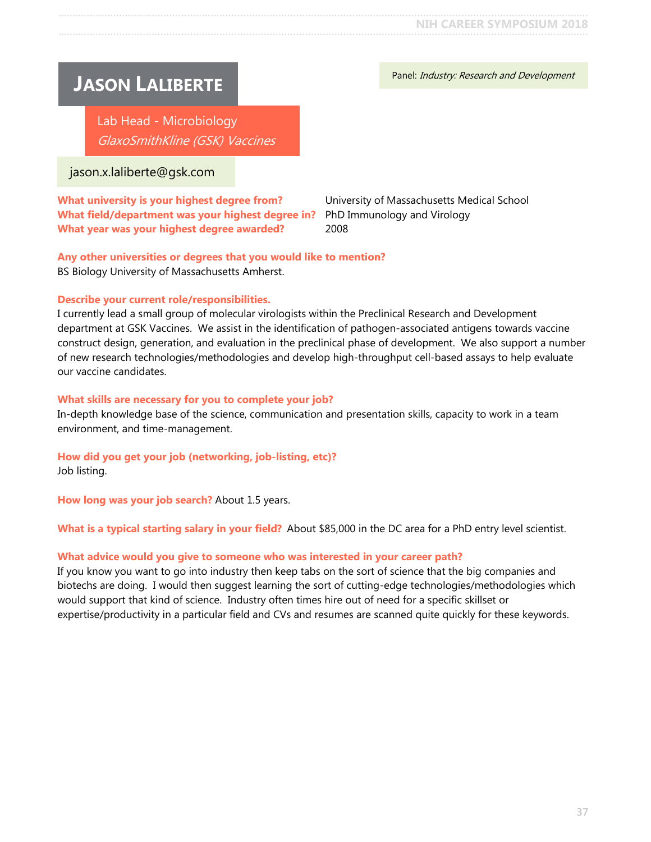Panel: Industry: Research and Development

## **JASON LALIBERTE**

Lab Head - Microbiology GlaxoSmithKline (GSK) Vaccines

## jason.x.laliberte@gsk.com

**What university is your highest degree from?** University of Massachusetts Medical School **What field/department was your highest degree in?** PhD Immunology and Virology **What year was your highest degree awarded?** 2008

#### **Any other universities or degrees that you would like to mention?**  BS Biology University of Massachusetts Amherst.

#### **Describe your current role/responsibilities.**

I currently lead a small group of molecular virologists within the Preclinical Research and Development department at GSK Vaccines. We assist in the identification of pathogen-associated antigens towards vaccine construct design, generation, and evaluation in the preclinical phase of development. We also support a number of new research technologies/methodologies and develop high-throughput cell-based assays to help evaluate our vaccine candidates.

#### **What skills are necessary for you to complete your job?**

In-depth knowledge base of the science, communication and presentation skills, capacity to work in a team environment, and time-management.

## **How did you get your job (networking, job-listing, etc)?**

Job listing.

**How long was your job search?** About 1.5 years.

**What is a typical starting salary in your field?** About \$85,000 in the DC area for a PhD entry level scientist.

#### **What advice would you give to someone who was interested in your career path?**

If you know you want to go into industry then keep tabs on the sort of science that the big companies and biotechs are doing. I would then suggest learning the sort of cutting-edge technologies/methodologies which would support that kind of science. Industry often times hire out of need for a specific skillset or expertise/productivity in a particular field and CVs and resumes are scanned quite quickly for these keywords.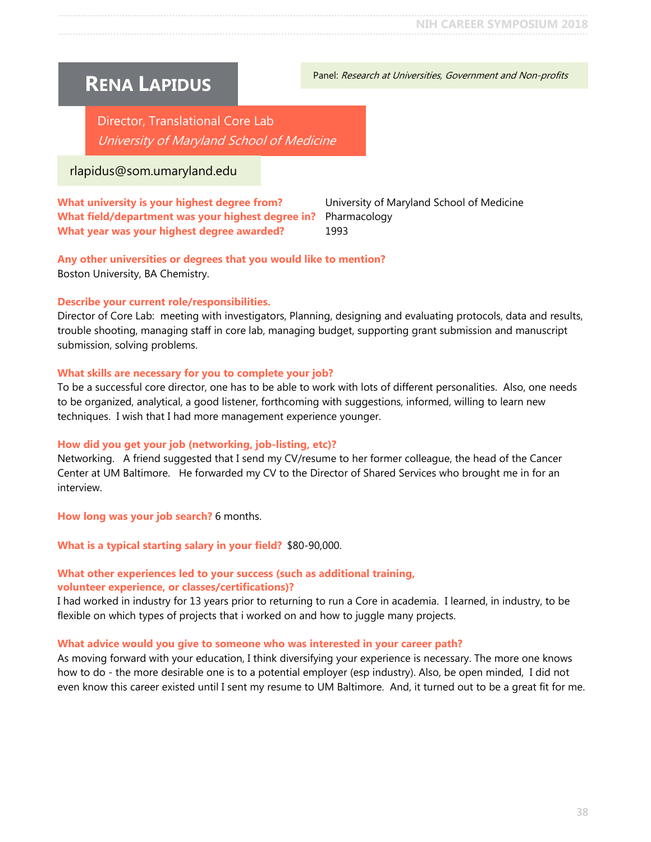## **RENA LAPIDUS**

Panel: Research at Universities, Government and Non-profits

Director, Translational Core Lab University of Maryland School of Medicine

## rlapidus@som.umaryland.edu

**What university is your highest degree from?** University of Maryland School of Medicine **What field/department was your highest degree in?** Pharmacology **What year was your highest degree awarded?** 1993

**Any other universities or degrees that you would like to mention?**  Boston University, BA Chemistry.

#### **Describe your current role/responsibilities.**

Director of Core Lab: meeting with investigators, Planning, designing and evaluating protocols, data and results, trouble shooting, managing staff in core lab, managing budget, supporting grant submission and manuscript submission, solving problems.

#### **What skills are necessary for you to complete your job?**

To be a successful core director, one has to be able to work with lots of different personalities. Also, one needs to be organized, analytical, a good listener, forthcoming with suggestions, informed, willing to learn new techniques. I wish that I had more management experience younger.

#### **How did you get your job (networking, job-listing, etc)?**

Networking. A friend suggested that I send my CV/resume to her former colleague, the head of the Cancer Center at UM Baltimore. He forwarded my CV to the Director of Shared Services who brought me in for an interview.

**How long was your job search?** 6 months.

**What is a typical starting salary in your field?** \$80-90,000.

#### **What other experiences led to your success (such as additional training, volunteer experience, or classes/certifications)?**

I had worked in industry for 13 years prior to returning to run a Core in academia. I learned, in industry, to be flexible on which types of projects that i worked on and how to juggle many projects.

#### **What advice would you give to someone who was interested in your career path?**

As moving forward with your education, I think diversifying your experience is necessary. The more one knows how to do - the more desirable one is to a potential employer (esp industry). Also, be open minded, I did not even know this career existed until I sent my resume to UM Baltimore. And, it turned out to be a great fit for me.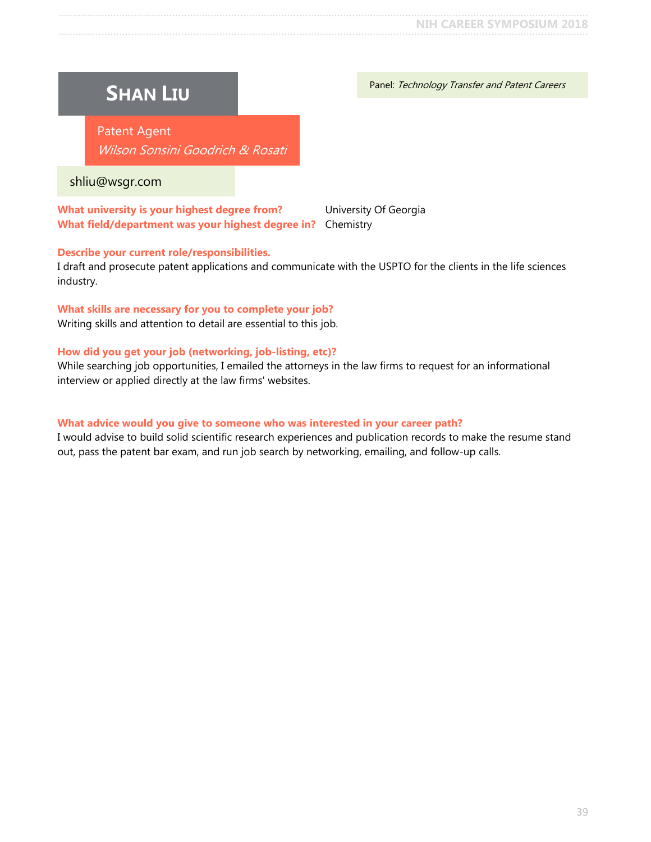Panel: Technology Transfer and Patent Careers

## **SHAN LIU**

Patent Agent Wilson Sonsini Goodrich & Rosati

## shliu@wsgr.com

**What university is your highest degree from?** University Of Georgia **What field/department was your highest degree in?** Chemistry

#### **Describe your current role/responsibilities.**

I draft and prosecute patent applications and communicate with the USPTO for the clients in the life sciences industry.

**What skills are necessary for you to complete your job?** Writing skills and attention to detail are essential to this job.

#### **How did you get your job (networking, job-listing, etc)?**

While searching job opportunities, I emailed the attorneys in the law firms to request for an informational interview or applied directly at the law firms' websites.

#### **What advice would you give to someone who was interested in your career path?**

I would advise to build solid scientific research experiences and publication records to make the resume stand out, pass the patent bar exam, and run job search by networking, emailing, and follow-up calls.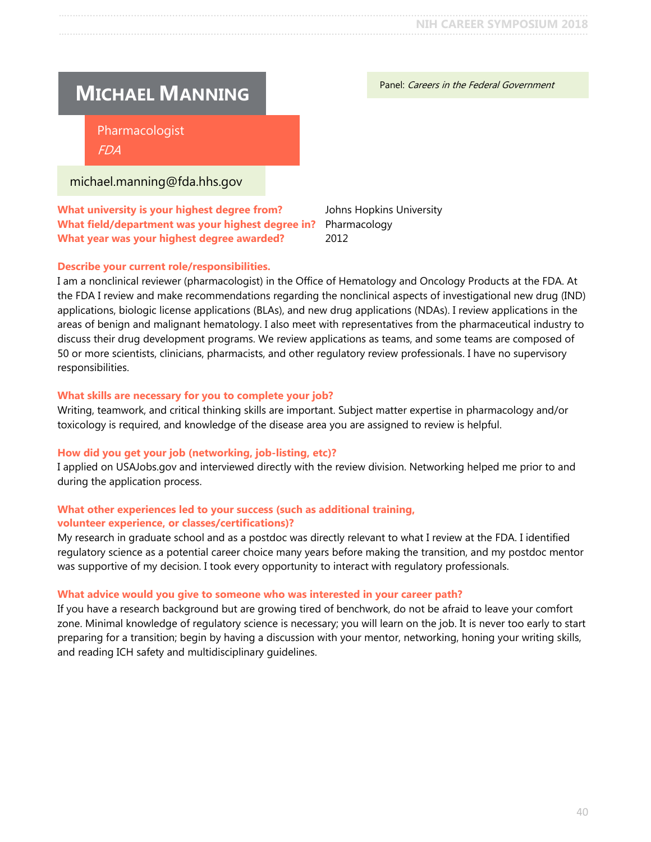# **MICHAEL MANNING**

Pharmacologist FDA

michael.manning@fda.hhs.gov

**What university is your highest degree from?** Johns Hopkins University **What field/department was your highest degree in?** Pharmacology **What year was your highest degree awarded?** 2012

### **Describe your current role/responsibilities.**

I am a nonclinical reviewer (pharmacologist) in the Office of Hematology and Oncology Products at the FDA. At the FDA I review and make recommendations regarding the nonclinical aspects of investigational new drug (IND) applications, biologic license applications (BLAs), and new drug applications (NDAs). I review applications in the areas of benign and malignant hematology. I also meet with representatives from the pharmaceutical industry to discuss their drug development programs. We review applications as teams, and some teams are composed of 50 or more scientists, clinicians, pharmacists, and other regulatory review professionals. I have no supervisory responsibilities.

#### **What skills are necessary for you to complete your job?**

Writing, teamwork, and critical thinking skills are important. Subject matter expertise in pharmacology and/or toxicology is required, and knowledge of the disease area you are assigned to review is helpful.

#### **How did you get your job (networking, job-listing, etc)?**

I applied on USAJobs.gov and interviewed directly with the review division. Networking helped me prior to and during the application process.

#### **What other experiences led to your success (such as additional training, volunteer experience, or classes/certifications)?**

My research in graduate school and as a postdoc was directly relevant to what I review at the FDA. I identified regulatory science as a potential career choice many years before making the transition, and my postdoc mentor was supportive of my decision. I took every opportunity to interact with regulatory professionals.

#### **What advice would you give to someone who was interested in your career path?**

If you have a research background but are growing tired of benchwork, do not be afraid to leave your comfort zone. Minimal knowledge of regulatory science is necessary; you will learn on the job. It is never too early to start preparing for a transition; begin by having a discussion with your mentor, networking, honing your writing skills, and reading ICH safety and multidisciplinary guidelines.

Panel: Careers in the Federal Government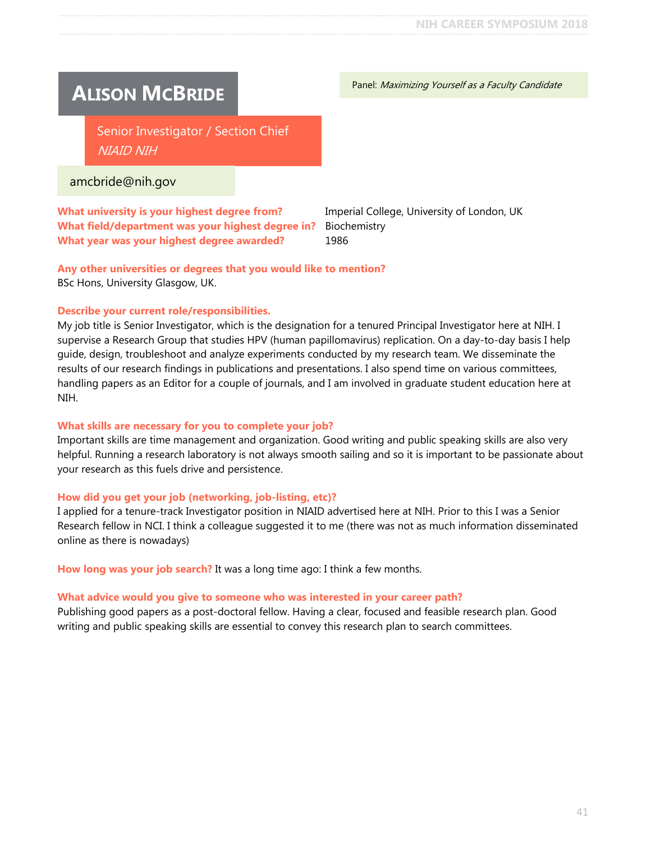# **ALISON MCBRIDE**

Senior Investigator / Section Chief NIAID NIH

## amcbride@nih.gov

**What university is your highest degree from?** Imperial College, University of London, UK **What field/department was your highest degree in?** Biochemistry **What year was your highest degree awarded?** 1986

Panel: Maximizing Yourself as a Faculty Candidate

**Any other universities or degrees that you would like to mention?**  BSc Hons, University Glasgow, UK.

## **Describe your current role/responsibilities.**

My job title is Senior Investigator, which is the designation for a tenured Principal Investigator here at NIH. I supervise a Research Group that studies HPV (human papillomavirus) replication. On a day-to-day basis I help guide, design, troubleshoot and analyze experiments conducted by my research team. We disseminate the results of our research findings in publications and presentations. I also spend time on various committees, handling papers as an Editor for a couple of journals, and I am involved in graduate student education here at NIH.

## **What skills are necessary for you to complete your job?**

Important skills are time management and organization. Good writing and public speaking skills are also very helpful. Running a research laboratory is not always smooth sailing and so it is important to be passionate about your research as this fuels drive and persistence.

## **How did you get your job (networking, job-listing, etc)?**

I applied for a tenure-track Investigator position in NIAID advertised here at NIH. Prior to this I was a Senior Research fellow in NCI. I think a colleague suggested it to me (there was not as much information disseminated online as there is nowadays)

**How long was your job search?** It was a long time ago: I think a few months.

## **What advice would you give to someone who was interested in your career path?**

Publishing good papers as a post-doctoral fellow. Having a clear, focused and feasible research plan. Good writing and public speaking skills are essential to convey this research plan to search committees.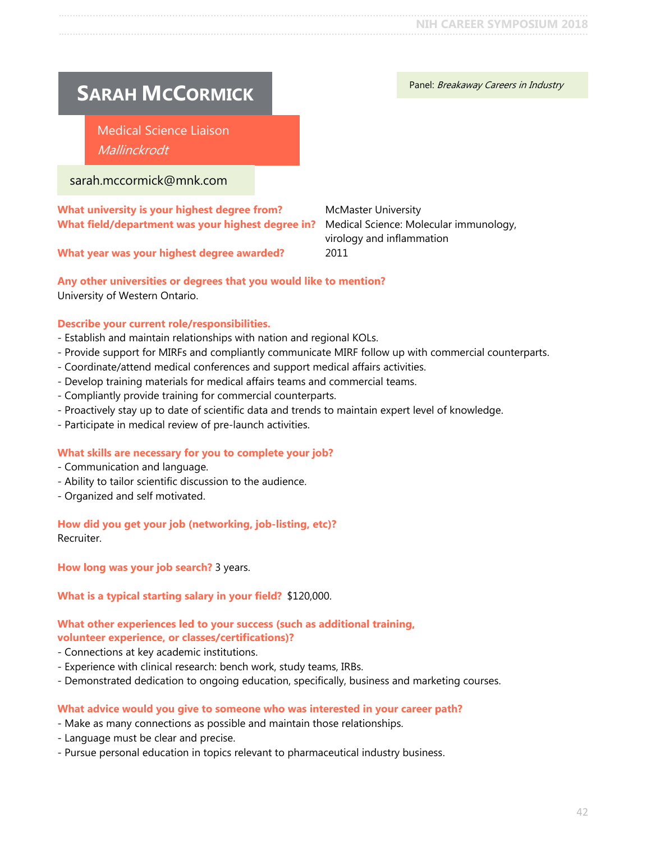# **SARAH MCCORMICK** Panel: Breakaway Careers in Industry

Medical Science Liaison **Mallinckrodt** 

sarah.mccormick@mnk.com

**What university is your highest degree from?** McMaster University **What field/department was your highest degree in?** Medical Science: Molecular immunology,

virology and inflammation

**What year was your highest degree awarded?** 2011

**Any other universities or degrees that you would like to mention?**  University of Western Ontario.

#### **Describe your current role/responsibilities.**

- Establish and maintain relationships with nation and regional KOLs.
- Provide support for MIRFs and compliantly communicate MIRF follow up with commercial counterparts.
- Coordinate/attend medical conferences and support medical affairs activities.
- Develop training materials for medical affairs teams and commercial teams.
- Compliantly provide training for commercial counterparts.
- Proactively stay up to date of scientific data and trends to maintain expert level of knowledge.
- Participate in medical review of pre-launch activities.

#### **What skills are necessary for you to complete your job?**

- Communication and language.
- Ability to tailor scientific discussion to the audience.
- Organized and self motivated.

**How did you get your job (networking, job-listing, etc)?**

Recruiter.

**How long was your job search?** 3 years.

**What is a typical starting salary in your field?** \$120,000.

#### **What other experiences led to your success (such as additional training, volunteer experience, or classes/certifications)?**

- Connections at key academic institutions.
- Experience with clinical research: bench work, study teams, IRBs.
- Demonstrated dedication to ongoing education, specifically, business and marketing courses.

#### **What advice would you give to someone who was interested in your career path?**

- Make as many connections as possible and maintain those relationships.
- Language must be clear and precise.
- Pursue personal education in topics relevant to pharmaceutical industry business.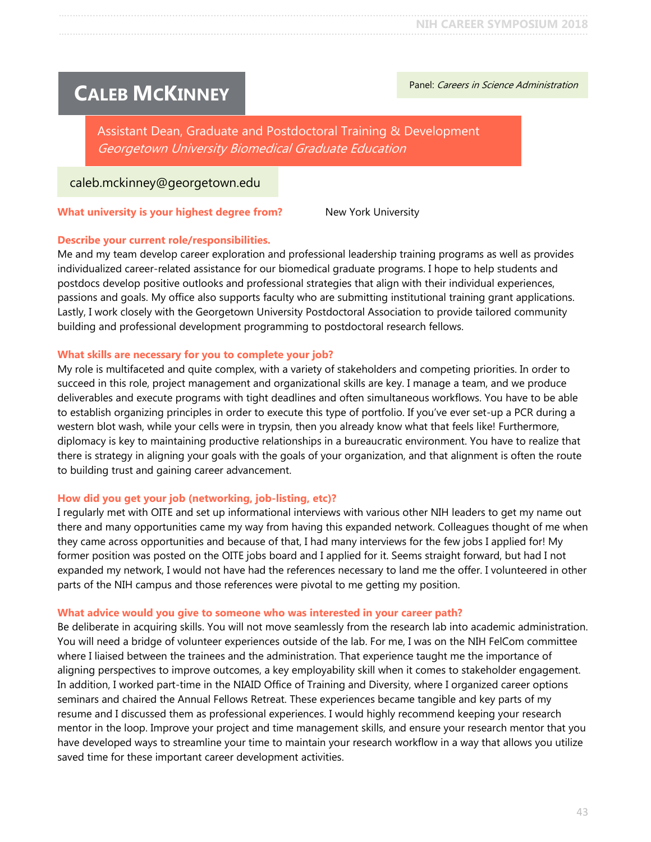## **CALEB MCKINNEY**

Panel: Careers in Science Administration

Assistant Dean, Graduate and Postdoctoral Training & Development Georgetown University Biomedical Graduate Education

caleb.mckinney@georgetown.edu

**What university is your highest degree from?** New York University

#### **Describe your current role/responsibilities.**

Me and my team develop career exploration and professional leadership training programs as well as provides individualized career-related assistance for our biomedical graduate programs. I hope to help students and postdocs develop positive outlooks and professional strategies that align with their individual experiences, passions and goals. My office also supports faculty who are submitting institutional training grant applications. Lastly, I work closely with the Georgetown University Postdoctoral Association to provide tailored community building and professional development programming to postdoctoral research fellows.

#### **What skills are necessary for you to complete your job?**

My role is multifaceted and quite complex, with a variety of stakeholders and competing priorities. In order to succeed in this role, project management and organizational skills are key. I manage a team, and we produce deliverables and execute programs with tight deadlines and often simultaneous workflows. You have to be able to establish organizing principles in order to execute this type of portfolio. If you've ever set-up a PCR during a western blot wash, while your cells were in trypsin, then you already know what that feels like! Furthermore, diplomacy is key to maintaining productive relationships in a bureaucratic environment. You have to realize that there is strategy in aligning your goals with the goals of your organization, and that alignment is often the route to building trust and gaining career advancement.

#### **How did you get your job (networking, job-listing, etc)?**

I regularly met with OITE and set up informational interviews with various other NIH leaders to get my name out there and many opportunities came my way from having this expanded network. Colleagues thought of me when they came across opportunities and because of that, I had many interviews for the few jobs I applied for! My former position was posted on the OITE jobs board and I applied for it. Seems straight forward, but had I not expanded my network, I would not have had the references necessary to land me the offer. I volunteered in other parts of the NIH campus and those references were pivotal to me getting my position.

#### **What advice would you give to someone who was interested in your career path?**

Be deliberate in acquiring skills. You will not move seamlessly from the research lab into academic administration. You will need a bridge of volunteer experiences outside of the lab. For me, I was on the NIH FelCom committee where I liaised between the trainees and the administration. That experience taught me the importance of aligning perspectives to improve outcomes, a key employability skill when it comes to stakeholder engagement. In addition, I worked part-time in the NIAID Office of Training and Diversity, where I organized career options seminars and chaired the Annual Fellows Retreat. These experiences became tangible and key parts of my resume and I discussed them as professional experiences. I would highly recommend keeping your research mentor in the loop. Improve your project and time management skills, and ensure your research mentor that you have developed ways to streamline your time to maintain your research workflow in a way that allows you utilize saved time for these important career development activities.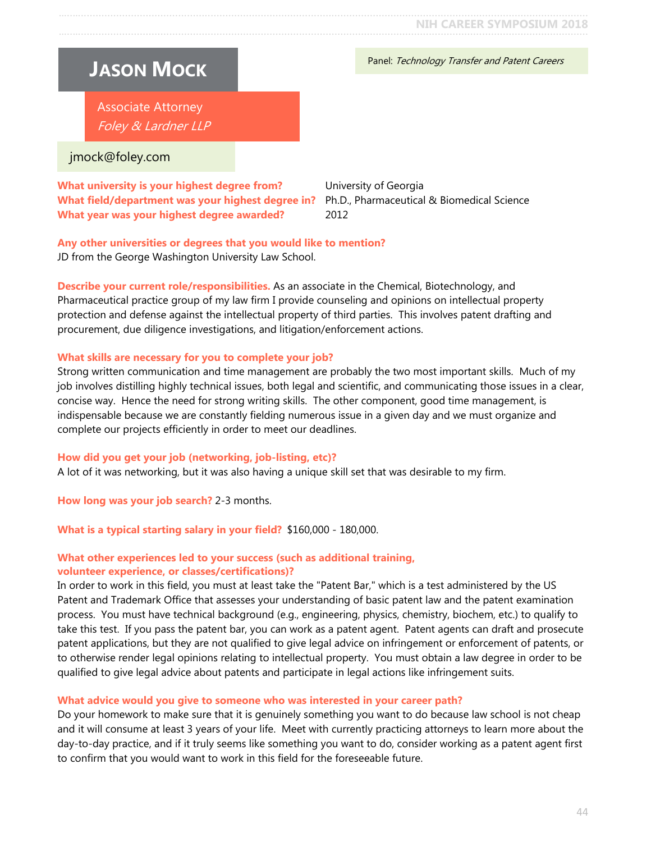Panel: Technology Transfer and Patent Careers

# **JASON MOCK**

Associate Attorney Foley & Lardner LLP

jmock@foley.com

**What university is your highest degree from?** University of Georgia **What field/department was your highest degree in?** Ph.D., Pharmaceutical & Biomedical Science **What year was your highest degree awarded?** 2012

**Any other universities or degrees that you would like to mention?**  JD from the George Washington University Law School.

**Describe your current role/responsibilities.** As an associate in the Chemical, Biotechnology, and Pharmaceutical practice group of my law firm I provide counseling and opinions on intellectual property protection and defense against the intellectual property of third parties. This involves patent drafting and procurement, due diligence investigations, and litigation/enforcement actions.

#### **What skills are necessary for you to complete your job?**

Strong written communication and time management are probably the two most important skills. Much of my job involves distilling highly technical issues, both legal and scientific, and communicating those issues in a clear, concise way. Hence the need for strong writing skills. The other component, good time management, is indispensable because we are constantly fielding numerous issue in a given day and we must organize and complete our projects efficiently in order to meet our deadlines.

#### **How did you get your job (networking, job-listing, etc)?**

A lot of it was networking, but it was also having a unique skill set that was desirable to my firm.

**How long was your job search?** 2-3 months.

**What is a typical starting salary in your field?** \$160,000 - 180,000.

#### **What other experiences led to your success (such as additional training, volunteer experience, or classes/certifications)?**

In order to work in this field, you must at least take the "Patent Bar," which is a test administered by the US Patent and Trademark Office that assesses your understanding of basic patent law and the patent examination process. You must have technical background (e.g., engineering, physics, chemistry, biochem, etc.) to qualify to take this test. If you pass the patent bar, you can work as a patent agent. Patent agents can draft and prosecute patent applications, but they are not qualified to give legal advice on infringement or enforcement of patents, or to otherwise render legal opinions relating to intellectual property. You must obtain a law degree in order to be qualified to give legal advice about patents and participate in legal actions like infringement suits.

#### **What advice would you give to someone who was interested in your career path?**

Do your homework to make sure that it is genuinely something you want to do because law school is not cheap and it will consume at least 3 years of your life. Meet with currently practicing attorneys to learn more about the day-to-day practice, and if it truly seems like something you want to do, consider working as a patent agent first to confirm that you would want to work in this field for the foreseeable future.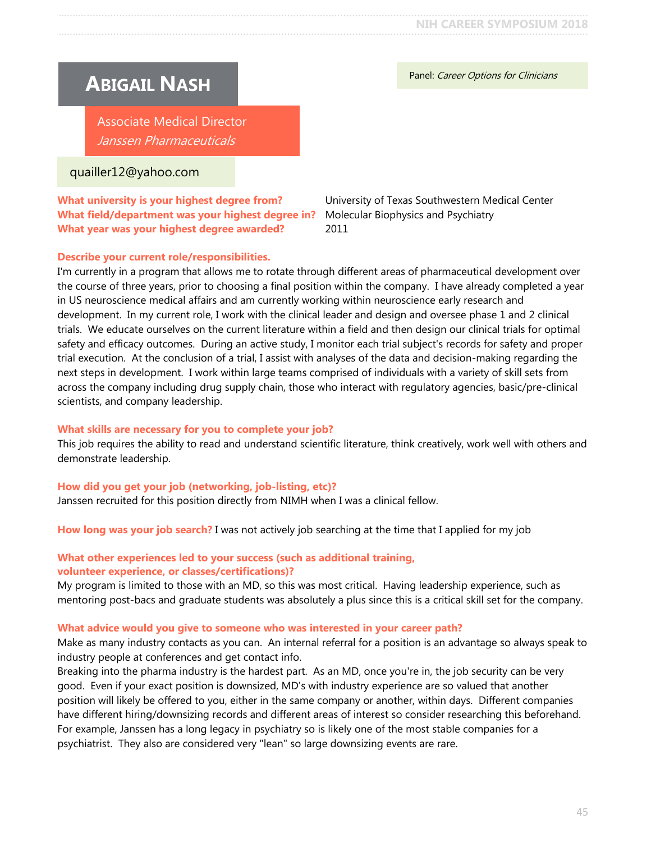## Panel: Career Options for Clinicians

## **ABIGAIL NASH**

Associate Medical Director Janssen Pharmaceuticals

## quailler12@yahoo.com

**What university is your highest degree from?** University of Texas Southwestern Medical Center **What field/department was your highest degree in?** Molecular Biophysics and Psychiatry **What year was your highest degree awarded?** 2011

#### **Describe your current role/responsibilities.**

I'm currently in a program that allows me to rotate through different areas of pharmaceutical development over the course of three years, prior to choosing a final position within the company. I have already completed a year in US neuroscience medical affairs and am currently working within neuroscience early research and development. In my current role, I work with the clinical leader and design and oversee phase 1 and 2 clinical trials. We educate ourselves on the current literature within a field and then design our clinical trials for optimal safety and efficacy outcomes. During an active study, I monitor each trial subject's records for safety and proper trial execution. At the conclusion of a trial, I assist with analyses of the data and decision-making regarding the next steps in development. I work within large teams comprised of individuals with a variety of skill sets from across the company including drug supply chain, those who interact with regulatory agencies, basic/pre-clinical scientists, and company leadership.

#### **What skills are necessary for you to complete your job?**

This job requires the ability to read and understand scientific literature, think creatively, work well with others and demonstrate leadership.

#### **How did you get your job (networking, job-listing, etc)?**

Janssen recruited for this position directly from NIMH when I was a clinical fellow.

**How long was your job search?** I was not actively job searching at the time that I applied for my job

#### **What other experiences led to your success (such as additional training, volunteer experience, or classes/certifications)?**

My program is limited to those with an MD, so this was most critical. Having leadership experience, such as mentoring post-bacs and graduate students was absolutely a plus since this is a critical skill set for the company.

#### **What advice would you give to someone who was interested in your career path?**

Make as many industry contacts as you can. An internal referral for a position is an advantage so always speak to industry people at conferences and get contact info.

Breaking into the pharma industry is the hardest part. As an MD, once you're in, the job security can be very good. Even if your exact position is downsized, MD's with industry experience are so valued that another position will likely be offered to you, either in the same company or another, within days. Different companies have different hiring/downsizing records and different areas of interest so consider researching this beforehand. For example, Janssen has a long legacy in psychiatry so is likely one of the most stable companies for a psychiatrist. They also are considered very "lean" so large downsizing events are rare.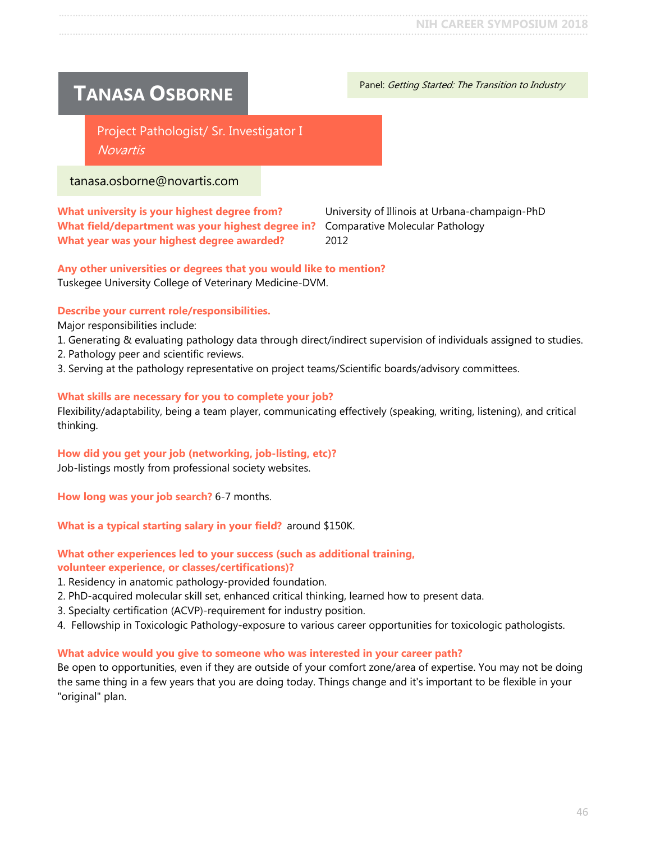# **TANASA OSBORNE**

Project Pathologist/ Sr. Investigator I **Novartis** 

## tanasa.osborne@novartis.com

**What university is your highest degree from?** University of Illinois at Urbana-champaign-PhD **What field/department was your highest degree in?** Comparative Molecular Pathology **What year was your highest degree awarded?** 2012

Panel: Getting Started: The Transition to Industry

**Any other universities or degrees that you would like to mention?**  Tuskegee University College of Veterinary Medicine-DVM.

## **Describe your current role/responsibilities.**

Major responsibilities include:

- 1. Generating & evaluating pathology data through direct/indirect supervision of individuals assigned to studies.
- 2. Pathology peer and scientific reviews.
- 3. Serving at the pathology representative on project teams/Scientific boards/advisory committees.

## **What skills are necessary for you to complete your job?**

Flexibility/adaptability, being a team player, communicating effectively (speaking, writing, listening), and critical thinking.

## **How did you get your job (networking, job-listing, etc)?**

Job-listings mostly from professional society websites.

**How long was your job search?** 6-7 months.

**What is a typical starting salary in your field?** around \$150K.

## **What other experiences led to your success (such as additional training, volunteer experience, or classes/certifications)?**

- 1. Residency in anatomic pathology-provided foundation.
- 2. PhD-acquired molecular skill set, enhanced critical thinking, learned how to present data.
- 3. Specialty certification (ACVP)-requirement for industry position.
- 4. Fellowship in Toxicologic Pathology-exposure to various career opportunities for toxicologic pathologists.

## **What advice would you give to someone who was interested in your career path?**

Be open to opportunities, even if they are outside of your comfort zone/area of expertise. You may not be doing the same thing in a few years that you are doing today. Things change and it's important to be flexible in your "original" plan.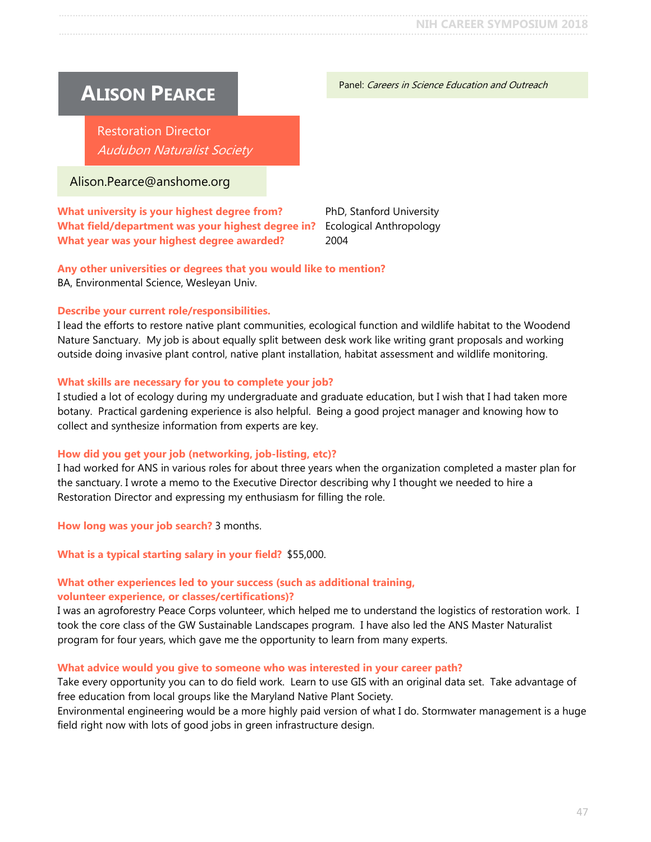# **ALISON PEARCE**

Restoration Director Audubon Naturalist Society

Alison.Pearce@anshome.org

**What university is your highest degree from?** PhD, Stanford University **What field/department was your highest degree in?** Ecological Anthropology **What year was your highest degree awarded?** 2004

**Any other universities or degrees that you would like to mention?**  BA, Environmental Science, Wesleyan Univ.

#### **Describe your current role/responsibilities.**

I lead the efforts to restore native plant communities, ecological function and wildlife habitat to the Woodend Nature Sanctuary. My job is about equally split between desk work like writing grant proposals and working outside doing invasive plant control, native plant installation, habitat assessment and wildlife monitoring.

#### **What skills are necessary for you to complete your job?**

I studied a lot of ecology during my undergraduate and graduate education, but I wish that I had taken more botany. Practical gardening experience is also helpful. Being a good project manager and knowing how to collect and synthesize information from experts are key.

## **How did you get your job (networking, job-listing, etc)?**

I had worked for ANS in various roles for about three years when the organization completed a master plan for the sanctuary. I wrote a memo to the Executive Director describing why I thought we needed to hire a Restoration Director and expressing my enthusiasm for filling the role.

**How long was your job search?** 3 months.

**What is a typical starting salary in your field?** \$55,000.

#### **What other experiences led to your success (such as additional training, volunteer experience, or classes/certifications)?**

I was an agroforestry Peace Corps volunteer, which helped me to understand the logistics of restoration work. I took the core class of the GW Sustainable Landscapes program. I have also led the ANS Master Naturalist program for four years, which gave me the opportunity to learn from many experts.

#### **What advice would you give to someone who was interested in your career path?**

Take every opportunity you can to do field work. Learn to use GIS with an original data set. Take advantage of free education from local groups like the Maryland Native Plant Society.

Environmental engineering would be a more highly paid version of what I do. Stormwater management is a huge field right now with lots of good jobs in green infrastructure design.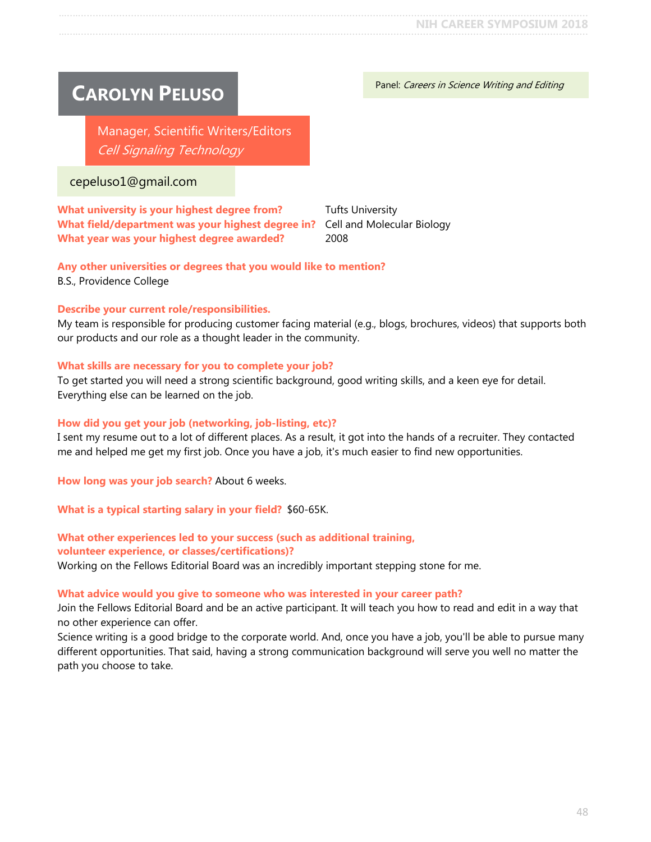Panel: Careers in Science Writing and Editing

# **CAROLYN PELUSO**

Manager, Scientific Writers/Editors Cell Signaling Technology

## cepeluso1@gmail.com

**What university is your highest degree from?** Tufts University **What field/department was your highest degree in?** Cell and Molecular Biology **What year was your highest degree awarded?** 2008

**Any other universities or degrees that you would like to mention?**  B.S., Providence College

### **Describe your current role/responsibilities.**

My team is responsible for producing customer facing material (e.g., blogs, brochures, videos) that supports both our products and our role as a thought leader in the community.

### **What skills are necessary for you to complete your job?**

To get started you will need a strong scientific background, good writing skills, and a keen eye for detail. Everything else can be learned on the job.

#### **How did you get your job (networking, job-listing, etc)?**

I sent my resume out to a lot of different places. As a result, it got into the hands of a recruiter. They contacted me and helped me get my first job. Once you have a job, it's much easier to find new opportunities.

**How long was your job search?** About 6 weeks.

**What is a typical starting salary in your field?** \$60-65K.

#### **What other experiences led to your success (such as additional training, volunteer experience, or classes/certifications)?**

Working on the Fellows Editorial Board was an incredibly important stepping stone for me.

#### **What advice would you give to someone who was interested in your career path?**

Join the Fellows Editorial Board and be an active participant. It will teach you how to read and edit in a way that no other experience can offer.

Science writing is a good bridge to the corporate world. And, once you have a job, you'll be able to pursue many different opportunities. That said, having a strong communication background will serve you well no matter the path you choose to take.

48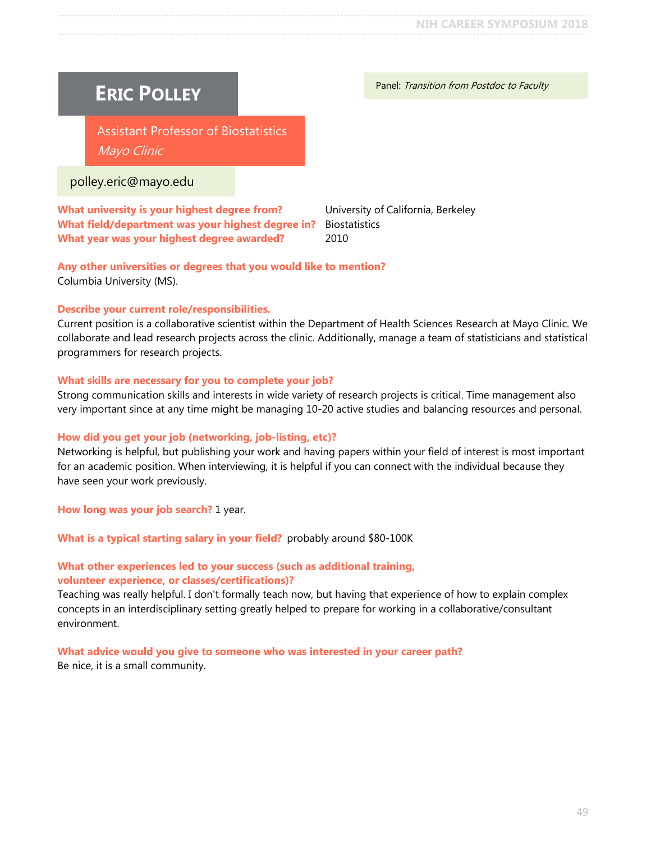# **ERIC POLLEY**

Assistant Professor of Biostatistics Mayo Clinic

## polley.eric@mayo.edu

**What university is your highest degree from?** University of California, Berkeley **What field/department was your highest degree in?** Biostatistics **What year was your highest degree awarded?** 2010

**Any other universities or degrees that you would like to mention?**  Columbia University (MS).

#### **Describe your current role/responsibilities.**

Current position is a collaborative scientist within the Department of Health Sciences Research at Mayo Clinic. We collaborate and lead research projects across the clinic. Additionally, manage a team of statisticians and statistical programmers for research projects.

#### **What skills are necessary for you to complete your job?**

Strong communication skills and interests in wide variety of research projects is critical. Time management also very important since at any time might be managing 10-20 active studies and balancing resources and personal.

#### **How did you get your job (networking, job-listing, etc)?**

Networking is helpful, but publishing your work and having papers within your field of interest is most important for an academic position. When interviewing, it is helpful if you can connect with the individual because they have seen your work previously.

**How long was your job search?** 1 year.

**What is a typical starting salary in your field?** probably around \$80-100K

#### **What other experiences led to your success (such as additional training, volunteer experience, or classes/certifications)?**

Teaching was really helpful. I don't formally teach now, but having that experience of how to explain complex concepts in an interdisciplinary setting greatly helped to prepare for working in a collaborative/consultant environment.

**What advice would you give to someone who was interested in your career path?** Be nice, it is a small community.

Panel: Transition from Postdoc to Faculty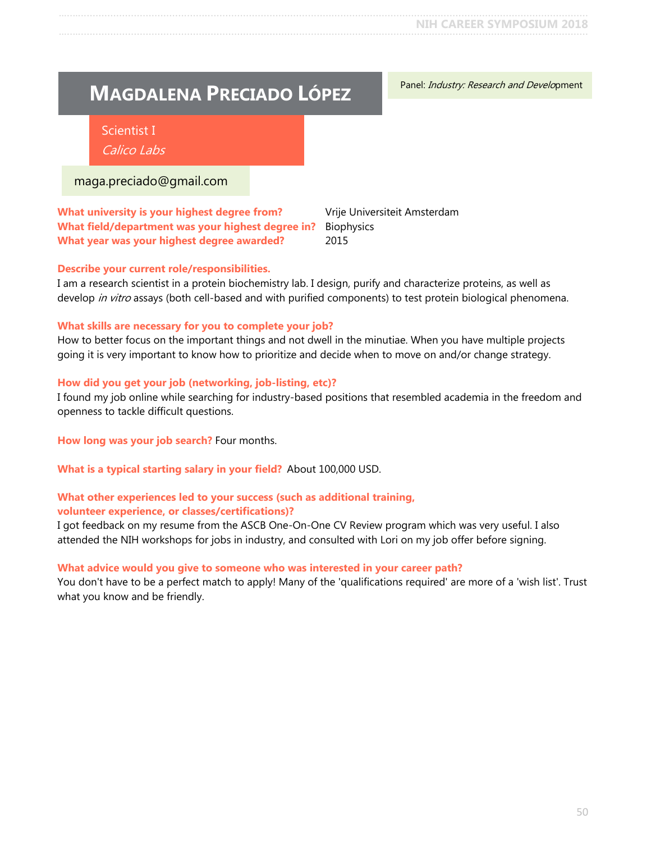# **MAGDALENA PRECIADO LÓPEZ**

Scientist I Calico Labs

maga.preciado@gmail.com

**What university is your highest degree from?** Vrije Universiteit Amsterdam **What field/department was your highest degree in?** Biophysics **What year was your highest degree awarded?** 2015

## **Describe your current role/responsibilities.**

I am a research scientist in a protein biochemistry lab. I design, purify and characterize proteins, as well as develop in vitro assays (both cell-based and with purified components) to test protein biological phenomena.

## **What skills are necessary for you to complete your job?**

How to better focus on the important things and not dwell in the minutiae. When you have multiple projects going it is very important to know how to prioritize and decide when to move on and/or change strategy.

## **How did you get your job (networking, job-listing, etc)?**

I found my job online while searching for industry-based positions that resembled academia in the freedom and openness to tackle difficult questions.

**How long was your job search?** Four months.

**What is a typical starting salary in your field?** About 100,000 USD.

## **What other experiences led to your success (such as additional training, volunteer experience, or classes/certifications)?**

I got feedback on my resume from the ASCB One-On-One CV Review program which was very useful. I also attended the NIH workshops for jobs in industry, and consulted with Lori on my job offer before signing.

## **What advice would you give to someone who was interested in your career path?**

You don't have to be a perfect match to apply! Many of the 'qualifications required' are more of a 'wish list'. Trust what you know and be friendly.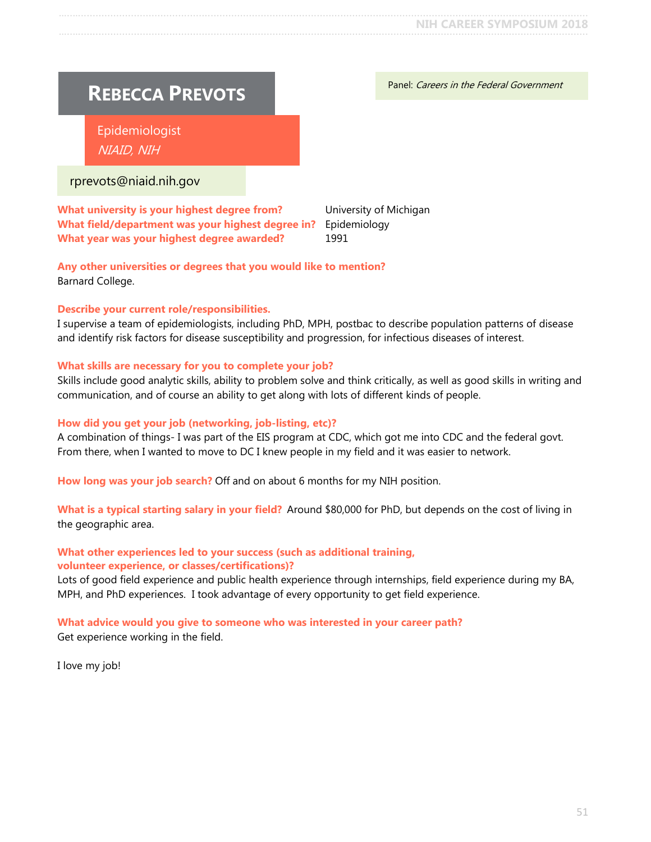# **REBECCA PREVOTS** Panel: Careers in the Federal Government

Epidemiologist NIAID, NIH

rprevots@niaid.nih.gov

**What university is your highest degree from?** University of Michigan **What field/department was your highest degree in?** Epidemiology **What year was your highest degree awarded?** 1991

**Any other universities or degrees that you would like to mention?**  Barnard College.

### **Describe your current role/responsibilities.**

I supervise a team of epidemiologists, including PhD, MPH, postbac to describe population patterns of disease and identify risk factors for disease susceptibility and progression, for infectious diseases of interest.

#### **What skills are necessary for you to complete your job?**

Skills include good analytic skills, ability to problem solve and think critically, as well as good skills in writing and communication, and of course an ability to get along with lots of different kinds of people.

#### **How did you get your job (networking, job-listing, etc)?**

A combination of things- I was part of the EIS program at CDC, which got me into CDC and the federal govt. From there, when I wanted to move to DC I knew people in my field and it was easier to network.

**How long was your job search?** Off and on about 6 months for my NIH position.

**What is a typical starting salary in your field?** Around \$80,000 for PhD, but depends on the cost of living in the geographic area.

#### **What other experiences led to your success (such as additional training, volunteer experience, or classes/certifications)?**

Lots of good field experience and public health experience through internships, field experience during my BA, MPH, and PhD experiences. I took advantage of every opportunity to get field experience.

#### **What advice would you give to someone who was interested in your career path?** Get experience working in the field.

I love my job!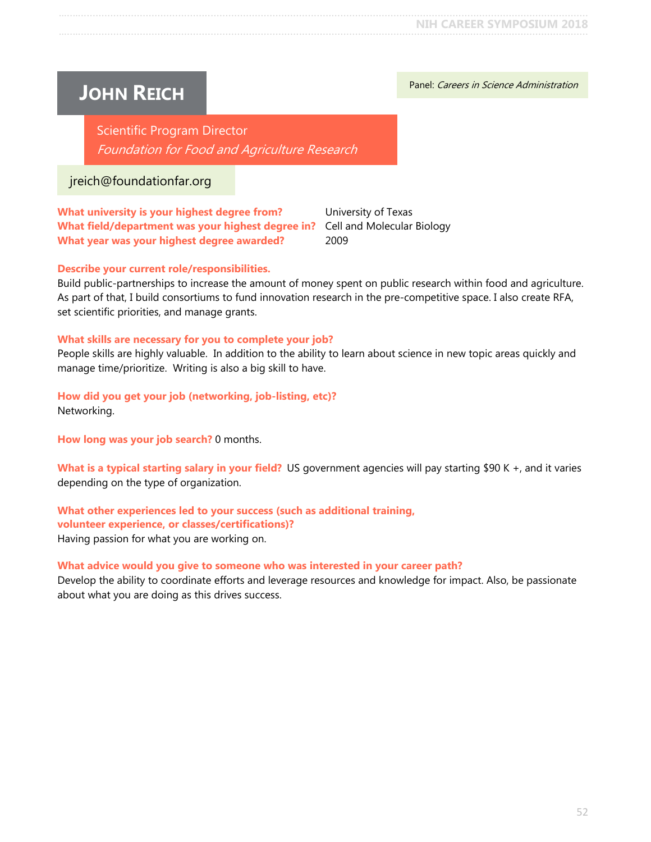# **JOHN REICH Panel: Careers in Science Administration**

Scientific Program Director Foundation for Food and Agriculture Research

## jreich@foundationfar.org

**What university is your highest degree from?** University of Texas **What field/department was your highest degree in?** Cell and Molecular Biology **What year was your highest degree awarded?** 2009

### **Describe your current role/responsibilities.**

Build public-partnerships to increase the amount of money spent on public research within food and agriculture. As part of that, I build consortiums to fund innovation research in the pre-competitive space. I also create RFA, set scientific priorities, and manage grants.

#### **What skills are necessary for you to complete your job?**

People skills are highly valuable. In addition to the ability to learn about science in new topic areas quickly and manage time/prioritize. Writing is also a big skill to have.

**How did you get your job (networking, job-listing, etc)?** Networking.

**How long was your job search?** 0 months.

**What is a typical starting salary in your field?** US government agencies will pay starting \$90 K +, and it varies depending on the type of organization.

**What other experiences led to your success (such as additional training, volunteer experience, or classes/certifications)?** Having passion for what you are working on.

#### **What advice would you give to someone who was interested in your career path?**

Develop the ability to coordinate efforts and leverage resources and knowledge for impact. Also, be passionate about what you are doing as this drives success.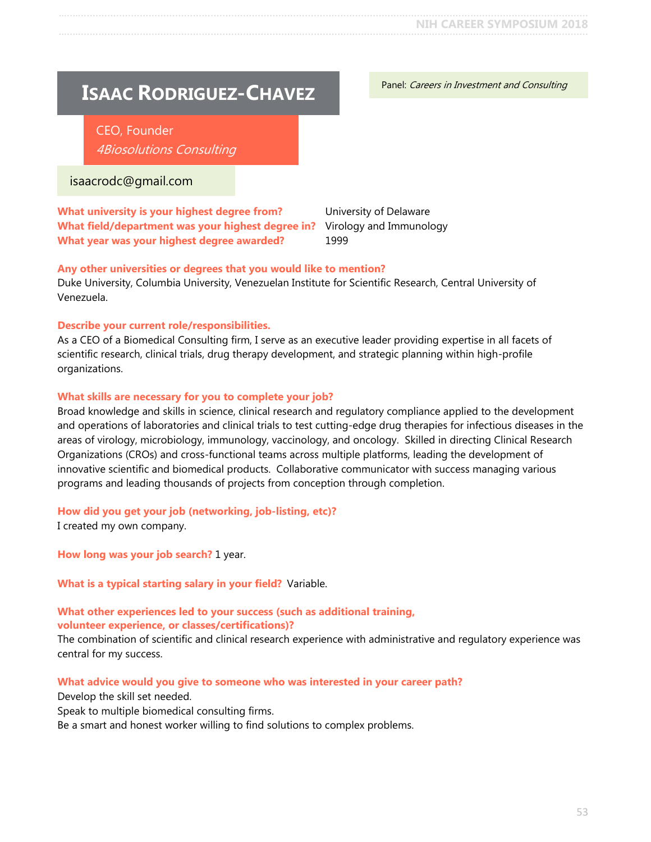53

#### **NIH CAREER SYMPOSIUM 2018** …..…............................................................................................................................................................................

# **ISAAC RODRIGUEZ-CHAVEZ**

CEO, Founder 4Biosolutions Consulting

## isaacrodc@gmail.com

**What university is your highest degree from?** University of Delaware **What field/department was your highest degree in?** Virology and Immunology **What year was your highest degree awarded?** 1999

## **Any other universities or degrees that you would like to mention?**

Duke University, Columbia University, Venezuelan Institute for Scientific Research, Central University of Venezuela.

## **Describe your current role/responsibilities.**

As a CEO of a Biomedical Consulting firm, I serve as an executive leader providing expertise in all facets of scientific research, clinical trials, drug therapy development, and strategic planning within high-profile organizations.

## **What skills are necessary for you to complete your job?**

Broad knowledge and skills in science, clinical research and regulatory compliance applied to the development and operations of laboratories and clinical trials to test cutting-edge drug therapies for infectious diseases in the areas of virology, microbiology, immunology, vaccinology, and oncology. Skilled in directing Clinical Research Organizations (CROs) and cross-functional teams across multiple platforms, leading the development of innovative scientific and biomedical products. Collaborative communicator with success managing various programs and leading thousands of projects from conception through completion.

## **How did you get your job (networking, job-listing, etc)?**

I created my own company.

**How long was your job search?** 1 year.

**What is a typical starting salary in your field?** Variable.

## **What other experiences led to your success (such as additional training, volunteer experience, or classes/certifications)?**

The combination of scientific and clinical research experience with administrative and regulatory experience was central for my success.

## **What advice would you give to someone who was interested in your career path?**

Develop the skill set needed.

Speak to multiple biomedical consulting firms.

Be a smart and honest worker willing to find solutions to complex problems.

Panel: Careers in Investment and Consulting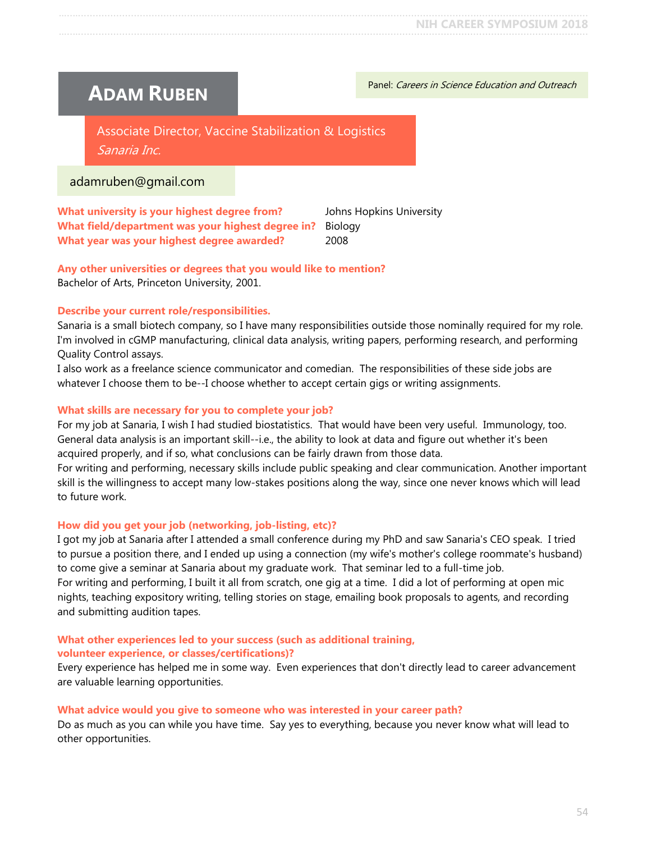# **ADAM RUBEN**

Panel: Careers in Science Education and Outreach

Associate Director, Vaccine Stabilization & Logistics Sanaria Inc.

## adamruben@gmail.com

**What university is your highest degree from?** Johns Hopkins University **What field/department was your highest degree in?** Biology **What year was your highest degree awarded?** 2008

**Any other universities or degrees that you would like to mention?**  Bachelor of Arts, Princeton University, 2001.

#### **Describe your current role/responsibilities.**

Sanaria is a small biotech company, so I have many responsibilities outside those nominally required for my role. I'm involved in cGMP manufacturing, clinical data analysis, writing papers, performing research, and performing Quality Control assays.

I also work as a freelance science communicator and comedian. The responsibilities of these side jobs are whatever I choose them to be--I choose whether to accept certain gigs or writing assignments.

#### **What skills are necessary for you to complete your job?**

For my job at Sanaria, I wish I had studied biostatistics. That would have been very useful. Immunology, too. General data analysis is an important skill--i.e., the ability to look at data and figure out whether it's been acquired properly, and if so, what conclusions can be fairly drawn from those data.

For writing and performing, necessary skills include public speaking and clear communication. Another important skill is the willingness to accept many low-stakes positions along the way, since one never knows which will lead to future work.

#### **How did you get your job (networking, job-listing, etc)?**

I got my job at Sanaria after I attended a small conference during my PhD and saw Sanaria's CEO speak. I tried to pursue a position there, and I ended up using a connection (my wife's mother's college roommate's husband) to come give a seminar at Sanaria about my graduate work. That seminar led to a full-time job. For writing and performing, I built it all from scratch, one gig at a time. I did a lot of performing at open mic nights, teaching expository writing, telling stories on stage, emailing book proposals to agents, and recording and submitting audition tapes.

#### **What other experiences led to your success (such as additional training, volunteer experience, or classes/certifications)?**

Every experience has helped me in some way. Even experiences that don't directly lead to career advancement are valuable learning opportunities.

#### **What advice would you give to someone who was interested in your career path?**

Do as much as you can while you have time. Say yes to everything, because you never know what will lead to other opportunities.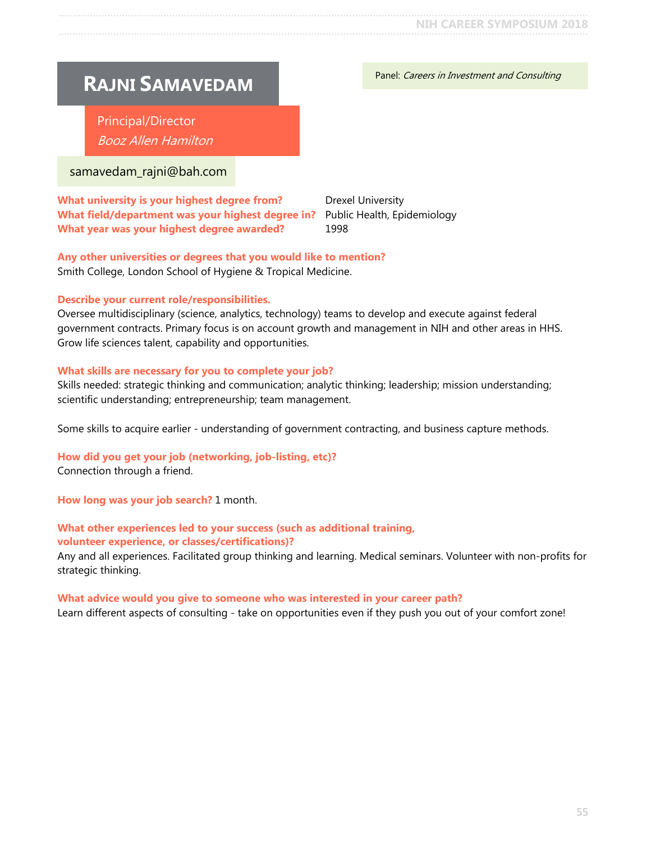Panel: Careers in Investment and Consulting

# **RAJNI SAMAVEDAM**

Principal/Director Booz Allen Hamilton

## samavedam\_rajni@bah.com

**What university is your highest degree from?** Drexel University **What field/department was your highest degree in?** Public Health, Epidemiology **What year was your highest degree awarded?** 1998

**Any other universities or degrees that you would like to mention?**  Smith College, London School of Hygiene & Tropical Medicine.

#### **Describe your current role/responsibilities.**

Oversee multidisciplinary (science, analytics, technology) teams to develop and execute against federal government contracts. Primary focus is on account growth and management in NIH and other areas in HHS. Grow life sciences talent, capability and opportunities.

#### **What skills are necessary for you to complete your job?**

Skills needed: strategic thinking and communication; analytic thinking; leadership; mission understanding; scientific understanding; entrepreneurship; team management.

Some skills to acquire earlier - understanding of government contracting, and business capture methods.

#### **How did you get your job (networking, job-listing, etc)?** Connection through a friend.

**How long was your job search?** 1 month.

#### **What other experiences led to your success (such as additional training, volunteer experience, or classes/certifications)?**

Any and all experiences. Facilitated group thinking and learning. Medical seminars. Volunteer with non-profits for strategic thinking.

#### **What advice would you give to someone who was interested in your career path?**

Learn different aspects of consulting - take on opportunities even if they push you out of your comfort zone!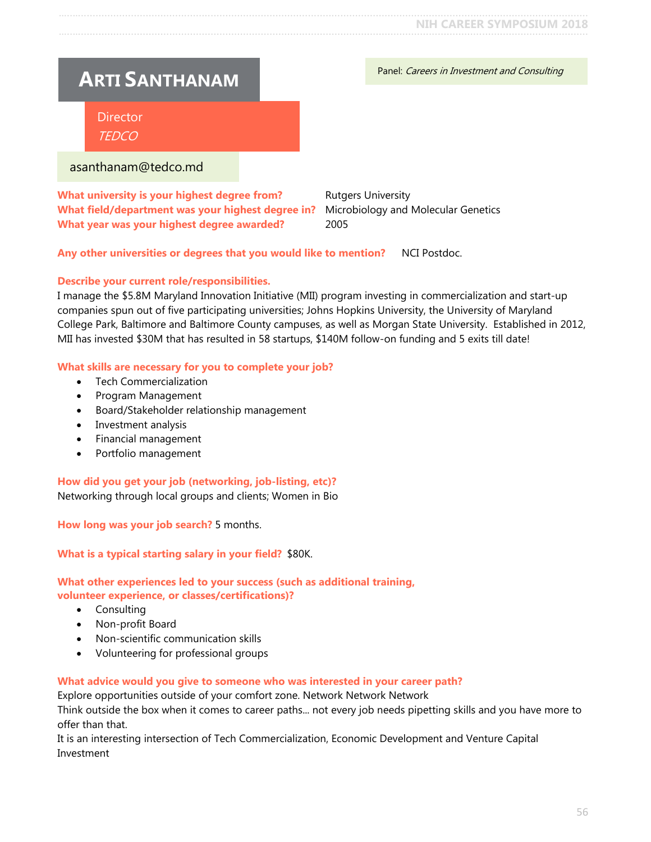Panel: Careers in Investment and Consulting

# **ARTI SANTHANAM**

**Director TEDCO** 

### asanthanam@tedco.md

**What university is your highest degree from?** Rutgers University **What field/department was your highest degree in?** Microbiology and Molecular Genetics **What year was your highest degree awarded?** 2005

**Any other universities or degrees that you would like to mention?** NCI Postdoc.

#### **Describe your current role/responsibilities.**

I manage the \$5.8M Maryland Innovation Initiative (MII) program investing in commercialization and start-up companies spun out of five participating universities; Johns Hopkins University, the University of Maryland College Park, Baltimore and Baltimore County campuses, as well as Morgan State University. Established in 2012, MII has invested \$30M that has resulted in 58 startups, \$140M follow-on funding and 5 exits till date!

#### **What skills are necessary for you to complete your job?**

- Tech Commercialization
- Program Management
- Board/Stakeholder relationship management
- Investment analysis
- Financial management
- Portfolio management

#### **How did you get your job (networking, job-listing, etc)?**

Networking through local groups and clients; Women in Bio

**How long was your job search?** 5 months.

**What is a typical starting salary in your field?** \$80K.

#### **What other experiences led to your success (such as additional training, volunteer experience, or classes/certifications)?**

- Consulting
- Non-profit Board
- Non-scientific communication skills
- Volunteering for professional groups

#### **What advice would you give to someone who was interested in your career path?**

Explore opportunities outside of your comfort zone. Network Network Network

Think outside the box when it comes to career paths... not every job needs pipetting skills and you have more to offer than that.

It is an interesting intersection of Tech Commercialization, Economic Development and Venture Capital Investment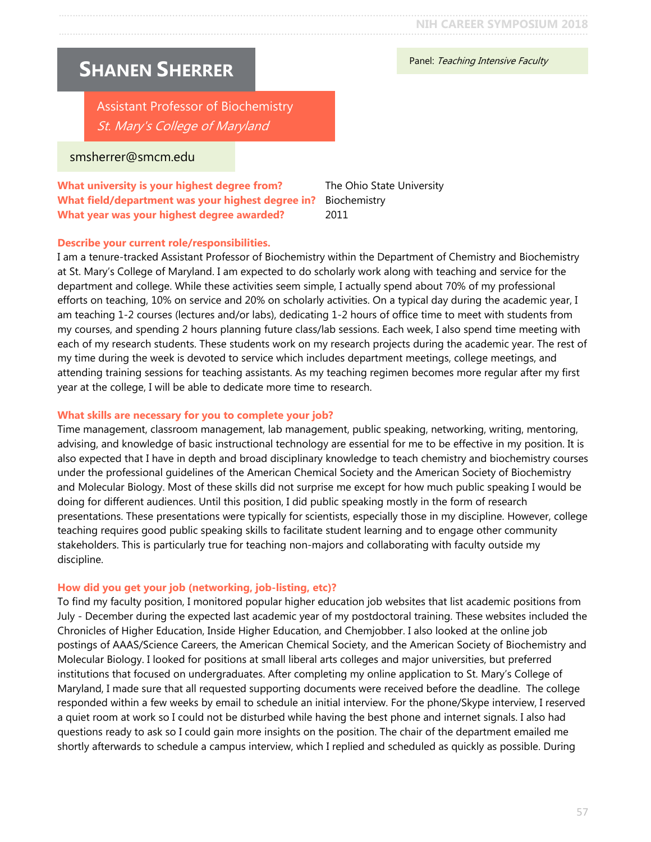Panel: Teaching Intensive Faculty

## **SHANEN SHERRER**

Assistant Professor of Biochemistry St. Mary's College of Maryland

### smsherrer@smcm.edu

**What university is your highest degree from?** The Ohio State University **What field/department was your highest degree in?** Biochemistry **What year was your highest degree awarded?** 2011

#### **Describe your current role/responsibilities.**

I am a tenure-tracked Assistant Professor of Biochemistry within the Department of Chemistry and Biochemistry at St. Mary's College of Maryland. I am expected to do scholarly work along with teaching and service for the department and college. While these activities seem simple, I actually spend about 70% of my professional efforts on teaching, 10% on service and 20% on scholarly activities. On a typical day during the academic year, I am teaching 1-2 courses (lectures and/or labs), dedicating 1-2 hours of office time to meet with students from my courses, and spending 2 hours planning future class/lab sessions. Each week, I also spend time meeting with each of my research students. These students work on my research projects during the academic year. The rest of my time during the week is devoted to service which includes department meetings, college meetings, and attending training sessions for teaching assistants. As my teaching regimen becomes more regular after my first year at the college, I will be able to dedicate more time to research.

#### **What skills are necessary for you to complete your job?**

Time management, classroom management, lab management, public speaking, networking, writing, mentoring, advising, and knowledge of basic instructional technology are essential for me to be effective in my position. It is also expected that I have in depth and broad disciplinary knowledge to teach chemistry and biochemistry courses under the professional guidelines of the American Chemical Society and the American Society of Biochemistry and Molecular Biology. Most of these skills did not surprise me except for how much public speaking I would be doing for different audiences. Until this position, I did public speaking mostly in the form of research presentations. These presentations were typically for scientists, especially those in my discipline. However, college teaching requires good public speaking skills to facilitate student learning and to engage other community stakeholders. This is particularly true for teaching non-majors and collaborating with faculty outside my discipline.

#### **How did you get your job (networking, job-listing, etc)?**

To find my faculty position, I monitored popular higher education job websites that list academic positions from July - December during the expected last academic year of my postdoctoral training. These websites included the Chronicles of Higher Education, Inside Higher Education, and Chemjobber. I also looked at the online job postings of AAAS/Science Careers, the American Chemical Society, and the American Society of Biochemistry and Molecular Biology. I looked for positions at small liberal arts colleges and major universities, but preferred institutions that focused on undergraduates. After completing my online application to St. Mary's College of Maryland, I made sure that all requested supporting documents were received before the deadline. The college responded within a few weeks by email to schedule an initial interview. For the phone/Skype interview, I reserved a quiet room at work so I could not be disturbed while having the best phone and internet signals. I also had questions ready to ask so I could gain more insights on the position. The chair of the department emailed me shortly afterwards to schedule a campus interview, which I replied and scheduled as quickly as possible. During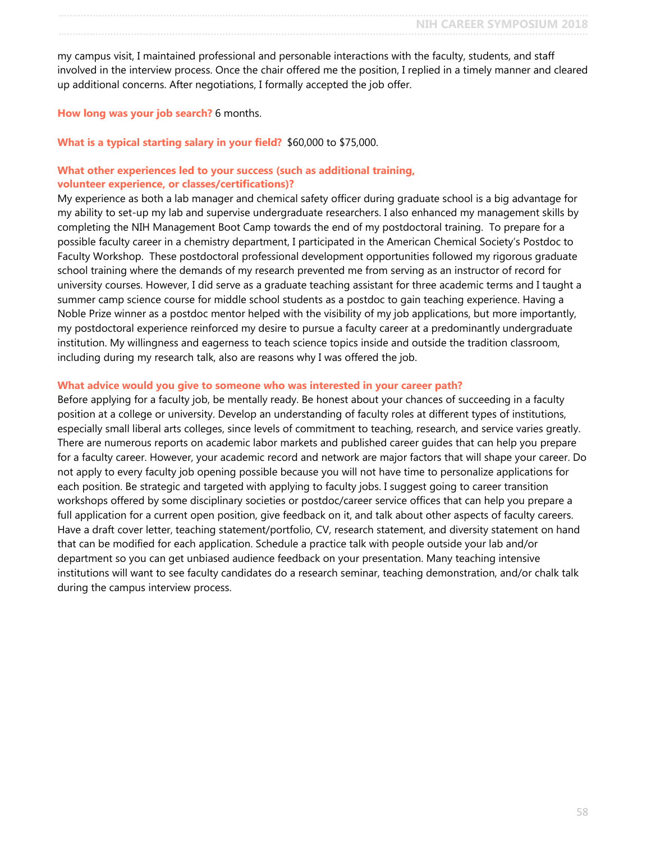my campus visit, I maintained professional and personable interactions with the faculty, students, and staff involved in the interview process. Once the chair offered me the position, I replied in a timely manner and cleared up additional concerns. After negotiations, I formally accepted the job offer.

**How long was your job search?** 6 months.

**What is a typical starting salary in your field?** \$60,000 to \$75,000.

#### **What other experiences led to your success (such as additional training, volunteer experience, or classes/certifications)?**

My experience as both a lab manager and chemical safety officer during graduate school is a big advantage for my ability to set-up my lab and supervise undergraduate researchers. I also enhanced my management skills by completing the NIH Management Boot Camp towards the end of my postdoctoral training. To prepare for a possible faculty career in a chemistry department, I participated in the American Chemical Society's Postdoc to Faculty Workshop. These postdoctoral professional development opportunities followed my rigorous graduate school training where the demands of my research prevented me from serving as an instructor of record for university courses. However, I did serve as a graduate teaching assistant for three academic terms and I taught a summer camp science course for middle school students as a postdoc to gain teaching experience. Having a Noble Prize winner as a postdoc mentor helped with the visibility of my job applications, but more importantly, my postdoctoral experience reinforced my desire to pursue a faculty career at a predominantly undergraduate institution. My willingness and eagerness to teach science topics inside and outside the tradition classroom, including during my research talk, also are reasons why I was offered the job.

#### **What advice would you give to someone who was interested in your career path?**

Before applying for a faculty job, be mentally ready. Be honest about your chances of succeeding in a faculty position at a college or university. Develop an understanding of faculty roles at different types of institutions, especially small liberal arts colleges, since levels of commitment to teaching, research, and service varies greatly. There are numerous reports on academic labor markets and published career guides that can help you prepare for a faculty career. However, your academic record and network are major factors that will shape your career. Do not apply to every faculty job opening possible because you will not have time to personalize applications for each position. Be strategic and targeted with applying to faculty jobs. I suggest going to career transition workshops offered by some disciplinary societies or postdoc/career service offices that can help you prepare a full application for a current open position, give feedback on it, and talk about other aspects of faculty careers. Have a draft cover letter, teaching statement/portfolio, CV, research statement, and diversity statement on hand that can be modified for each application. Schedule a practice talk with people outside your lab and/or department so you can get unbiased audience feedback on your presentation. Many teaching intensive institutions will want to see faculty candidates do a research seminar, teaching demonstration, and/or chalk talk during the campus interview process.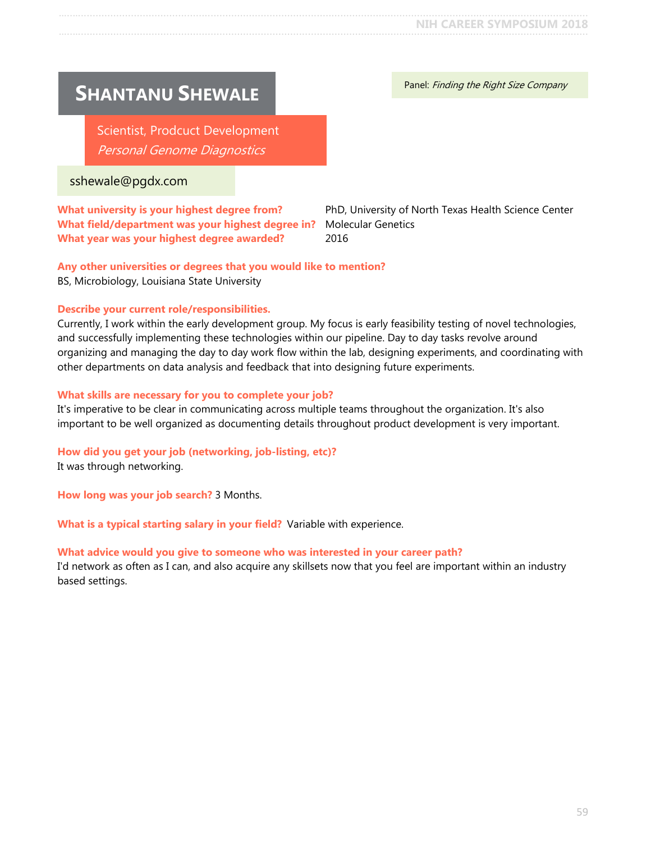59

#### **NIH CAREER SYMPOSIUM 2018** …..…............................................................................................................................................................................

# **SHANTANU SHEWALE**

Scientist, Prodcuct Development Personal Genome Diagnostics

## sshewale@pgdx.com

**What university is your highest degree from?** PhD, University of North Texas Health Science Center **What field/department was your highest degree in?** Molecular Genetics **What year was your highest degree awarded?** 2016

**Any other universities or degrees that you would like to mention?**  BS, Microbiology, Louisiana State University

## **Describe your current role/responsibilities.**

Currently, I work within the early development group. My focus is early feasibility testing of novel technologies, and successfully implementing these technologies within our pipeline. Day to day tasks revolve around organizing and managing the day to day work flow within the lab, designing experiments, and coordinating with other departments on data analysis and feedback that into designing future experiments.

## **What skills are necessary for you to complete your job?**

It's imperative to be clear in communicating across multiple teams throughout the organization. It's also important to be well organized as documenting details throughout product development is very important.

## **How did you get your job (networking, job-listing, etc)?**

It was through networking.

**How long was your job search?** 3 Months.

**What is a typical starting salary in your field?** Variable with experience.

## **What advice would you give to someone who was interested in your career path?**

I'd network as often as I can, and also acquire any skillsets now that you feel are important within an industry based settings.

Panel: Finding the Right Size Company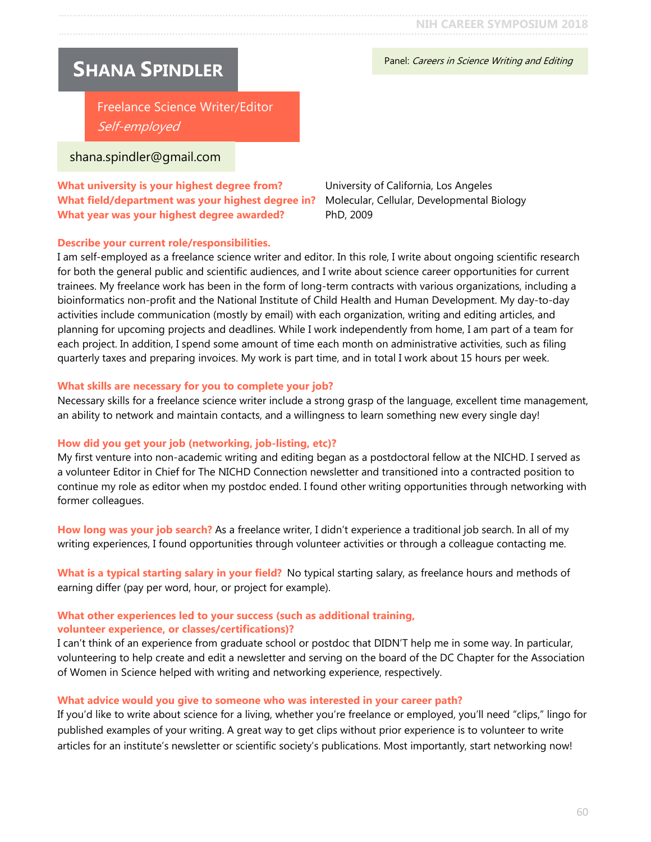Panel: Careers in Science Writing and Editing

# **SHANA SPINDLER**

Freelance Science Writer/Editor Self-employed

shana.spindler@gmail.com

**What university is your highest degree from?** University of California, Los Angeles **What field/department was your highest degree in?** Molecular, Cellular, Developmental Biology **What year was your highest degree awarded?** PhD, 2009

### **Describe your current role/responsibilities.**

I am self-employed as a freelance science writer and editor. In this role, I write about ongoing scientific research for both the general public and scientific audiences, and I write about science career opportunities for current trainees. My freelance work has been in the form of long-term contracts with various organizations, including a bioinformatics non-profit and the National Institute of Child Health and Human Development. My day-to-day activities include communication (mostly by email) with each organization, writing and editing articles, and planning for upcoming projects and deadlines. While I work independently from home, I am part of a team for each project. In addition, I spend some amount of time each month on administrative activities, such as filing quarterly taxes and preparing invoices. My work is part time, and in total I work about 15 hours per week.

#### **What skills are necessary for you to complete your job?**

Necessary skills for a freelance science writer include a strong grasp of the language, excellent time management, an ability to network and maintain contacts, and a willingness to learn something new every single day!

#### **How did you get your job (networking, job-listing, etc)?**

My first venture into non-academic writing and editing began as a postdoctoral fellow at the NICHD. I served as a volunteer Editor in Chief for The NICHD Connection newsletter and transitioned into a contracted position to continue my role as editor when my postdoc ended. I found other writing opportunities through networking with former colleagues.

**How long was your job search?** As a freelance writer, I didn't experience a traditional job search. In all of my writing experiences, I found opportunities through volunteer activities or through a colleague contacting me.

**What is a typical starting salary in your field?** No typical starting salary, as freelance hours and methods of earning differ (pay per word, hour, or project for example).

#### **What other experiences led to your success (such as additional training, volunteer experience, or classes/certifications)?**

I can't think of an experience from graduate school or postdoc that DIDN'T help me in some way. In particular, volunteering to help create and edit a newsletter and serving on the board of the DC Chapter for the Association of Women in Science helped with writing and networking experience, respectively.

#### **What advice would you give to someone who was interested in your career path?**

If you'd like to write about science for a living, whether you're freelance or employed, you'll need "clips," lingo for published examples of your writing. A great way to get clips without prior experience is to volunteer to write articles for an institute's newsletter or scientific society's publications. Most importantly, start networking now!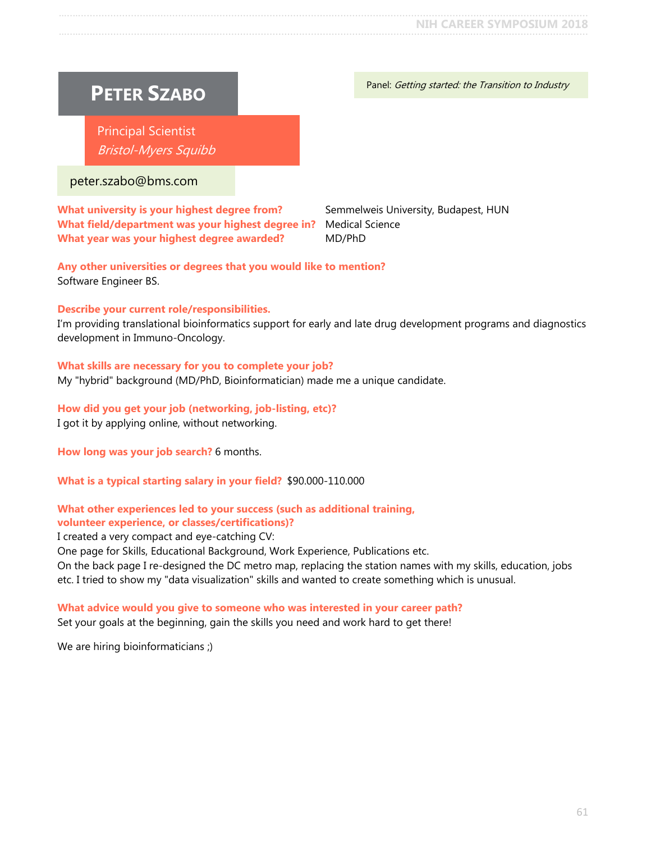Panel: Getting started: the Transition to Industry

## **PETER SZABO**

Principal Scientist Bristol-Myers Squibb

#### peter.szabo@bms.com

**What university is your highest degree from?** Semmelweis University, Budapest, HUN **What field/department was your highest degree in?** Medical Science **What year was your highest degree awarded?** MD/PhD

**Any other universities or degrees that you would like to mention?** Software Engineer BS.

#### **Describe your current role/responsibilities.**

I'm providing translational bioinformatics support for early and late drug development programs and diagnostics development in Immuno-Oncology.

**What skills are necessary for you to complete your job?** My "hybrid" background (MD/PhD, Bioinformatician) made me a unique candidate.

**How did you get your job (networking, job-listing, etc)?** I got it by applying online, without networking.

**How long was your job search?** 6 months.

**What is a typical starting salary in your field?** \$90.000-110.000

#### **What other experiences led to your success (such as additional training, volunteer experience, or classes/certifications)?**

I created a very compact and eye-catching CV:

One page for Skills, Educational Background, Work Experience, Publications etc.

On the back page I re-designed the DC metro map, replacing the station names with my skills, education, jobs etc. I tried to show my "data visualization" skills and wanted to create something which is unusual.

#### **What advice would you give to someone who was interested in your career path?**

Set your goals at the beginning, gain the skills you need and work hard to get there!

We are hiring bioinformaticians ;)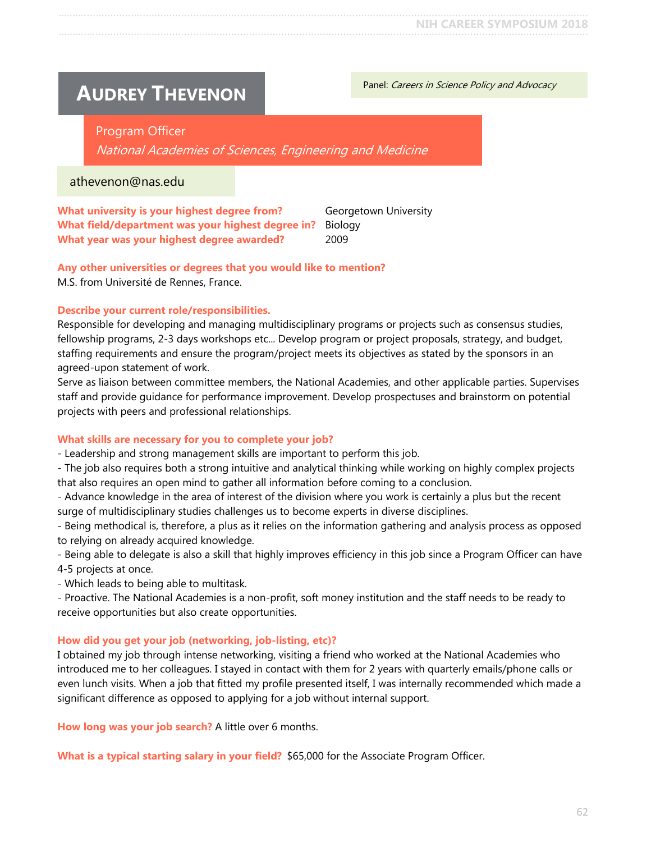## **AUDREY THEVENON**

Panel: Careers in Science Policy and Advocacy

Program Officer

National Academies of Sciences, Engineering and Medicine

athevenon@nas.edu

**What university is your highest degree from?** Georgetown University **What field/department was your highest degree in?** Biology **What year was your highest degree awarded?** 2009

**Any other universities or degrees that you would like to mention?**  M.S. from Université de Rennes, France.

#### **Describe your current role/responsibilities.**

Responsible for developing and managing multidisciplinary programs or projects such as consensus studies, fellowship programs, 2-3 days workshops etc... Develop program or project proposals, strategy, and budget, staffing requirements and ensure the program/project meets its objectives as stated by the sponsors in an agreed-upon statement of work.

Serve as liaison between committee members, the National Academies, and other applicable parties. Supervises staff and provide guidance for performance improvement. Develop prospectuses and brainstorm on potential projects with peers and professional relationships.

#### **What skills are necessary for you to complete your job?**

- Leadership and strong management skills are important to perform this job.

- The job also requires both a strong intuitive and analytical thinking while working on highly complex projects that also requires an open mind to gather all information before coming to a conclusion.

- Advance knowledge in the area of interest of the division where you work is certainly a plus but the recent surge of multidisciplinary studies challenges us to become experts in diverse disciplines.

- Being methodical is, therefore, a plus as it relies on the information gathering and analysis process as opposed to relying on already acquired knowledge.

- Being able to delegate is also a skill that highly improves efficiency in this job since a Program Officer can have 4-5 projects at once.

- Which leads to being able to multitask.

- Proactive. The National Academies is a non-profit, soft money institution and the staff needs to be ready to receive opportunities but also create opportunities.

#### **How did you get your job (networking, job-listing, etc)?**

I obtained my job through intense networking, visiting a friend who worked at the National Academies who introduced me to her colleagues. I stayed in contact with them for 2 years with quarterly emails/phone calls or even lunch visits. When a job that fitted my profile presented itself, I was internally recommended which made a significant difference as opposed to applying for a job without internal support.

**How long was your job search?** A little over 6 months.

**What is a typical starting salary in your field?** \$65,000 for the Associate Program Officer.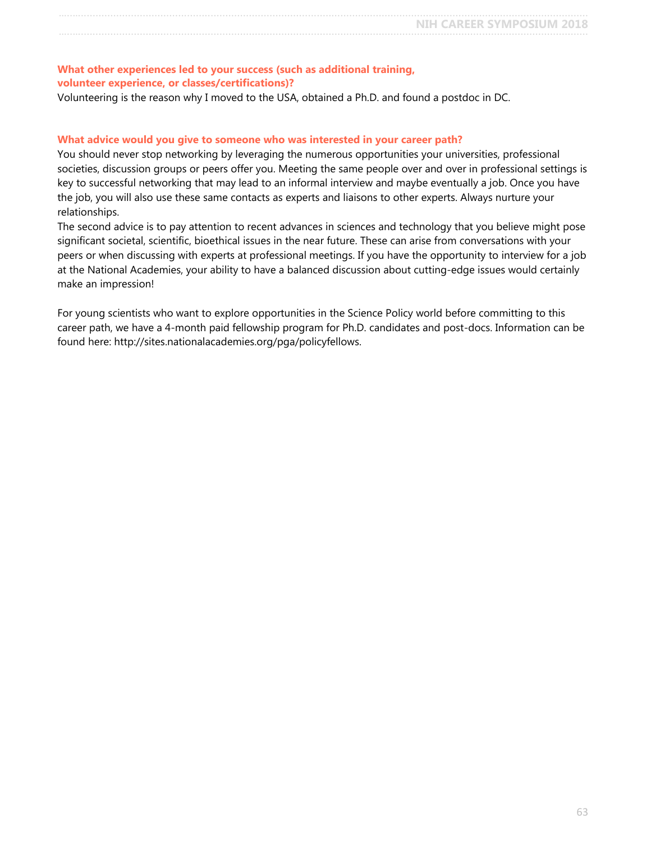#### **What other experiences led to your success (such as additional training, volunteer experience, or classes/certifications)?**

Volunteering is the reason why I moved to the USA, obtained a Ph.D. and found a postdoc in DC.

#### **What advice would you give to someone who was interested in your career path?**

You should never stop networking by leveraging the numerous opportunities your universities, professional societies, discussion groups or peers offer you. Meeting the same people over and over in professional settings is key to successful networking that may lead to an informal interview and maybe eventually a job. Once you have the job, you will also use these same contacts as experts and liaisons to other experts. Always nurture your relationships.

The second advice is to pay attention to recent advances in sciences and technology that you believe might pose significant societal, scientific, bioethical issues in the near future. These can arise from conversations with your peers or when discussing with experts at professional meetings. If you have the opportunity to interview for a job at the National Academies, your ability to have a balanced discussion about cutting-edge issues would certainly make an impression!

For young scientists who want to explore opportunities in the Science Policy world before committing to this career path, we have a 4-month paid fellowship program for Ph.D. candidates and post-docs. Information can be found here: http://sites.nationalacademies.org/pga/policyfellows.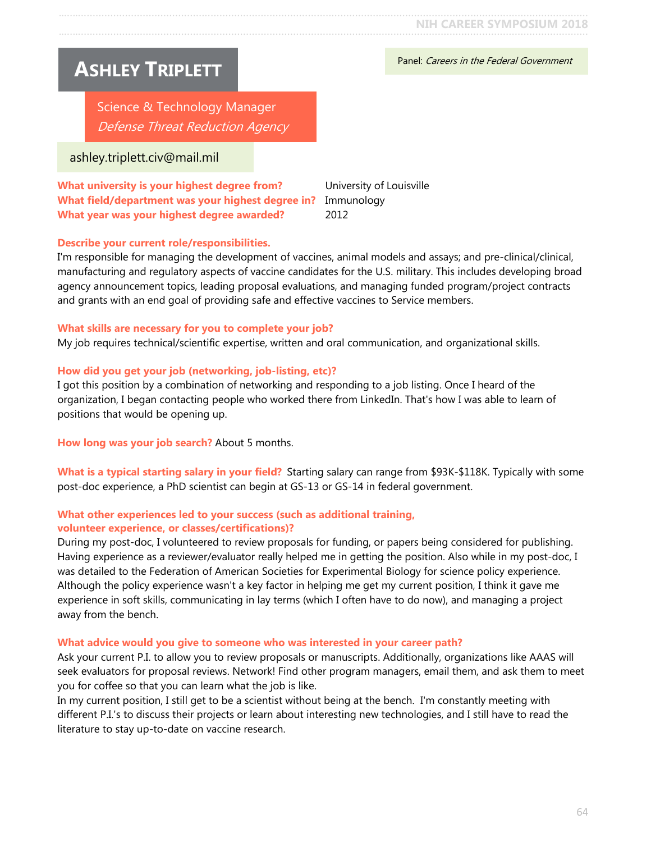#### Panel: Careers in the Federal Government

# **ASHLEY TRIPLETT**

Science & Technology Manager Defense Threat Reduction Agency

ashley.triplett.civ@mail.mil

**What university is your highest degree from?** University of Louisville **What field/department was your highest degree in?** Immunology **What year was your highest degree awarded?** 2012

#### **Describe your current role/responsibilities.**

I'm responsible for managing the development of vaccines, animal models and assays; and pre-clinical/clinical, manufacturing and regulatory aspects of vaccine candidates for the U.S. military. This includes developing broad agency announcement topics, leading proposal evaluations, and managing funded program/project contracts and grants with an end goal of providing safe and effective vaccines to Service members.

#### **What skills are necessary for you to complete your job?**

My job requires technical/scientific expertise, written and oral communication, and organizational skills.

#### **How did you get your job (networking, job-listing, etc)?**

I got this position by a combination of networking and responding to a job listing. Once I heard of the organization, I began contacting people who worked there from LinkedIn. That's how I was able to learn of positions that would be opening up.

**How long was your job search?** About 5 months.

**What is a typical starting salary in your field?** Starting salary can range from \$93K-\$118K. Typically with some post-doc experience, a PhD scientist can begin at GS-13 or GS-14 in federal government.

#### **What other experiences led to your success (such as additional training, volunteer experience, or classes/certifications)?**

During my post-doc, I volunteered to review proposals for funding, or papers being considered for publishing. Having experience as a reviewer/evaluator really helped me in getting the position. Also while in my post-doc, I was detailed to the Federation of American Societies for Experimental Biology for science policy experience. Although the policy experience wasn't a key factor in helping me get my current position, I think it gave me experience in soft skills, communicating in lay terms (which I often have to do now), and managing a project away from the bench.

#### **What advice would you give to someone who was interested in your career path?**

Ask your current P.I. to allow you to review proposals or manuscripts. Additionally, organizations like AAAS will seek evaluators for proposal reviews. Network! Find other program managers, email them, and ask them to meet you for coffee so that you can learn what the job is like.

In my current position, I still get to be a scientist without being at the bench. I'm constantly meeting with different P.I.'s to discuss their projects or learn about interesting new technologies, and I still have to read the literature to stay up-to-date on vaccine research.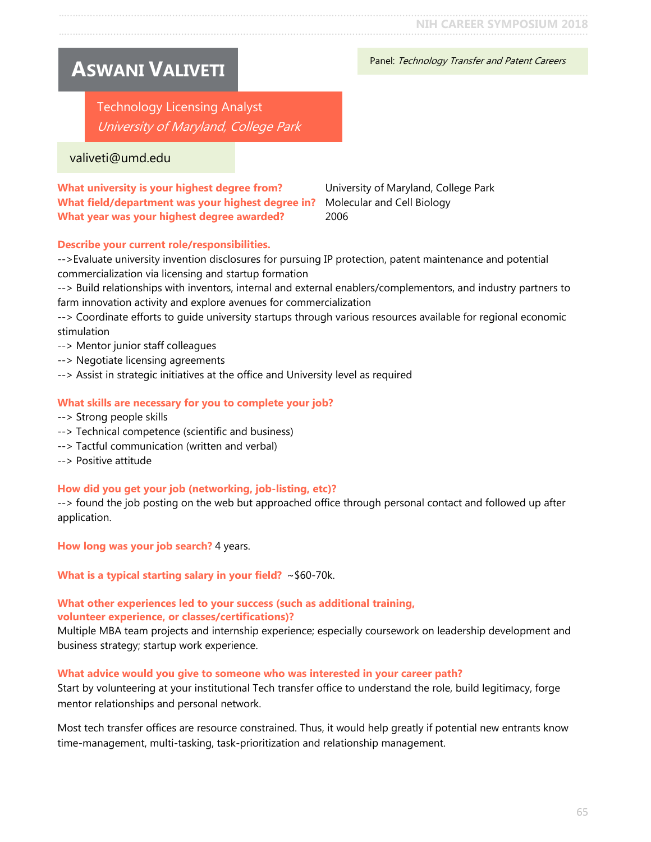Panel: Technology Transfer and Patent Careers

## **ASWANI VALIVETI**

Technology Licensing Analyst University of Maryland, College Park

## valiveti@umd.edu

**What university is your highest degree from?** University of Maryland, College Park **What field/department was your highest degree in?** Molecular and Cell Biology **What year was your highest degree awarded?** 2006

### **Describe your current role/responsibilities.**

-->Evaluate university invention disclosures for pursuing IP protection, patent maintenance and potential commercialization via licensing and startup formation

--> Build relationships with inventors, internal and external enablers/complementors, and industry partners to farm innovation activity and explore avenues for commercialization

--> Coordinate efforts to guide university startups through various resources available for regional economic stimulation

- --> Mentor junior staff colleagues
- --> Negotiate licensing agreements
- --> Assist in strategic initiatives at the office and University level as required

#### **What skills are necessary for you to complete your job?**

- --> Strong people skills
- --> Technical competence (scientific and business)
- --> Tactful communication (written and verbal)
- --> Positive attitude

#### **How did you get your job (networking, job-listing, etc)?**

--> found the job posting on the web but approached office through personal contact and followed up after application.

**How long was your job search?** 4 years.

**What is a typical starting salary in your field?** ~\$60-70k.

#### **What other experiences led to your success (such as additional training, volunteer experience, or classes/certifications)?**

Multiple MBA team projects and internship experience; especially coursework on leadership development and business strategy; startup work experience.

#### **What advice would you give to someone who was interested in your career path?**

Start by volunteering at your institutional Tech transfer office to understand the role, build legitimacy, forge mentor relationships and personal network.

Most tech transfer offices are resource constrained. Thus, it would help greatly if potential new entrants know time-management, multi-tasking, task-prioritization and relationship management.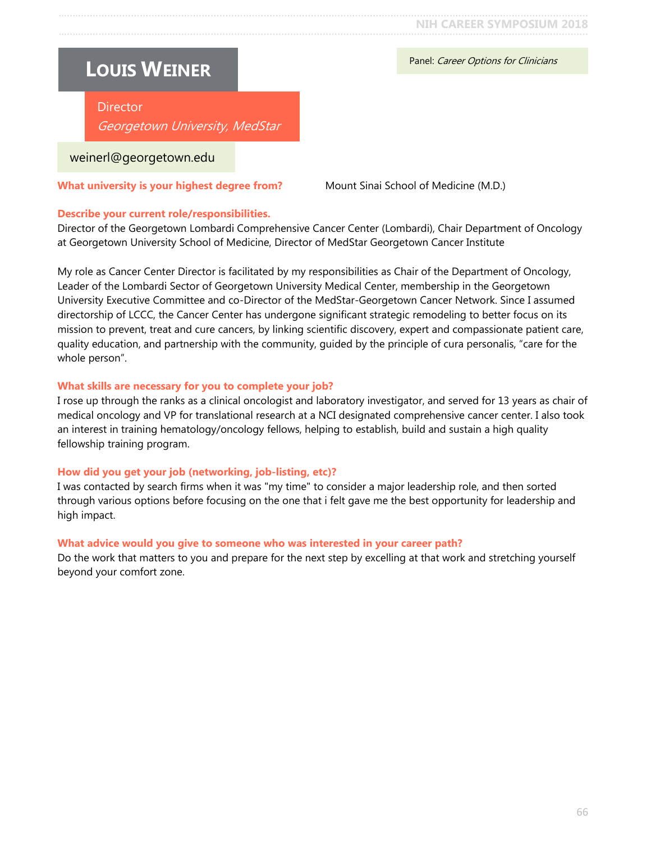# **LOUIS WEINER**

**Director** Georgetown University, MedStar

#### weinerl@georgetown.edu

#### **What university is your highest degree from?** Mount Sinai School of Medicine (M.D.)

#### **Describe your current role/responsibilities.**

Director of the Georgetown Lombardi Comprehensive Cancer Center (Lombardi), Chair Department of Oncology at Georgetown University School of Medicine, Director of MedStar Georgetown Cancer Institute

My role as Cancer Center Director is facilitated by my responsibilities as Chair of the Department of Oncology, Leader of the Lombardi Sector of Georgetown University Medical Center, membership in the Georgetown University Executive Committee and co-Director of the MedStar-Georgetown Cancer Network. Since I assumed directorship of LCCC, the Cancer Center has undergone significant strategic remodeling to better focus on its mission to prevent, treat and cure cancers, by linking scientific discovery, expert and compassionate patient care, quality education, and partnership with the community, guided by the principle of cura personalis, "care for the whole person".

#### **What skills are necessary for you to complete your job?**

I rose up through the ranks as a clinical oncologist and laboratory investigator, and served for 13 years as chair of medical oncology and VP for translational research at a NCI designated comprehensive cancer center. I also took an interest in training hematology/oncology fellows, helping to establish, build and sustain a high quality fellowship training program.

#### **How did you get your job (networking, job-listing, etc)?**

I was contacted by search firms when it was "my time" to consider a major leadership role, and then sorted through various options before focusing on the one that i felt gave me the best opportunity for leadership and high impact.

#### **What advice would you give to someone who was interested in your career path?**

Do the work that matters to you and prepare for the next step by excelling at that work and stretching yourself beyond your comfort zone.

Panel: Career Options for Clinicians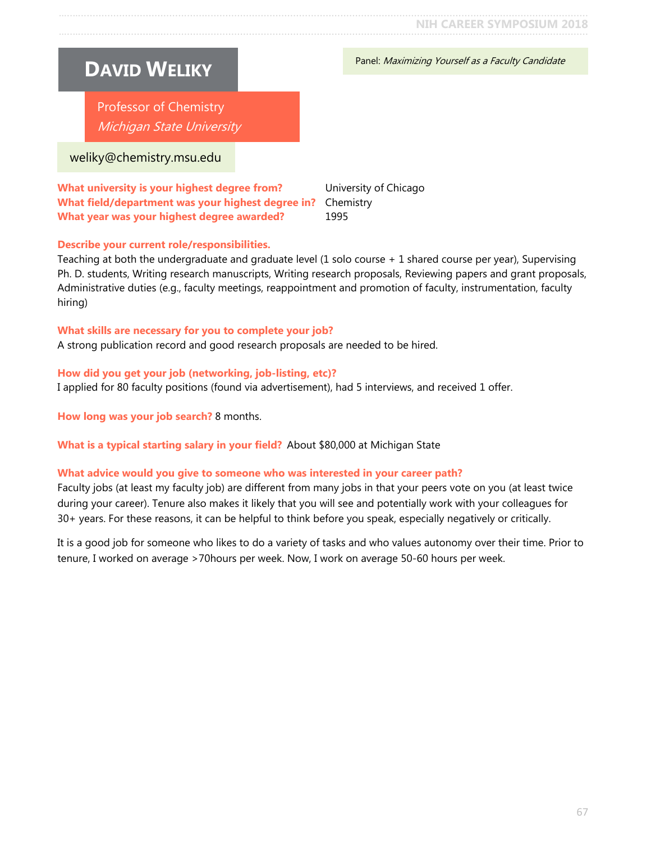Panel: Maximizing Yourself as a Faculty Candidate

# **DAVID WELIKY**

Professor of Chemistry Michigan State University

weliky@chemistry.msu.edu

**What university is your highest degree from?** University of Chicago **What field/department was your highest degree in?** Chemistry **What year was your highest degree awarded?** 1995

### **Describe your current role/responsibilities.**

Teaching at both the undergraduate and graduate level (1 solo course + 1 shared course per year), Supervising Ph. D. students, Writing research manuscripts, Writing research proposals, Reviewing papers and grant proposals, Administrative duties (e.g., faculty meetings, reappointment and promotion of faculty, instrumentation, faculty hiring)

#### **What skills are necessary for you to complete your job?**

A strong publication record and good research proposals are needed to be hired.

#### **How did you get your job (networking, job-listing, etc)?**

I applied for 80 faculty positions (found via advertisement), had 5 interviews, and received 1 offer.

**How long was your job search?** 8 months.

**What is a typical starting salary in your field?** About \$80,000 at Michigan State

#### **What advice would you give to someone who was interested in your career path?**

Faculty jobs (at least my faculty job) are different from many jobs in that your peers vote on you (at least twice during your career). Tenure also makes it likely that you will see and potentially work with your colleagues for 30+ years. For these reasons, it can be helpful to think before you speak, especially negatively or critically.

It is a good job for someone who likes to do a variety of tasks and who values autonomy over their time. Prior to tenure, I worked on average >70hours per week. Now, I work on average 50-60 hours per week.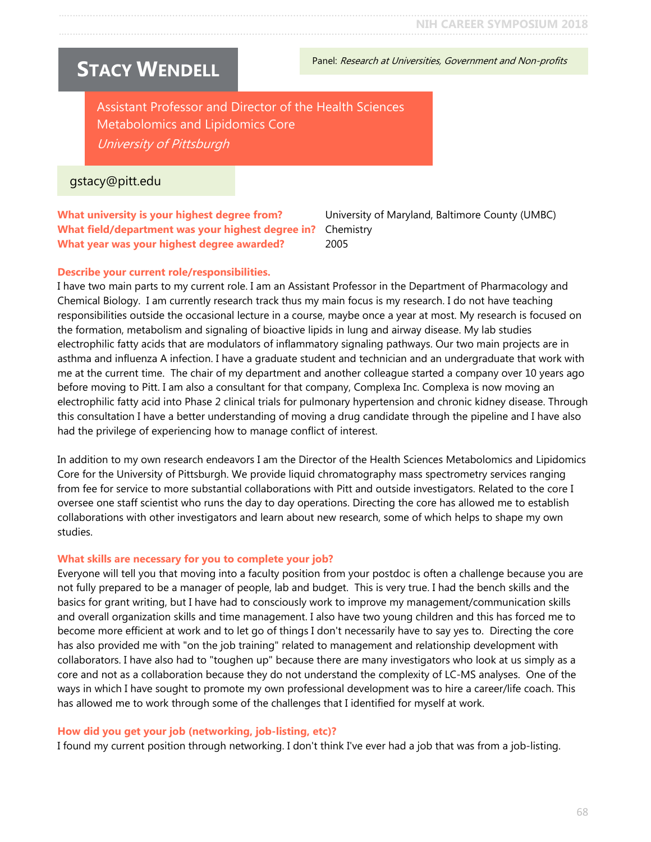# **STACY WENDELL**

Panel: Research at Universities, Government and Non-profits

Assistant Professor and Director of the Health Sciences Metabolomics and Lipidomics Core University of Pittsburgh

### gstacy@pitt.edu

**What university is your highest degree from?** University of Maryland, Baltimore County (UMBC) **What field/department was your highest degree in?** Chemistry **What year was your highest degree awarded?** 2005

#### **Describe your current role/responsibilities.**

I have two main parts to my current role. I am an Assistant Professor in the Department of Pharmacology and Chemical Biology. I am currently research track thus my main focus is my research. I do not have teaching responsibilities outside the occasional lecture in a course, maybe once a year at most. My research is focused on the formation, metabolism and signaling of bioactive lipids in lung and airway disease. My lab studies electrophilic fatty acids that are modulators of inflammatory signaling pathways. Our two main projects are in asthma and influenza A infection. I have a graduate student and technician and an undergraduate that work with me at the current time. The chair of my department and another colleague started a company over 10 years ago before moving to Pitt. I am also a consultant for that company, Complexa Inc. Complexa is now moving an electrophilic fatty acid into Phase 2 clinical trials for pulmonary hypertension and chronic kidney disease. Through this consultation I have a better understanding of moving a drug candidate through the pipeline and I have also had the privilege of experiencing how to manage conflict of interest.

In addition to my own research endeavors I am the Director of the Health Sciences Metabolomics and Lipidomics Core for the University of Pittsburgh. We provide liquid chromatography mass spectrometry services ranging from fee for service to more substantial collaborations with Pitt and outside investigators. Related to the core I oversee one staff scientist who runs the day to day operations. Directing the core has allowed me to establish collaborations with other investigators and learn about new research, some of which helps to shape my own studies.

#### **What skills are necessary for you to complete your job?**

Everyone will tell you that moving into a faculty position from your postdoc is often a challenge because you are not fully prepared to be a manager of people, lab and budget. This is very true. I had the bench skills and the basics for grant writing, but I have had to consciously work to improve my management/communication skills and overall organization skills and time management. I also have two young children and this has forced me to become more efficient at work and to let go of things I don't necessarily have to say yes to. Directing the core has also provided me with "on the job training" related to management and relationship development with collaborators. I have also had to "toughen up" because there are many investigators who look at us simply as a core and not as a collaboration because they do not understand the complexity of LC-MS analyses. One of the ways in which I have sought to promote my own professional development was to hire a career/life coach. This has allowed me to work through some of the challenges that I identified for myself at work.

#### **How did you get your job (networking, job-listing, etc)?**

I found my current position through networking. I don't think I've ever had a job that was from a job-listing.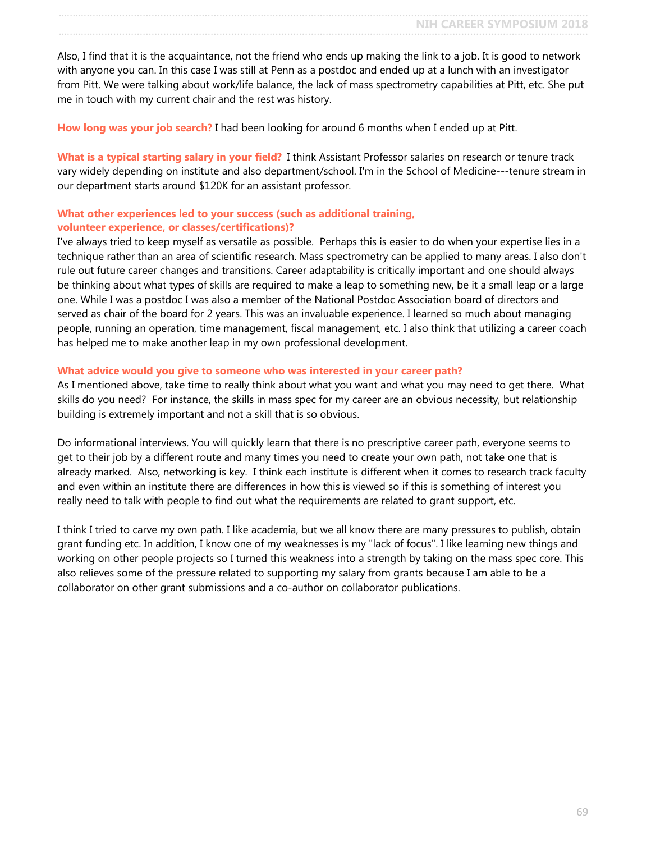Also, I find that it is the acquaintance, not the friend who ends up making the link to a job. It is good to network with anyone you can. In this case I was still at Penn as a postdoc and ended up at a lunch with an investigator from Pitt. We were talking about work/life balance, the lack of mass spectrometry capabilities at Pitt, etc. She put me in touch with my current chair and the rest was history.

**How long was your job search?** I had been looking for around 6 months when I ended up at Pitt.

**What is a typical starting salary in your field?** I think Assistant Professor salaries on research or tenure track vary widely depending on institute and also department/school. I'm in the School of Medicine---tenure stream in our department starts around \$120K for an assistant professor.

#### **What other experiences led to your success (such as additional training, volunteer experience, or classes/certifications)?**

I've always tried to keep myself as versatile as possible. Perhaps this is easier to do when your expertise lies in a technique rather than an area of scientific research. Mass spectrometry can be applied to many areas. I also don't rule out future career changes and transitions. Career adaptability is critically important and one should always be thinking about what types of skills are required to make a leap to something new, be it a small leap or a large one. While I was a postdoc I was also a member of the National Postdoc Association board of directors and served as chair of the board for 2 years. This was an invaluable experience. I learned so much about managing people, running an operation, time management, fiscal management, etc. I also think that utilizing a career coach has helped me to make another leap in my own professional development.

#### **What advice would you give to someone who was interested in your career path?**

As I mentioned above, take time to really think about what you want and what you may need to get there. What skills do you need? For instance, the skills in mass spec for my career are an obvious necessity, but relationship building is extremely important and not a skill that is so obvious.

Do informational interviews. You will quickly learn that there is no prescriptive career path, everyone seems to get to their job by a different route and many times you need to create your own path, not take one that is already marked. Also, networking is key. I think each institute is different when it comes to research track faculty and even within an institute there are differences in how this is viewed so if this is something of interest you really need to talk with people to find out what the requirements are related to grant support, etc.

I think I tried to carve my own path. I like academia, but we all know there are many pressures to publish, obtain grant funding etc. In addition, I know one of my weaknesses is my "lack of focus". I like learning new things and working on other people projects so I turned this weakness into a strength by taking on the mass spec core. This also relieves some of the pressure related to supporting my salary from grants because I am able to be a collaborator on other grant submissions and a co-author on collaborator publications.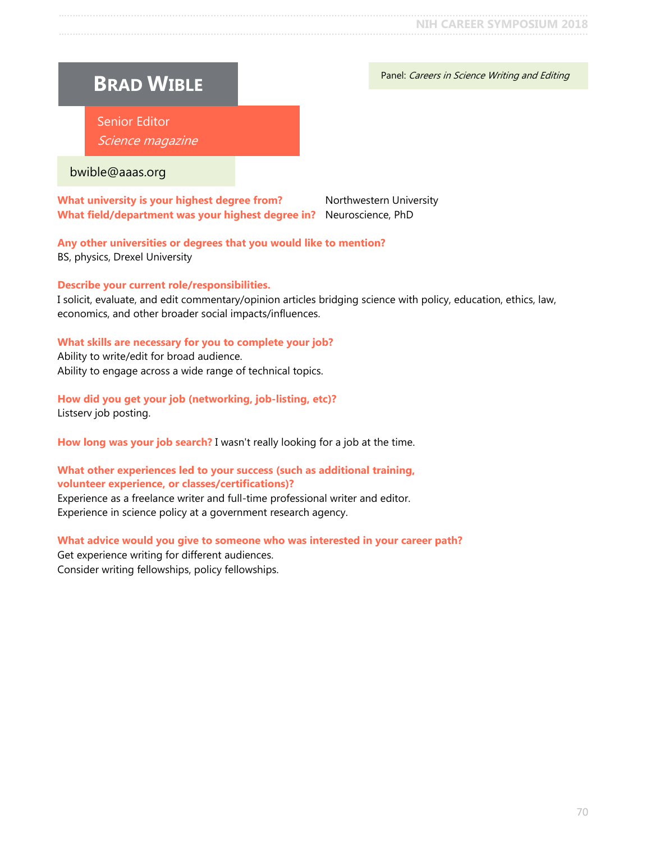#### Panel: Careers in Science Writing and Editing

## **BRAD WIBLE**

Senior Editor Science magazine

bwible@aaas.org

**What university is your highest degree from?** Northwestern University **What field/department was your highest degree in?** Neuroscience, PhD

**Any other universities or degrees that you would like to mention?**  BS, physics, Drexel University

#### **Describe your current role/responsibilities.**

I solicit, evaluate, and edit commentary/opinion articles bridging science with policy, education, ethics, law, economics, and other broader social impacts/influences.

#### **What skills are necessary for you to complete your job?**

Ability to write/edit for broad audience. Ability to engage across a wide range of technical topics.

**How did you get your job (networking, job-listing, etc)?** Listserv job posting.

**How long was your job search?** I wasn't really looking for a job at the time.

#### **What other experiences led to your success (such as additional training, volunteer experience, or classes/certifications)?**

Experience as a freelance writer and full-time professional writer and editor. Experience in science policy at a government research agency.

**What advice would you give to someone who was interested in your career path?**

Get experience writing for different audiences. Consider writing fellowships, policy fellowships.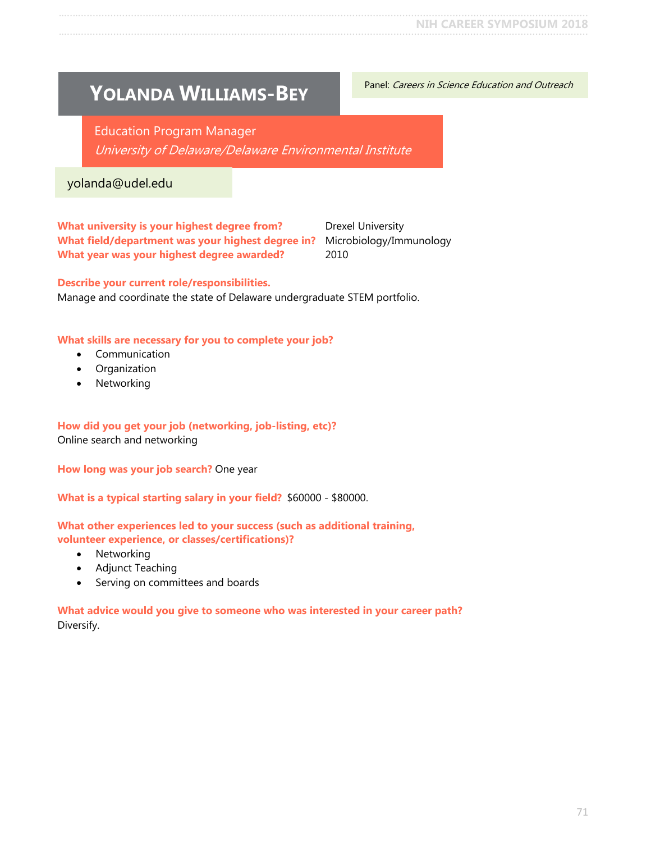# **YOLANDA WILLIAMS-BEY**

Education Program Manager University of Delaware/Delaware Environmental Institute

## yolanda@udel.edu

**What university is your highest degree from?** Drexel University **What field/department was your highest degree in?** Microbiology/Immunology **What year was your highest degree awarded?** 2010

**Describe your current role/responsibilities.** Manage and coordinate the state of Delaware undergraduate STEM portfolio.

#### **What skills are necessary for you to complete your job?**

- Communication
- **Organization**
- Networking

**How did you get your job (networking, job-listing, etc)?**

Online search and networking

**How long was your job search?** One year

**What is a typical starting salary in your field?** \$60000 - \$80000.

**What other experiences led to your success (such as additional training, volunteer experience, or classes/certifications)?**

- Networking
- Adjunct Teaching
- Serving on committees and boards

**What advice would you give to someone who was interested in your career path?** Diversify.

Panel: Careers in Science Education and Outreach